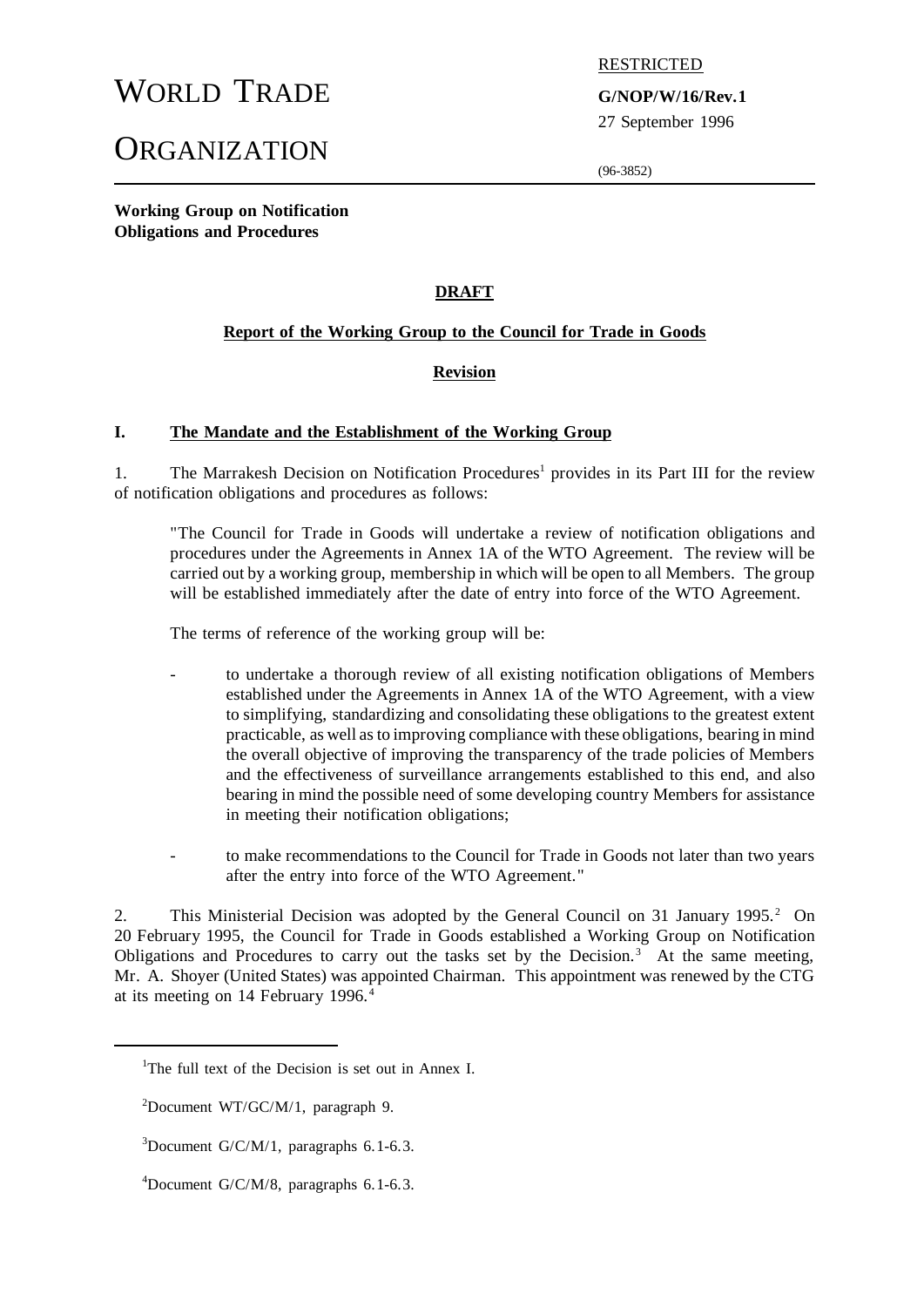# WORLD TRADE **G/NOP/W/16/Rev.1**

# **ORGANIZATION**

RESTRICTED

27 September 1996

(96-3852)

**Working Group on Notification Obligations and Procedures**

## **DRAFT**

#### **Report of the Working Group to the Council for Trade in Goods**

#### **Revision**

#### **I. The Mandate and the Establishment of the Working Group**

1. The Marrakesh Decision on Notification Procedures<sup>1</sup> provides in its Part III for the review of notification obligations and procedures as follows:

"The Council for Trade in Goods will undertake a review of notification obligations and procedures under the Agreements in Annex 1A of the WTO Agreement. The review will be carried out by a working group, membership in which will be open to all Members. The group will be established immediately after the date of entry into force of the WTO Agreement.

The terms of reference of the working group will be:

- to undertake a thorough review of all existing notification obligations of Members established under the Agreements in Annex 1A of the WTO Agreement, with a view to simplifying, standardizing and consolidating these obligations to the greatest extent practicable, as well asto improving compliance with these obligations, bearing in mind the overall objective of improving the transparency of the trade policies of Members and the effectiveness of surveillance arrangements established to this end, and also bearing in mind the possible need of some developing country Members for assistance in meeting their notification obligations;
- to make recommendations to the Council for Trade in Goods not later than two years after the entry into force of the WTO Agreement."

2. This Ministerial Decision was adopted by the General Council on 31 January 1995.<sup>2</sup> On 20 February 1995, the Council for Trade in Goods established a Working Group on Notification Obligations and Procedures to carry out the tasks set by the Decision.<sup>3</sup> At the same meeting, Mr. A. Shoyer (United States) was appointed Chairman. This appointment was renewed by the CTG at its meeting on 14 February 1996.<sup>4</sup>

<sup>&</sup>lt;sup>1</sup>The full text of the Decision is set out in Annex I.

<sup>2</sup>Document WT/GC/M/1, paragraph 9.

 $3$ Document G/C/M/1, paragraphs 6.1-6.3.

 $4$ Document G/C/M/8, paragraphs 6.1-6.3.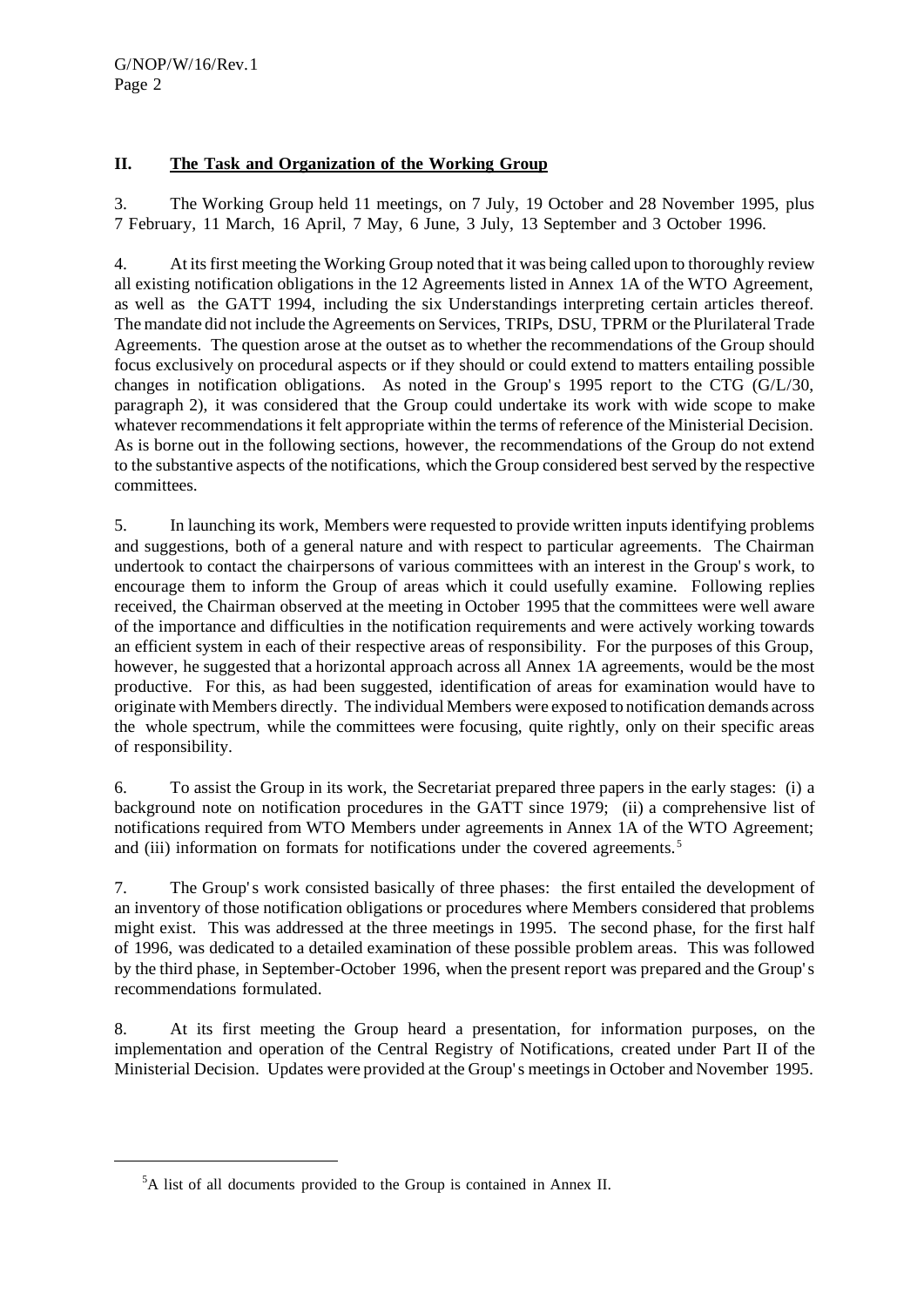## **II. The Task and Organization of the Working Group**

3. The Working Group held 11 meetings, on 7 July, 19 October and 28 November 1995, plus 7 February, 11 March, 16 April, 7 May, 6 June, 3 July, 13 September and 3 October 1996.

4. At itsfirst meeting the Working Group noted that it was being called upon to thoroughly review all existing notification obligations in the 12 Agreements listed in Annex 1A of the WTO Agreement, as well as the GATT 1994, including the six Understandings interpreting certain articles thereof. The mandate did not include the Agreements on Services, TRIPs, DSU, TPRM orthe Plurilateral Trade Agreements. The question arose at the outset as to whether the recommendations of the Group should focus exclusively on procedural aspects or if they should or could extend to matters entailing possible changes in notification obligations. As noted in the Group's 1995 report to the CTG (G/L/30, paragraph 2), it was considered that the Group could undertake its work with wide scope to make whatever recommendations it felt appropriate within the terms of reference of the Ministerial Decision. As is borne out in the following sections, however, the recommendations of the Group do not extend to the substantive aspects of the notifications, which the Group considered best served by the respective committees.

5. In launching its work, Members were requested to provide written inputsidentifying problems and suggestions, both of a general nature and with respect to particular agreements. The Chairman undertook to contact the chairpersons of various committees with an interest in the Group's work, to encourage them to inform the Group of areas which it could usefully examine. Following replies received, the Chairman observed at the meeting in October 1995 that the committees were well aware of the importance and difficulties in the notification requirements and were actively working towards an efficient system in each of their respective areas of responsibility. For the purposes of this Group, however, he suggested that a horizontal approach across all Annex 1A agreements, would be the most productive. For this, as had been suggested, identification of areas for examination would have to originate with Members directly. The individual Members were exposed to notification demands across the whole spectrum, while the committees were focusing, quite rightly, only on their specific areas of responsibility.

6. To assist the Group in its work, the Secretariat prepared three papers in the early stages: (i) a background note on notification procedures in the GATT since 1979; (ii) a comprehensive list of notifications required from WTO Members under agreements in Annex 1A of the WTO Agreement; and (iii) information on formats for notifications under the covered agreements.<sup>5</sup>

7. The Group's work consisted basically of three phases: the first entailed the development of an inventory of those notification obligations or procedures where Members considered that problems might exist. This was addressed at the three meetings in 1995. The second phase, for the first half of 1996, was dedicated to a detailed examination of these possible problem areas. This was followed by the third phase, in September-October 1996, when the present report was prepared and the Group's recommendations formulated.

8. At its first meeting the Group heard a presentation, for information purposes, on the implementation and operation of the Central Registry of Notifications, created under Part II of the Ministerial Decision. Updates were provided at the Group's meetingsin October and November 1995.

<sup>5</sup>A list of all documents provided to the Group is contained in Annex II.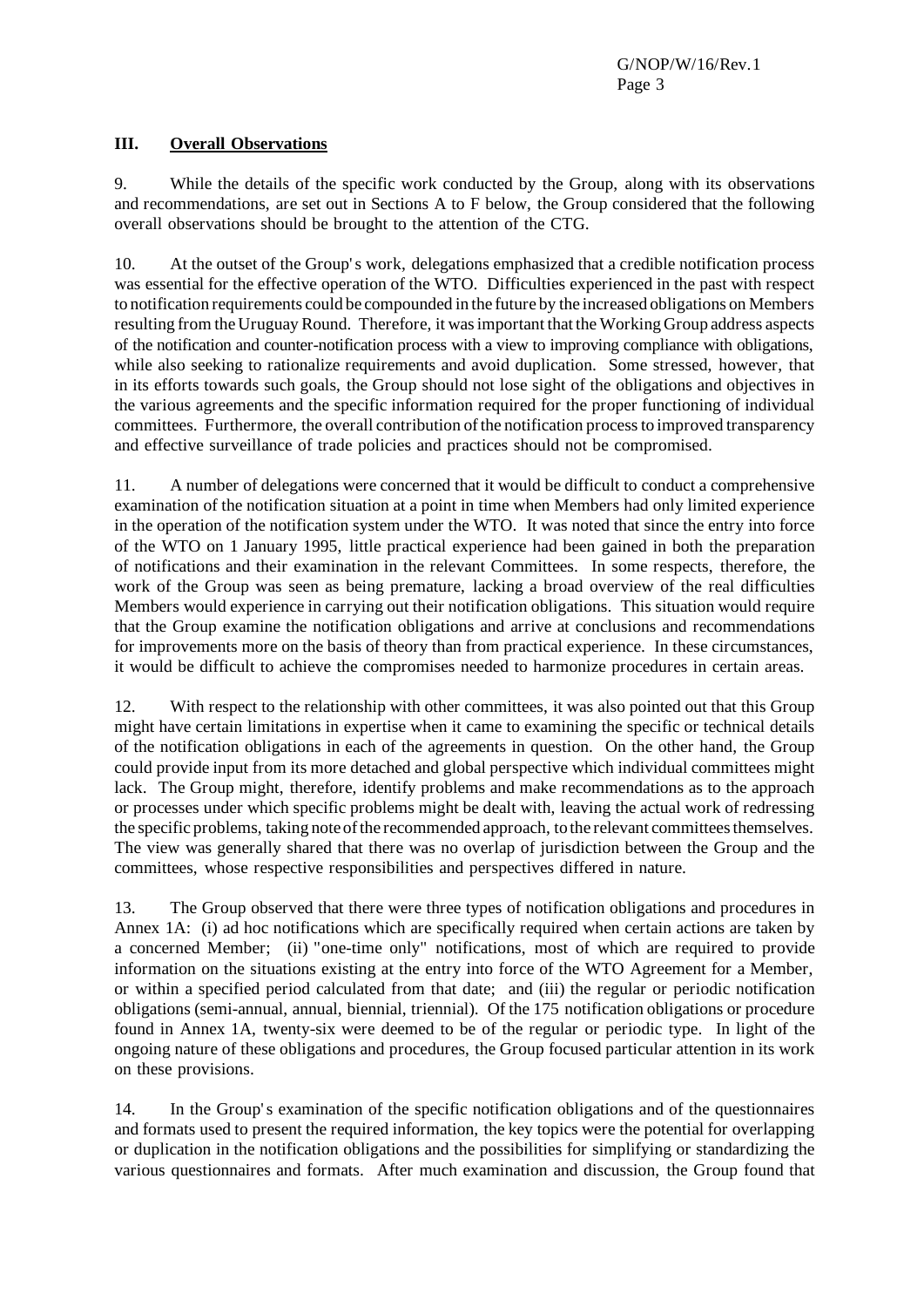### **III. Overall Observations**

9. While the details of the specific work conducted by the Group, along with its observations and recommendations, are set out in Sections A to F below, the Group considered that the following overall observations should be brought to the attention of the CTG.

10. At the outset of the Group's work, delegations emphasized that a credible notification process was essential for the effective operation of the WTO. Difficulties experienced in the past with respect to notification requirements could be compounded in the future by the increased obligations on Members resulting from the Uruguay Round. Therefore, it was important that the Working Group address aspects of the notification and counter-notification process with a view to improving compliance with obligations, while also seeking to rationalize requirements and avoid duplication. Some stressed, however, that in its efforts towards such goals, the Group should not lose sight of the obligations and objectives in the various agreements and the specific information required for the proper functioning of individual committees. Furthermore, the overall contribution of the notification process to improved transparency and effective surveillance of trade policies and practices should not be compromised.

11. A number of delegations were concerned that it would be difficult to conduct a comprehensive examination of the notification situation at a point in time when Members had only limited experience in the operation of the notification system under the WTO. It was noted that since the entry into force of the WTO on 1 January 1995, little practical experience had been gained in both the preparation of notifications and their examination in the relevant Committees. In some respects, therefore, the work of the Group was seen as being premature, lacking a broad overview of the real difficulties Members would experience in carrying out their notification obligations. This situation would require that the Group examine the notification obligations and arrive at conclusions and recommendations for improvements more on the basis of theory than from practical experience. In these circumstances, it would be difficult to achieve the compromises needed to harmonize procedures in certain areas.

12. With respect to the relationship with other committees, it was also pointed out that this Group might have certain limitations in expertise when it came to examining the specific or technical details of the notification obligations in each of the agreements in question. On the other hand, the Group could provide input from its more detached and global perspective which individual committees might lack. The Group might, therefore, identify problems and make recommendations as to the approach or processes under which specific problems might be dealt with, leaving the actual work of redressing the specific problems, taking note of the recommended approach, to the relevant committees themselves. The view was generally shared that there was no overlap of jurisdiction between the Group and the committees, whose respective responsibilities and perspectives differed in nature.

13. The Group observed that there were three types of notification obligations and procedures in Annex 1A: (i) ad hoc notifications which are specifically required when certain actions are taken by a concerned Member; (ii) "one-time only" notifications, most of which are required to provide information on the situations existing at the entry into force of the WTO Agreement for a Member, or within a specified period calculated from that date; and (iii) the regular or periodic notification obligations (semi-annual, annual, biennial, triennial). Of the 175 notification obligations or procedure found in Annex 1A, twenty-six were deemed to be of the regular or periodic type. In light of the ongoing nature of these obligations and procedures, the Group focused particular attention in its work on these provisions.

14. In the Group's examination of the specific notification obligations and of the questionnaires and formats used to present the required information, the key topics were the potential for overlapping or duplication in the notification obligations and the possibilities for simplifying or standardizing the various questionnaires and formats. After much examination and discussion, the Group found that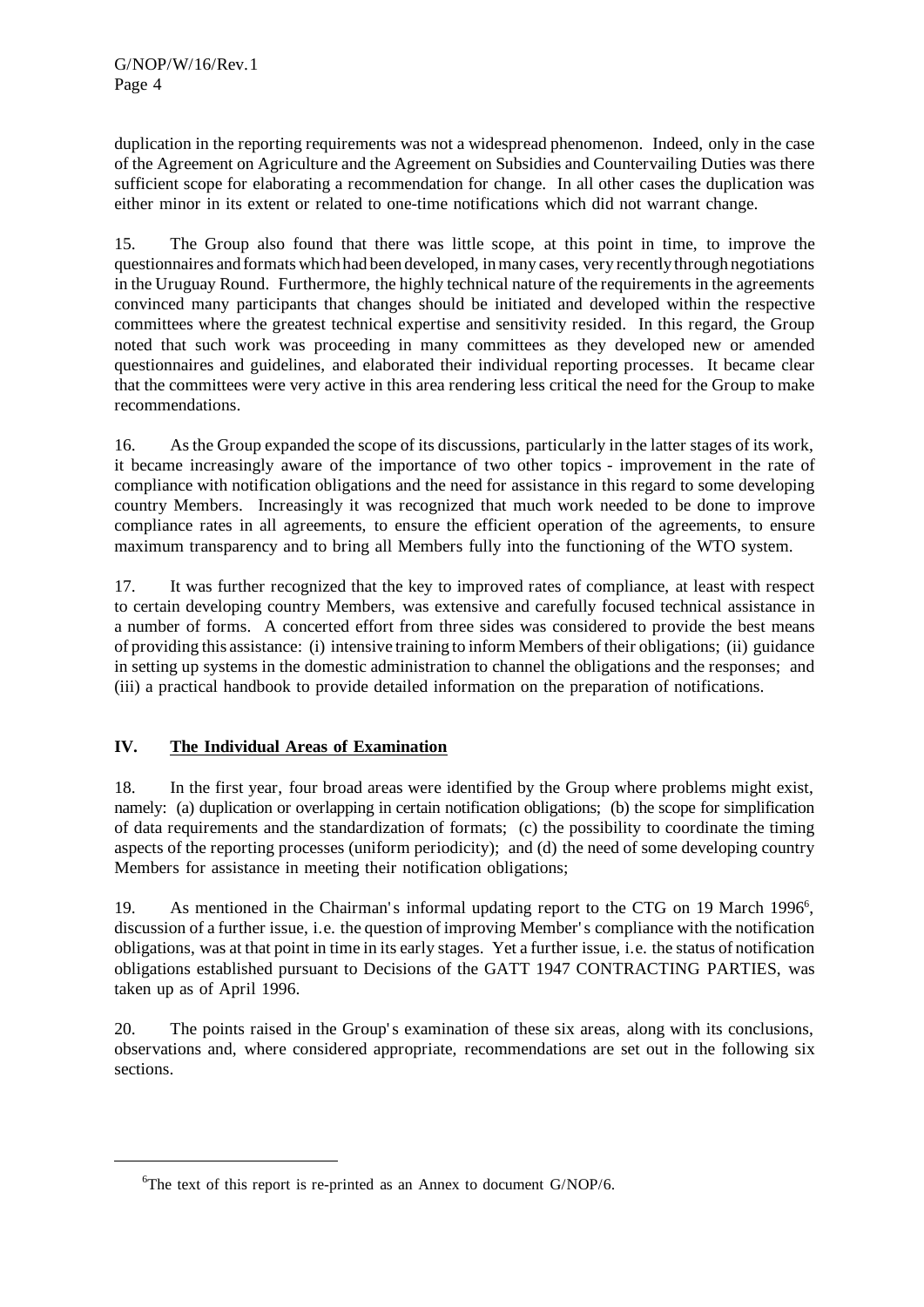duplication in the reporting requirements was not a widespread phenomenon. Indeed, only in the case of the Agreement on Agriculture and the Agreement on Subsidies and Countervailing Duties was there sufficient scope for elaborating a recommendation for change. In all other cases the duplication was either minor in its extent or related to one-time notifications which did not warrant change.

15. The Group also found that there was little scope, at this point in time, to improve the questionnaires and formats which had been developed, in many cases, very recently through negotiations in the Uruguay Round. Furthermore, the highly technical nature of the requirements in the agreements convinced many participants that changes should be initiated and developed within the respective committees where the greatest technical expertise and sensitivity resided. In this regard, the Group noted that such work was proceeding in many committees as they developed new or amended questionnaires and guidelines, and elaborated their individual reporting processes. It became clear that the committees were very active in this area rendering less critical the need for the Group to make recommendations.

16. Asthe Group expanded the scope of its discussions, particularly in the latter stages of its work, it became increasingly aware of the importance of two other topics - improvement in the rate of compliance with notification obligations and the need for assistance in this regard to some developing country Members. Increasingly it was recognized that much work needed to be done to improve compliance rates in all agreements, to ensure the efficient operation of the agreements, to ensure maximum transparency and to bring all Members fully into the functioning of the WTO system.

17. It was further recognized that the key to improved rates of compliance, at least with respect to certain developing country Members, was extensive and carefully focused technical assistance in a number of forms. A concerted effort from three sides was considered to provide the best means of providing this assistance: (i) intensive training to inform Members of their obligations; (ii) guidance in setting up systems in the domestic administration to channel the obligations and the responses; and (iii) a practical handbook to provide detailed information on the preparation of notifications.

# **IV. The Individual Areas of Examination**

18. In the first year, four broad areas were identified by the Group where problems might exist, namely: (a) duplication or overlapping in certain notification obligations; (b) the scope for simplification of data requirements and the standardization of formats; (c) the possibility to coordinate the timing aspects of the reporting processes (uniform periodicity); and (d) the need of some developing country Members for assistance in meeting their notification obligations;

19. As mentioned in the Chairman's informal updating report to the CTG on 19 March 1996<sup>6</sup>, discussion of a further issue, i.e. the question of improving Member's compliance with the notification obligations, was at that point in time in its early stages. Yet a further issue, i.e. the status of notification obligations established pursuant to Decisions of the GATT 1947 CONTRACTING PARTIES, was taken up as of April 1996.

20. The points raised in the Group's examination of these six areas, along with its conclusions, observations and, where considered appropriate, recommendations are set out in the following six sections.

 ${}^{6}$ The text of this report is re-printed as an Annex to document G/NOP/6.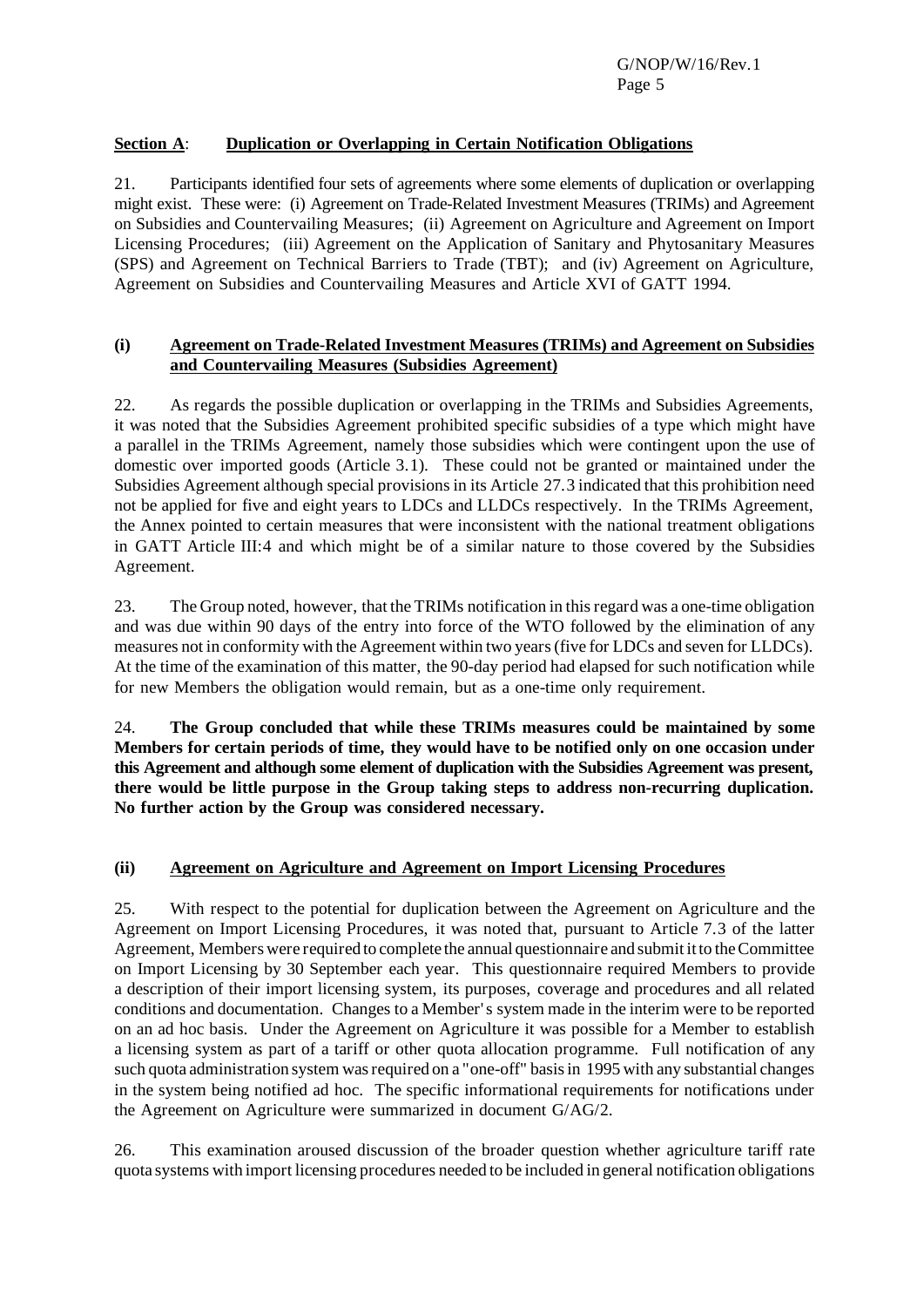## **Section A**: **Duplication or Overlapping in Certain Notification Obligations**

21. Participants identified four sets of agreements where some elements of duplication or overlapping might exist. These were: (i) Agreement on Trade-Related Investment Measures (TRIMs) and Agreement on Subsidies and Countervailing Measures; (ii) Agreement on Agriculture and Agreement on Import Licensing Procedures; (iii) Agreement on the Application of Sanitary and Phytosanitary Measures (SPS) and Agreement on Technical Barriers to Trade (TBT); and (iv) Agreement on Agriculture, Agreement on Subsidies and Countervailing Measures and Article XVI of GATT 1994.

## **(i) Agreement on Trade-Related Investment Measures (TRIMs) and Agreement on Subsidies and Countervailing Measures (Subsidies Agreement)**

22. As regards the possible duplication or overlapping in the TRIMs and Subsidies Agreements, it was noted that the Subsidies Agreement prohibited specific subsidies of a type which might have a parallel in the TRIMs Agreement, namely those subsidies which were contingent upon the use of domestic over imported goods (Article 3.1). These could not be granted or maintained under the Subsidies Agreement although special provisions in its Article 27.3 indicated that this prohibition need not be applied for five and eight years to LDCs and LLDCs respectively. In the TRIMs Agreement, the Annex pointed to certain measures that were inconsistent with the national treatment obligations in GATT Article III:4 and which might be of a similar nature to those covered by the Subsidies Agreement.

23. The Group noted, however, that the TRIMs notification in thisregard was a one-time obligation and was due within 90 days of the entry into force of the WTO followed by the elimination of any measures not in conformity with the Agreement within two years(five for LDCs and seven for LLDCs). At the time of the examination of this matter, the 90-day period had elapsed for such notification while for new Members the obligation would remain, but as a one-time only requirement.

24. **The Group concluded that while these TRIMs measures could be maintained by some Members for certain periods of time, they would have to be notified only on one occasion under this Agreement and although some element of duplication with the Subsidies Agreement was present, there would be little purpose in the Group taking steps to address non-recurring duplication. No further action by the Group was considered necessary.**

## **(ii) Agreement on Agriculture and Agreement on Import Licensing Procedures**

25. With respect to the potential for duplication between the Agreement on Agriculture and the Agreement on Import Licensing Procedures, it was noted that, pursuant to Article 7.3 of the latter Agreement, Members were required to complete the annual questionnaire and submit itto theCommittee on Import Licensing by 30 September each year. This questionnaire required Members to provide a description of their import licensing system, its purposes, coverage and procedures and all related conditions and documentation. Changes to a Member's system made in the interim were to be reported on an ad hoc basis. Under the Agreement on Agriculture it was possible for a Member to establish a licensing system as part of a tariff or other quota allocation programme. Full notification of any such quota administration system was required on a "one-off" basis in 1995 with any substantial changes in the system being notified ad hoc. The specific informational requirements for notifications under the Agreement on Agriculture were summarized in document G/AG/2.

26. This examination aroused discussion of the broader question whether agriculture tariff rate quota systems with import licensing procedures needed to be included in general notification obligations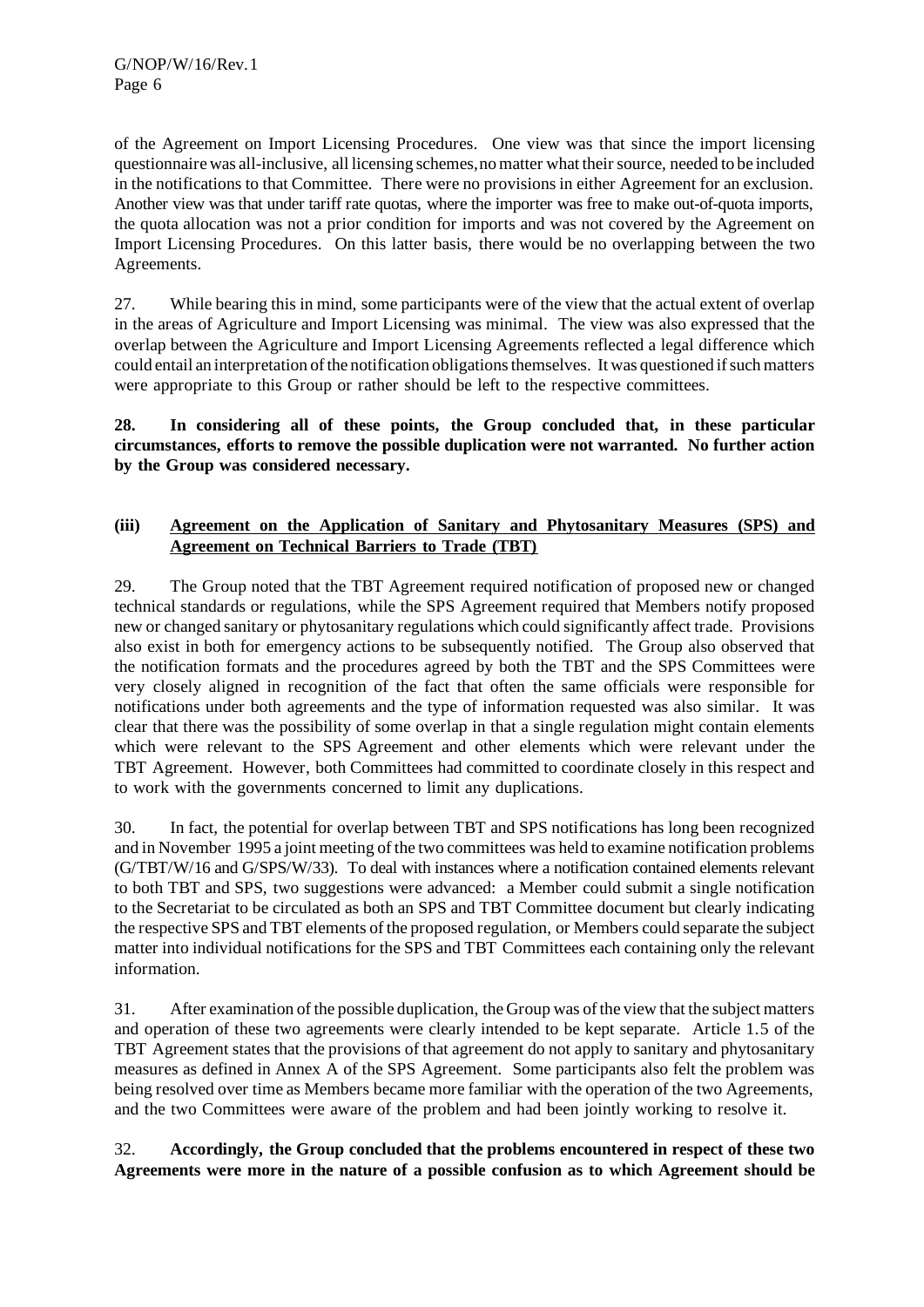of the Agreement on Import Licensing Procedures. One view was that since the import licensing questionnaire was all-inclusive, all licensing schemes,nomatter what theirsource, needed to be included in the notifications to that Committee. There were no provisions in either Agreement for an exclusion. Another view was that under tariff rate quotas, where the importer was free to make out-of-quota imports, the quota allocation was not a prior condition for imports and was not covered by the Agreement on Import Licensing Procedures. On this latter basis, there would be no overlapping between the two Agreements.

27. While bearing this in mind, some participants were of the view that the actual extent of overlap in the areas of Agriculture and Import Licensing was minimal. The view was also expressed that the overlap between the Agriculture and Import Licensing Agreements reflected a legal difference which could entail an interpretation of the notification obligations themselves. It was questioned if such matters were appropriate to this Group or rather should be left to the respective committees.

**28. In considering all of these points, the Group concluded that, in these particular circumstances, efforts to remove the possible duplication were not warranted. No further action by the Group was considered necessary.**

## **(iii) Agreement on the Application of Sanitary and Phytosanitary Measures (SPS) and Agreement on Technical Barriers to Trade (TBT)**

29. The Group noted that the TBT Agreement required notification of proposed new or changed technical standards or regulations, while the SPS Agreement required that Members notify proposed new or changed sanitary or phytosanitary regulations which could significantly affect trade. Provisions also exist in both for emergency actions to be subsequently notified. The Group also observed that the notification formats and the procedures agreed by both the TBT and the SPS Committees were very closely aligned in recognition of the fact that often the same officials were responsible for notifications under both agreements and the type of information requested was also similar. It was clear that there was the possibility of some overlap in that a single regulation might contain elements which were relevant to the SPS Agreement and other elements which were relevant under the TBT Agreement. However, both Committees had committed to coordinate closely in this respect and to work with the governments concerned to limit any duplications.

30. In fact, the potential for overlap between TBT and SPS notifications has long been recognized and in November 1995 a joint meeting of the two committees was held to examine notification problems (G/TBT/W/16 and G/SPS/W/33). To deal with instances where a notification contained elements relevant to both TBT and SPS, two suggestions were advanced: a Member could submit a single notification to the Secretariat to be circulated as both an SPS and TBT Committee document but clearly indicating the respective SPS and TBT elements of the proposed regulation, or Members could separate the subject matter into individual notifications for the SPS and TBT Committees each containing only the relevant information.

31. After examination of the possible duplication, the Group was of the view that the subject matters and operation of these two agreements were clearly intended to be kept separate. Article 1.5 of the TBT Agreement states that the provisions of that agreement do not apply to sanitary and phytosanitary measures as defined in Annex A of the SPS Agreement. Some participants also felt the problem was being resolved over time as Members became more familiar with the operation of the two Agreements, and the two Committees were aware of the problem and had been jointly working to resolve it.

32. **Accordingly, the Group concluded that the problems encountered in respect of these two Agreements were more in the nature of a possible confusion as to which Agreement should be**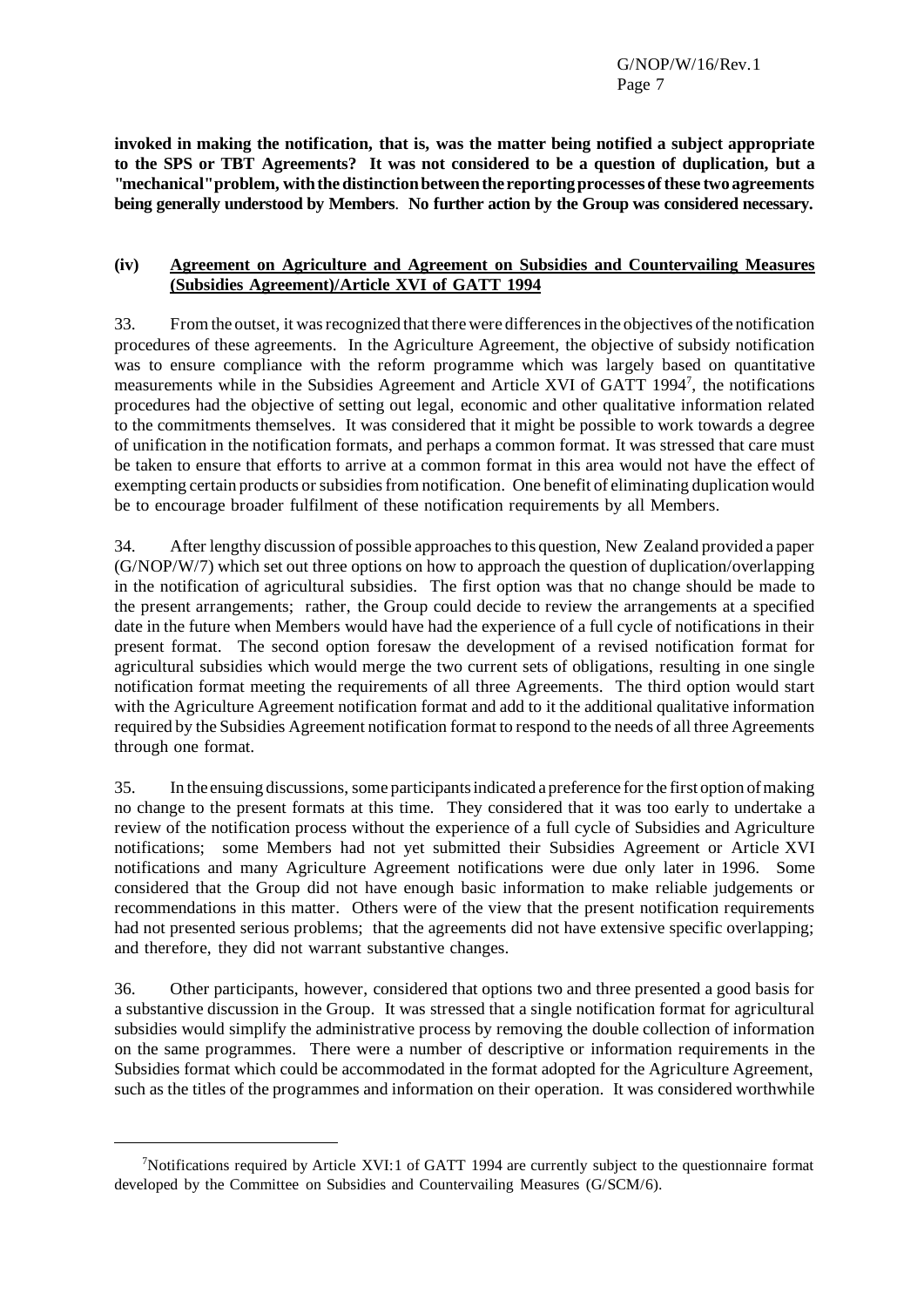**invoked in making the notification, that is, was the matter being notified a subject appropriate to the SPS or TBT Agreements? It was not considered to be a question of duplication, but a "mechanical"problem,withthe distinctionbetweenthe reportingprocesses ofthese two agreements being generally understood by Members**. **No further action by the Group was considered necessary.**

#### **(iv) Agreement on Agriculture and Agreement on Subsidies and Countervailing Measures (Subsidies Agreement)/Article XVI of GATT 1994**

33. From the outset, it was recognized that there were differences in the objectives of the notification procedures of these agreements. In the Agriculture Agreement, the objective of subsidy notification was to ensure compliance with the reform programme which was largely based on quantitative measurements while in the Subsidies Agreement and Article XVI of GATT 1994<sup>7</sup>, the notifications procedures had the objective of setting out legal, economic and other qualitative information related to the commitments themselves. It was considered that it might be possible to work towards a degree of unification in the notification formats, and perhaps a common format. It was stressed that care must be taken to ensure that efforts to arrive at a common format in this area would not have the effect of exempting certain products or subsidies from notification. One benefit of eliminating duplication would be to encourage broader fulfilment of these notification requirements by all Members.

34. Afterlengthy discussion of possible approachesto this question, New Zealand provided a paper (G/NOP/W/7) which set out three options on how to approach the question of duplication/overlapping in the notification of agricultural subsidies. The first option was that no change should be made to the present arrangements; rather, the Group could decide to review the arrangements at a specified date in the future when Members would have had the experience of a full cycle of notifications in their present format. The second option foresaw the development of a revised notification format for agricultural subsidies which would merge the two current sets of obligations, resulting in one single notification format meeting the requirements of all three Agreements. The third option would start with the Agriculture Agreement notification format and add to it the additional qualitative information required by the Subsidies Agreement notification format to respond to the needs of all three Agreements through one format.

35. In the ensuing discussions, some participants indicated a preference for the first option of making no change to the present formats at this time. They considered that it was too early to undertake a review of the notification process without the experience of a full cycle of Subsidies and Agriculture notifications; some Members had not yet submitted their Subsidies Agreement or Article XVI notifications and many Agriculture Agreement notifications were due only later in 1996. Some considered that the Group did not have enough basic information to make reliable judgements or recommendations in this matter. Others were of the view that the present notification requirements had not presented serious problems; that the agreements did not have extensive specific overlapping; and therefore, they did not warrant substantive changes.

36. Other participants, however, considered that options two and three presented a good basis for a substantive discussion in the Group. It was stressed that a single notification format for agricultural subsidies would simplify the administrative process by removing the double collection of information on the same programmes. There were a number of descriptive or information requirements in the Subsidies format which could be accommodated in the format adopted for the Agriculture Agreement, such as the titles of the programmes and information on their operation. It was considered worthwhile

<sup>7</sup>Notifications required by Article XVI:1 of GATT 1994 are currently subject to the questionnaire format developed by the Committee on Subsidies and Countervailing Measures (G/SCM/6).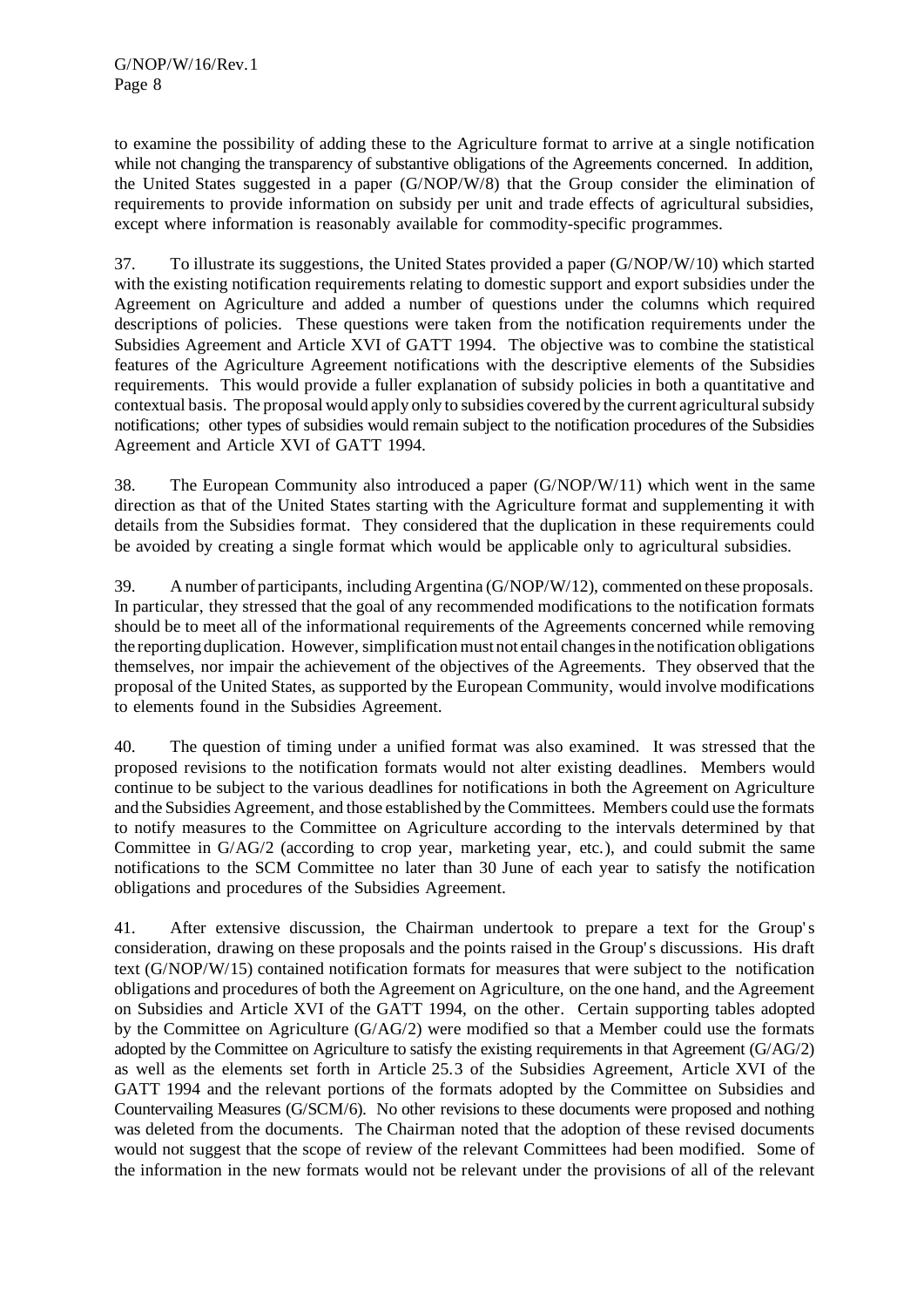to examine the possibility of adding these to the Agriculture format to arrive at a single notification while not changing the transparency of substantive obligations of the Agreements concerned. In addition, the United States suggested in a paper (G/NOP/W/8) that the Group consider the elimination of requirements to provide information on subsidy per unit and trade effects of agricultural subsidies, except where information is reasonably available for commodity-specific programmes.

37. To illustrate its suggestions, the United States provided a paper (G/NOP/W/10) which started with the existing notification requirements relating to domestic support and export subsidies under the Agreement on Agriculture and added a number of questions under the columns which required descriptions of policies. These questions were taken from the notification requirements under the Subsidies Agreement and Article XVI of GATT 1994. The objective was to combine the statistical features of the Agriculture Agreement notifications with the descriptive elements of the Subsidies requirements. This would provide a fuller explanation of subsidy policies in both a quantitative and contextual basis. The proposal would apply only to subsidies covered by the current agriculturalsubsidy notifications; other types of subsidies would remain subject to the notification procedures of the Subsidies Agreement and Article XVI of GATT 1994.

38. The European Community also introduced a paper (G/NOP/W/11) which went in the same direction as that of the United States starting with the Agriculture format and supplementing it with details from the Subsidies format. They considered that the duplication in these requirements could be avoided by creating a single format which would be applicable only to agricultural subsidies.

39. A number of participants, including Argentina (G/NOP/W/12), commented on these proposals. In particular, they stressed that the goal of any recommended modifications to the notification formats should be to meet all of the informational requirements of the Agreements concerned while removing the reporting duplication. However, simplification must not entail changes in the notification obligations themselves, nor impair the achievement of the objectives of the Agreements. They observed that the proposal of the United States, as supported by the European Community, would involve modifications to elements found in the Subsidies Agreement.

40. The question of timing under a unified format was also examined. It was stressed that the proposed revisions to the notification formats would not alter existing deadlines. Members would continue to be subject to the various deadlines for notifications in both the Agreement on Agriculture and the Subsidies Agreement, and those established by the Committees. Members could use the formats to notify measures to the Committee on Agriculture according to the intervals determined by that Committee in G/AG/2 (according to crop year, marketing year, etc.), and could submit the same notifications to the SCM Committee no later than 30 June of each year to satisfy the notification obligations and procedures of the Subsidies Agreement.

41. After extensive discussion, the Chairman undertook to prepare a text for the Group's consideration, drawing on these proposals and the points raised in the Group's discussions. His draft text (G/NOP/W/15) contained notification formats for measures that were subject to the notification obligations and procedures of both the Agreement on Agriculture, on the one hand, and the Agreement on Subsidies and Article XVI of the GATT 1994, on the other. Certain supporting tables adopted by the Committee on Agriculture (G/AG/2) were modified so that a Member could use the formats adopted by the Committee on Agriculture to satisfy the existing requirements in that Agreement (G/AG/2) as well as the elements set forth in Article 25.3 of the Subsidies Agreement, Article XVI of the GATT 1994 and the relevant portions of the formats adopted by the Committee on Subsidies and Countervailing Measures (G/SCM/6). No other revisions to these documents were proposed and nothing was deleted from the documents. The Chairman noted that the adoption of these revised documents would not suggest that the scope of review of the relevant Committees had been modified. Some of the information in the new formats would not be relevant under the provisions of all of the relevant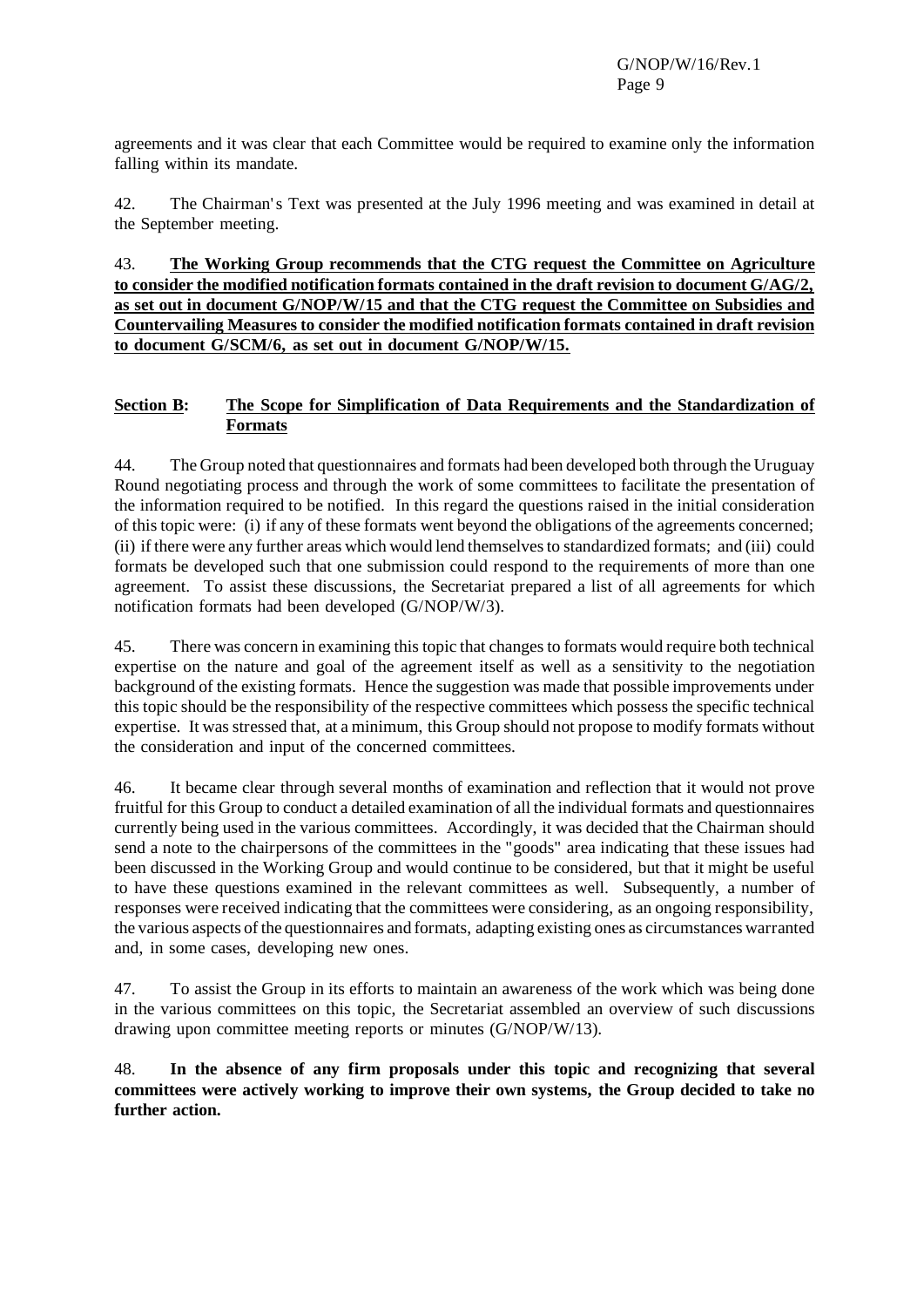agreements and it was clear that each Committee would be required to examine only the information falling within its mandate.

42. The Chairman's Text was presented at the July 1996 meeting and was examined in detail at the September meeting.

43. **The Working Group recommends that the CTG request the Committee on Agriculture to consider the modified notification formats contained in the draft revision to document G/AG/2, as set out in document G/NOP/W/15 and that the CTG request the Committee on Subsidies and Countervailing Measures to consider the modified notification formats contained in draft revision to document G/SCM/6, as set out in document G/NOP/W/15.**

## **Section B: The Scope for Simplification of Data Requirements and the Standardization of Formats**

44. The Group noted that questionnaires and formats had been developed both through the Uruguay Round negotiating process and through the work of some committees to facilitate the presentation of the information required to be notified. In this regard the questions raised in the initial consideration of thistopic were: (i) if any of these formats went beyond the obligations of the agreements concerned; (ii) if there were any further areas which would lend themselvesto standardized formats; and (iii) could formats be developed such that one submission could respond to the requirements of more than one agreement. To assist these discussions, the Secretariat prepared a list of all agreements for which notification formats had been developed (G/NOP/W/3).

45. There was concern in examining thistopic that changes to formats would require both technical expertise on the nature and goal of the agreement itself as well as a sensitivity to the negotiation background of the existing formats. Hence the suggestion was made that possible improvements under this topic should be the responsibility of the respective committees which possess the specific technical expertise. It wasstressed that, at a minimum, this Group should not propose to modify formats without the consideration and input of the concerned committees.

46. It became clear through several months of examination and reflection that it would not prove fruitful forthis Group to conduct a detailed examination of all the individual formats and questionnaires currently being used in the various committees. Accordingly, it was decided that the Chairman should send a note to the chairpersons of the committees in the "goods" area indicating that these issues had been discussed in the Working Group and would continue to be considered, but that it might be useful to have these questions examined in the relevant committees as well. Subsequently, a number of responses were received indicating that the committees were considering, as an ongoing responsibility, the various aspects of the questionnaires and formats, adapting existing ones as circumstances warranted and, in some cases, developing new ones.

47. To assist the Group in its efforts to maintain an awareness of the work which was being done in the various committees on this topic, the Secretariat assembled an overview of such discussions drawing upon committee meeting reports or minutes (G/NOP/W/13).

48. **In the absence of any firm proposals under this topic and recognizing that several committees were actively working to improve their own systems, the Group decided to take no further action.**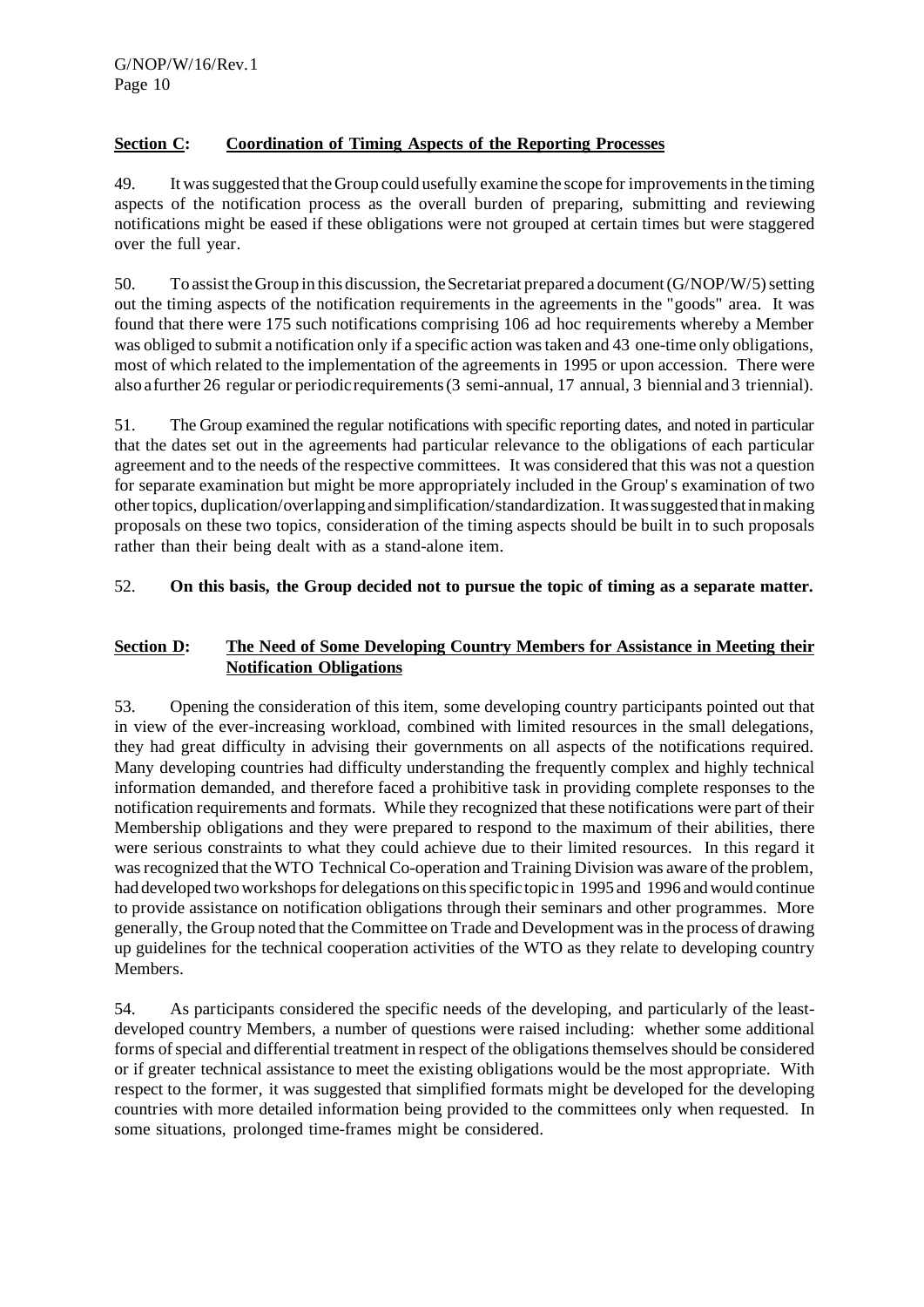## **Section C: Coordination of Timing Aspects of the Reporting Processes**

49. It wassuggested that the Group could usefully examine the scope forimprovementsin the timing aspects of the notification process as the overall burden of preparing, submitting and reviewing notifications might be eased if these obligations were not grouped at certain times but were staggered over the full year.

50. To assist the Group in this discussion, the Secretariat prepared a document (G/NOP/W/5) setting out the timing aspects of the notification requirements in the agreements in the "goods" area. It was found that there were 175 such notifications comprising 106 ad hoc requirements whereby a Member was obliged to submit a notification only if a specific action wastaken and 43 one-time only obligations, most of which related to the implementation of the agreements in 1995 or upon accession. There were also a further 26 regular or periodicrequirements(3 semi-annual, 17 annual, 3 biennial and 3 triennial).

51. The Group examined the regular notifications with specific reporting dates, and noted in particular that the dates set out in the agreements had particular relevance to the obligations of each particular agreement and to the needs of the respective committees. It was considered that this was not a question for separate examination but might be more appropriately included in the Group's examination of two othertopics, duplication/overlappingand simplification/standardization. Itwassuggested thatinmaking proposals on these two topics, consideration of the timing aspects should be built in to such proposals rather than their being dealt with as a stand-alone item.

## 52. **On this basis, the Group decided not to pursue the topic of timing as a separate matter.**

## **Section D: The Need of Some Developing Country Members for Assistance in Meeting their Notification Obligations**

53. Opening the consideration of this item, some developing country participants pointed out that in view of the ever-increasing workload, combined with limited resources in the small delegations, they had great difficulty in advising their governments on all aspects of the notifications required. Many developing countries had difficulty understanding the frequently complex and highly technical information demanded, and therefore faced a prohibitive task in providing complete responses to the notification requirements and formats. While they recognized that these notifications were part of their Membership obligations and they were prepared to respond to the maximum of their abilities, there were serious constraints to what they could achieve due to their limited resources. In this regard it was recognized that the WTO Technical Co-operation and Training Division was aware of the problem, had developed two workshops for delegations on this specific topic in 1995 and 1996 and would continue to provide assistance on notification obligations through their seminars and other programmes. More generally, the Group noted that the Committee on Trade and Development wasin the process of drawing up guidelines for the technical cooperation activities of the WTO as they relate to developing country Members.

54. As participants considered the specific needs of the developing, and particularly of the leastdeveloped country Members, a number of questions were raised including: whether some additional forms of special and differential treatment in respect of the obligations themselves should be considered or if greater technical assistance to meet the existing obligations would be the most appropriate. With respect to the former, it was suggested that simplified formats might be developed for the developing countries with more detailed information being provided to the committees only when requested. In some situations, prolonged time-frames might be considered.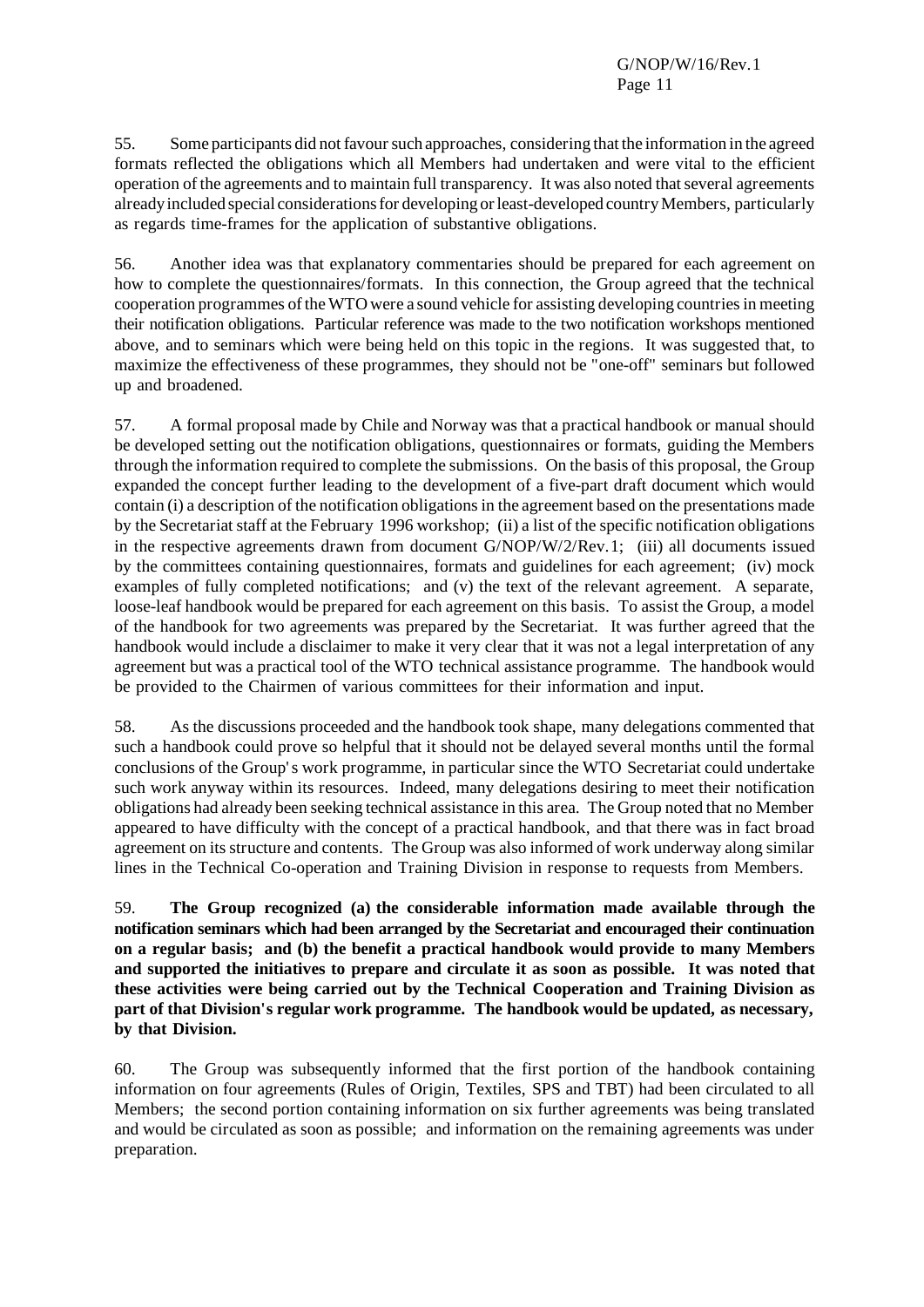55. Some participants did not favour such approaches, considering that the information in the agreed formats reflected the obligations which all Members had undertaken and were vital to the efficient operation of the agreements and to maintain full transparency. It was also noted thatseveral agreements alreadyincluded special considerationsfor developing orleast-developed countryMembers, particularly as regards time-frames for the application of substantive obligations.

56. Another idea was that explanatory commentaries should be prepared for each agreement on how to complete the questionnaires/formats. In this connection, the Group agreed that the technical cooperation programmes ofthe WTO were a sound vehicle for assisting developing countriesin meeting their notification obligations. Particular reference was made to the two notification workshops mentioned above, and to seminars which were being held on this topic in the regions. It was suggested that, to maximize the effectiveness of these programmes, they should not be "one-off" seminars but followed up and broadened.

57. A formal proposal made by Chile and Norway was that a practical handbook or manual should be developed setting out the notification obligations, questionnaires or formats, guiding the Members through the information required to complete the submissions. On the basis of this proposal, the Group expanded the concept further leading to the development of a five-part draft document which would contain (i) a description of the notification obligations in the agreement based on the presentations made by the Secretariat staff at the February 1996 workshop; (ii) a list of the specific notification obligations in the respective agreements drawn from document G/NOP/W/2/Rev.1; (iii) all documents issued by the committees containing questionnaires, formats and guidelines for each agreement; (iv) mock examples of fully completed notifications; and (v) the text of the relevant agreement. A separate, loose-leaf handbook would be prepared for each agreement on this basis. To assist the Group, a model of the handbook for two agreements was prepared by the Secretariat. It was further agreed that the handbook would include a disclaimer to make it very clear that it was not a legal interpretation of any agreement but was a practical tool of the WTO technical assistance programme. The handbook would be provided to the Chairmen of various committees for their information and input.

58. As the discussions proceeded and the handbook took shape, many delegations commented that such a handbook could prove so helpful that it should not be delayed several months until the formal conclusions of the Group's work programme, in particular since the WTO Secretariat could undertake such work anyway within its resources. Indeed, many delegations desiring to meet their notification obligations had already been seeking technical assistance in this area. The Group noted that no Member appeared to have difficulty with the concept of a practical handbook, and that there was in fact broad agreement on its structure and contents. The Group was also informed of work underway along similar lines in the Technical Co-operation and Training Division in response to requests from Members.

59. **The Group recognized (a) the considerable information made available through the notification seminars which had been arranged by the Secretariat and encouraged their continuation on a regular basis; and (b) the benefit a practical handbook would provide to many Members and supported the initiatives to prepare and circulate it as soon as possible. It was noted that these activities were being carried out by the Technical Cooperation and Training Division as part of that Division's regular work programme. The handbook would be updated, as necessary, by that Division.**

60. The Group was subsequently informed that the first portion of the handbook containing information on four agreements (Rules of Origin, Textiles, SPS and TBT) had been circulated to all Members; the second portion containing information on six further agreements was being translated and would be circulated as soon as possible; and information on the remaining agreements was under preparation.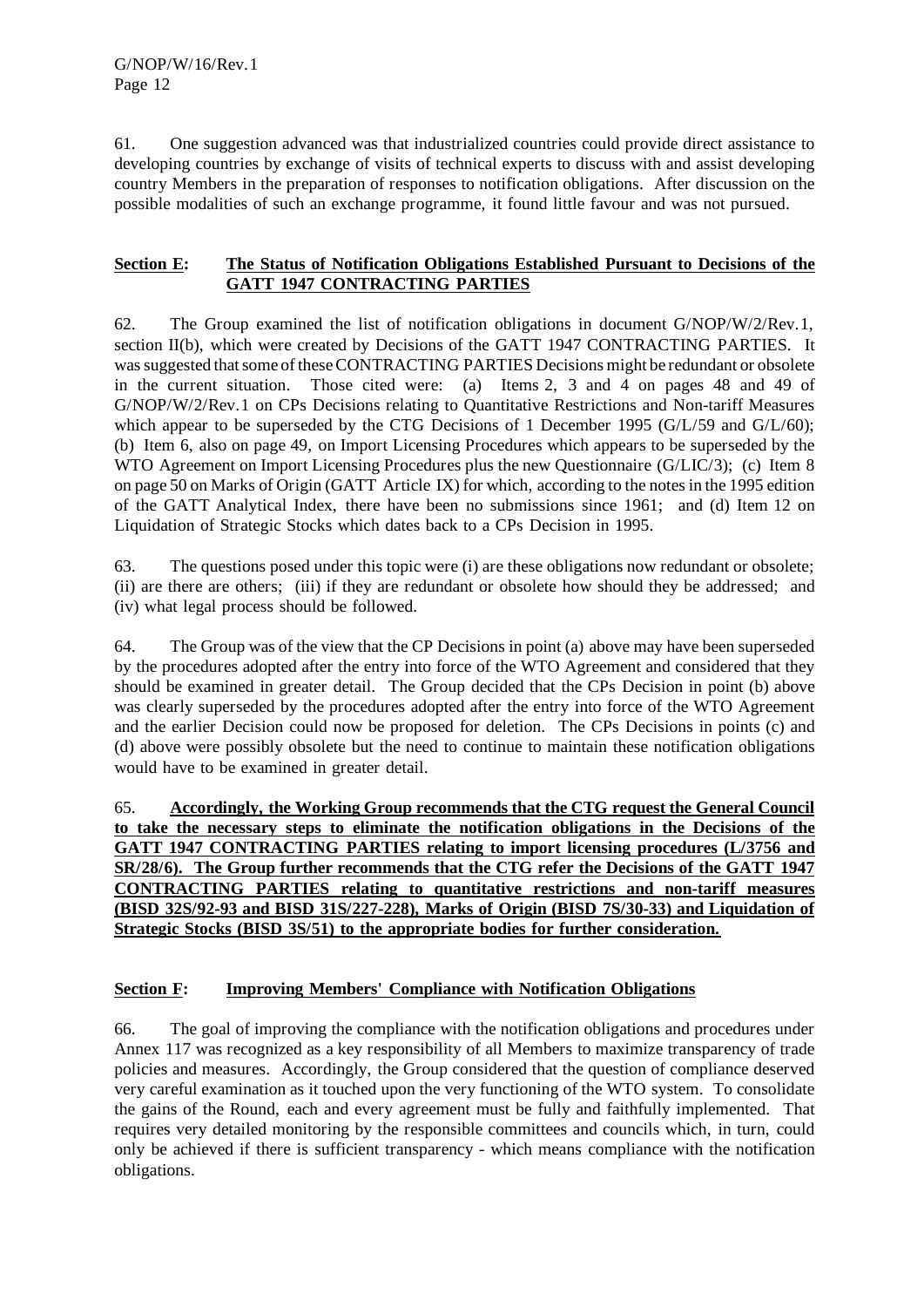61. One suggestion advanced was that industrialized countries could provide direct assistance to developing countries by exchange of visits of technical experts to discuss with and assist developing country Members in the preparation of responses to notification obligations. After discussion on the possible modalities of such an exchange programme, it found little favour and was not pursued.

#### **Section E: The Status of Notification Obligations Established Pursuant to Decisions of the GATT 1947 CONTRACTING PARTIES**

62. The Group examined the list of notification obligations in document G/NOP/W/2/Rev.1, section II(b), which were created by Decisions of the GATT 1947 CONTRACTING PARTIES. It was suggested that some of these CONTRACTING PARTIES Decisions might be redundant or obsolete in the current situation. Those cited were: (a) Items 2, 3 and 4 on pages 48 and 49 of G/NOP/W/2/Rev.1 on CPs Decisions relating to Quantitative Restrictions and Non-tariff Measures which appear to be superseded by the CTG Decisions of 1 December 1995 (G/L/59 and G/L/60); (b) Item 6, also on page 49, on Import Licensing Procedures which appears to be superseded by the WTO Agreement on Import Licensing Procedures plus the new Questionnaire (G/LIC/3); (c) Item 8 on page 50 on Marks of Origin (GATT Article IX) for which, according to the notesin the 1995 edition of the GATT Analytical Index, there have been no submissions since 1961; and (d) Item 12 on Liquidation of Strategic Stocks which dates back to a CPs Decision in 1995.

63. The questions posed under this topic were (i) are these obligations now redundant or obsolete; (ii) are there are others; (iii) if they are redundant or obsolete how should they be addressed; and (iv) what legal process should be followed.

64. The Group was of the view that the CP Decisions in point (a) above may have been superseded by the procedures adopted after the entry into force of the WTO Agreement and considered that they should be examined in greater detail. The Group decided that the CPs Decision in point (b) above was clearly superseded by the procedures adopted after the entry into force of the WTO Agreement and the earlier Decision could now be proposed for deletion. The CPs Decisions in points (c) and (d) above were possibly obsolete but the need to continue to maintain these notification obligations would have to be examined in greater detail.

65. **Accordingly, the Working Group recommends that the CTG request the General Council to take the necessary steps to eliminate the notification obligations in the Decisions of the GATT 1947 CONTRACTING PARTIES relating to import licensing procedures (L/3756 and SR/28/6). The Group further recommends that the CTG refer the Decisions of the GATT 1947 CONTRACTING PARTIES relating to quantitative restrictions and non-tariff measures (BISD 32S/92-93 and BISD 31S/227-228), Marks of Origin (BISD 7S/30-33) and Liquidation of Strategic Stocks (BISD 3S/51) to the appropriate bodies for further consideration.**

## **Section F: Improving Members' Compliance with Notification Obligations**

66. The goal of improving the compliance with the notification obligations and procedures under Annex 117 was recognized as a key responsibility of all Members to maximize transparency of trade policies and measures. Accordingly, the Group considered that the question of compliance deserved very careful examination as it touched upon the very functioning of the WTO system. To consolidate the gains of the Round, each and every agreement must be fully and faithfully implemented. That requires very detailed monitoring by the responsible committees and councils which, in turn, could only be achieved if there is sufficient transparency - which means compliance with the notification obligations.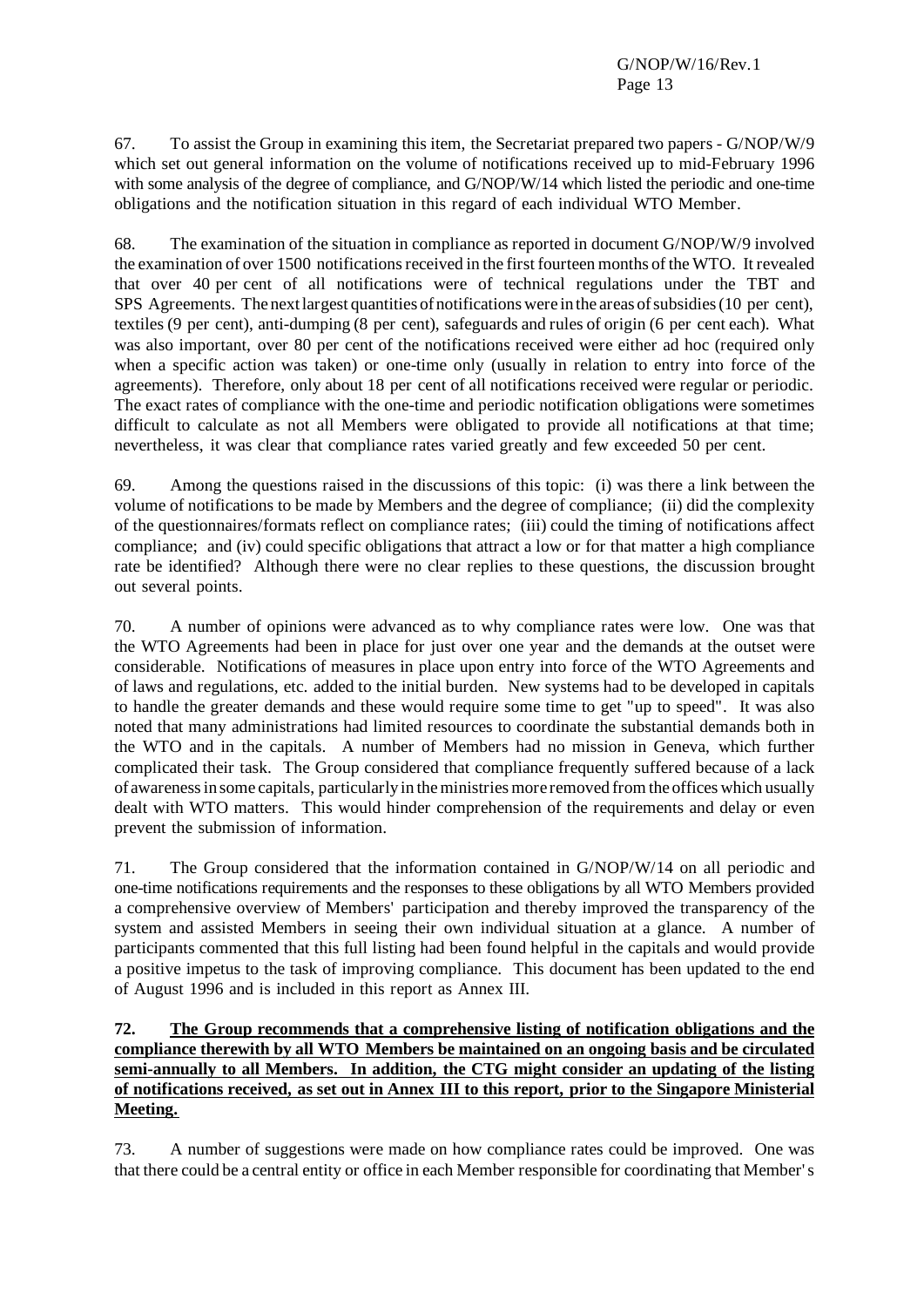67. To assist the Group in examining this item, the Secretariat prepared two papers - G/NOP/W/9 which set out general information on the volume of notifications received up to mid-February 1996 with some analysis of the degree of compliance, and G/NOP/W/14 which listed the periodic and one-time obligations and the notification situation in this regard of each individual WTO Member.

68. The examination of the situation in compliance as reported in document G/NOP/W/9 involved the examination of over 1500 notifications received in the first fourteen months of the WTO. It revealed that over 40 per cent of all notifications were of technical regulations under the TBT and SPS Agreements. The nextlargest quantities of notifications were in the areas ofsubsidies(10 per cent), textiles (9 per cent), anti-dumping (8 per cent), safeguards and rules of origin (6 per cent each). What was also important, over 80 per cent of the notifications received were either ad hoc (required only when a specific action was taken) or one-time only (usually in relation to entry into force of the agreements). Therefore, only about 18 per cent of all notifications received were regular or periodic. The exact rates of compliance with the one-time and periodic notification obligations were sometimes difficult to calculate as not all Members were obligated to provide all notifications at that time; nevertheless, it was clear that compliance rates varied greatly and few exceeded 50 per cent.

69. Among the questions raised in the discussions of this topic: (i) was there a link between the volume of notifications to be made by Members and the degree of compliance; (ii) did the complexity of the questionnaires/formats reflect on compliance rates; (iii) could the timing of notifications affect compliance; and (iv) could specific obligations that attract a low or for that matter a high compliance rate be identified? Although there were no clear replies to these questions, the discussion brought out several points.

70. A number of opinions were advanced as to why compliance rates were low. One was that the WTO Agreements had been in place for just over one year and the demands at the outset were considerable. Notifications of measures in place upon entry into force of the WTO Agreements and of laws and regulations, etc. added to the initial burden. New systems had to be developed in capitals to handle the greater demands and these would require some time to get "up to speed". It was also noted that many administrations had limited resources to coordinate the substantial demands both in the WTO and in the capitals. A number of Members had no mission in Geneva, which further complicated their task. The Group considered that compliance frequently suffered because of a lack of awarenessin some capitals, particularly in theministriesmore removed fromthe offices which usually dealt with WTO matters. This would hinder comprehension of the requirements and delay or even prevent the submission of information.

71. The Group considered that the information contained in G/NOP/W/14 on all periodic and one-time notifications requirements and the responses to these obligations by all WTO Members provided a comprehensive overview of Members' participation and thereby improved the transparency of the system and assisted Members in seeing their own individual situation at a glance. A number of participants commented that this full listing had been found helpful in the capitals and would provide a positive impetus to the task of improving compliance. This document has been updated to the end of August 1996 and is included in this report as Annex III.

### **72. The Group recommends that a comprehensive listing of notification obligations and the compliance therewith by all WTO Members be maintained on an ongoing basis and be circulated semi-annually to all Members. In addition, the CTG might consider an updating of the listing of notifications received, as set out in Annex III to this report, prior to the Singapore Ministerial Meeting.**

73. A number of suggestions were made on how compliance rates could be improved. One was that there could be a central entity or office in each Member responsible for coordinating that Member's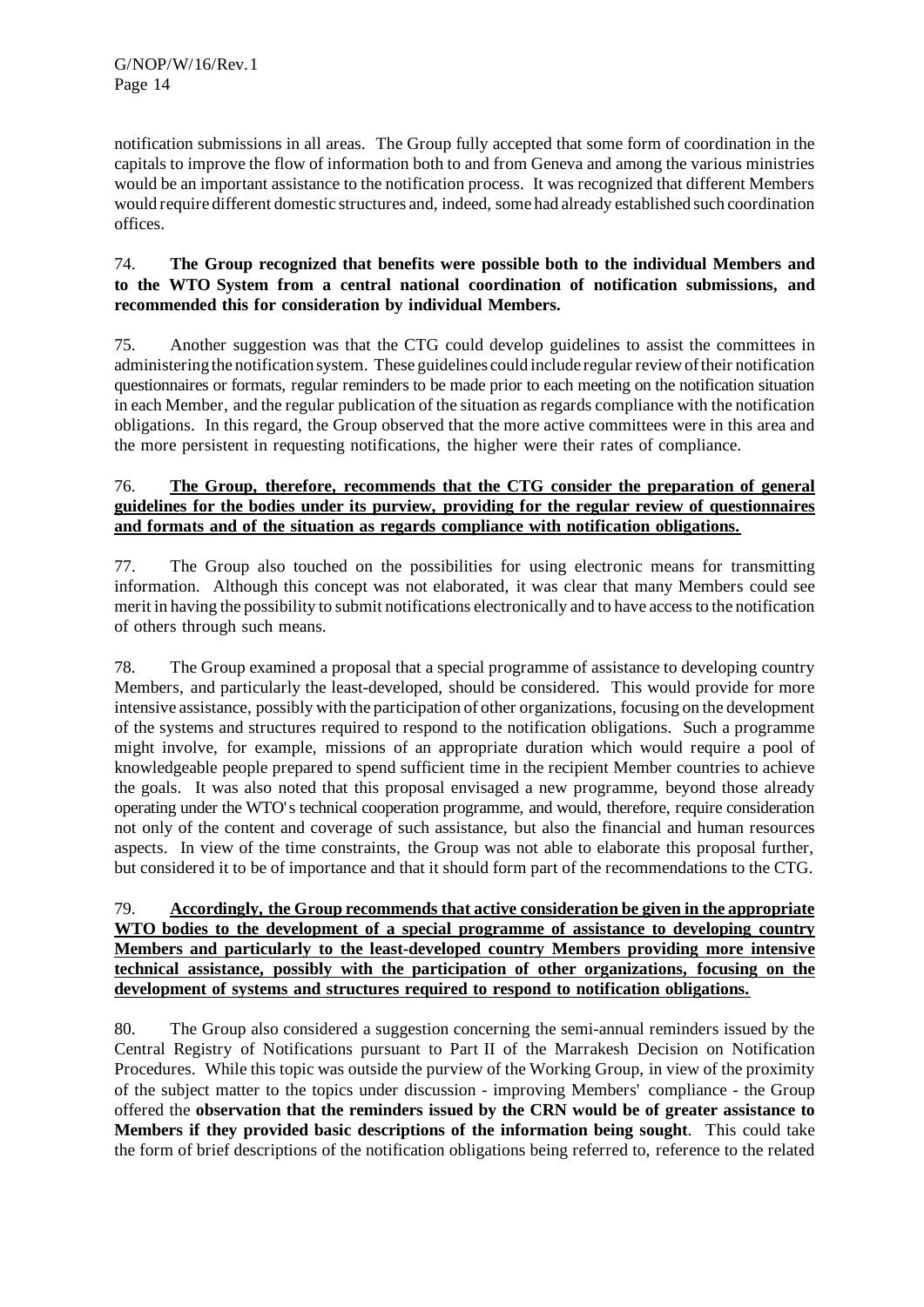notification submissions in all areas. The Group fully accepted that some form of coordination in the capitals to improve the flow of information both to and from Geneva and among the various ministries would be an important assistance to the notification process. It was recognized that different Members would require different domestic structures and, indeed, some had already established such coordination offices.

## 74. **The Group recognized that benefits were possible both to the individual Members and to the WTO System from a central national coordination of notification submissions, and recommended this for consideration by individual Members.**

75. Another suggestion was that the CTG could develop guidelines to assist the committees in administering the notification system. These guidelines could include regular review of their notification questionnaires or formats, regular reminders to be made prior to each meeting on the notification situation in each Member, and the regular publication of the situation asregards compliance with the notification obligations. In this regard, the Group observed that the more active committees were in this area and the more persistent in requesting notifications, the higher were their rates of compliance.

## 76. **The Group, therefore, recommends that the CTG consider the preparation of general guidelines for the bodies under its purview, providing for the regular review of questionnaires and formats and of the situation as regards compliance with notification obligations.**

77. The Group also touched on the possibilities for using electronic means for transmitting information. Although this concept was not elaborated, it was clear that many Members could see merit in having the possibility to submit notifications electronically and to have accessto the notification of others through such means.

78. The Group examined a proposal that a special programme of assistance to developing country Members, and particularly the least-developed, should be considered. This would provide for more intensive assistance, possibly with the participation of other organizations, focusing on the development of the systems and structures required to respond to the notification obligations. Such a programme might involve, for example, missions of an appropriate duration which would require a pool of knowledgeable people prepared to spend sufficient time in the recipient Member countries to achieve the goals. It was also noted that this proposal envisaged a new programme, beyond those already operating under the WTO's technical cooperation programme, and would, therefore, require consideration not only of the content and coverage of such assistance, but also the financial and human resources aspects. In view of the time constraints, the Group was not able to elaborate this proposal further, but considered it to be of importance and that it should form part of the recommendations to the CTG.

## 79. **Accordingly, the Group recommends that active consideration be given in the appropriate WTO bodies to the development of a special programme of assistance to developing country Members and particularly to the least-developed country Members providing more intensive technical assistance, possibly with the participation of other organizations, focusing on the development of systems and structures required to respond to notification obligations.**

80. The Group also considered a suggestion concerning the semi-annual reminders issued by the Central Registry of Notifications pursuant to Part II of the Marrakesh Decision on Notification Procedures. While this topic was outside the purview of the Working Group, in view of the proximity of the subject matter to the topics under discussion - improving Members' compliance - the Group offered the **observation that the reminders issued by the CRN would be of greater assistance to Members if they provided basic descriptions of the information being sought**. This could take the form of brief descriptions of the notification obligations being referred to, reference to the related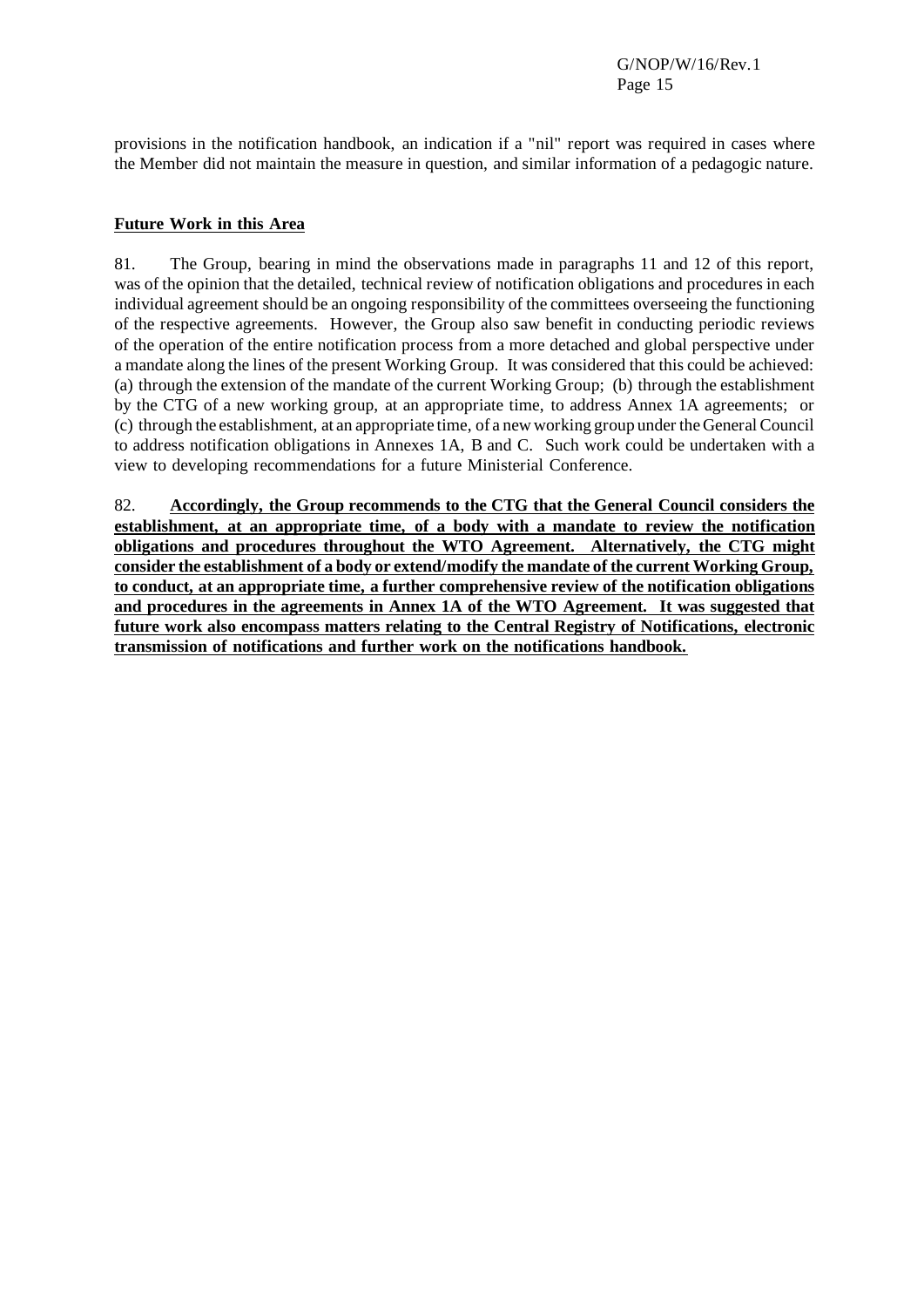provisions in the notification handbook, an indication if a "nil" report was required in cases where the Member did not maintain the measure in question, and similar information of a pedagogic nature.

## **Future Work in this Area**

81. The Group, bearing in mind the observations made in paragraphs 11 and 12 of this report, was of the opinion that the detailed, technical review of notification obligations and procedures in each individual agreement should be an ongoing responsibility of the committees overseeing the functioning of the respective agreements. However, the Group also saw benefit in conducting periodic reviews of the operation of the entire notification process from a more detached and global perspective under a mandate along the lines of the present Working Group. It was considered that this could be achieved: (a) through the extension of the mandate of the current Working Group; (b) through the establishment by the CTG of a new working group, at an appropriate time, to address Annex 1A agreements; or (c) through the establishment, at an appropriate time, of a new working group underthe GeneralCouncil to address notification obligations in Annexes 1A, B and C. Such work could be undertaken with a view to developing recommendations for a future Ministerial Conference.

82. **Accordingly, the Group recommends to the CTG that the General Council considers the establishment, at an appropriate time, of a body with a mandate to review the notification obligations and procedures throughout the WTO Agreement. Alternatively, the CTG might consider the establishment of a body or extend/modify the mandate ofthe current Working Group, to conduct, at an appropriate time, a further comprehensive review of the notification obligations and procedures in the agreements in Annex 1A of the WTO Agreement. It was suggested that future work also encompass matters relating to the Central Registry of Notifications, electronic transmission of notifications and further work on the notifications handbook.**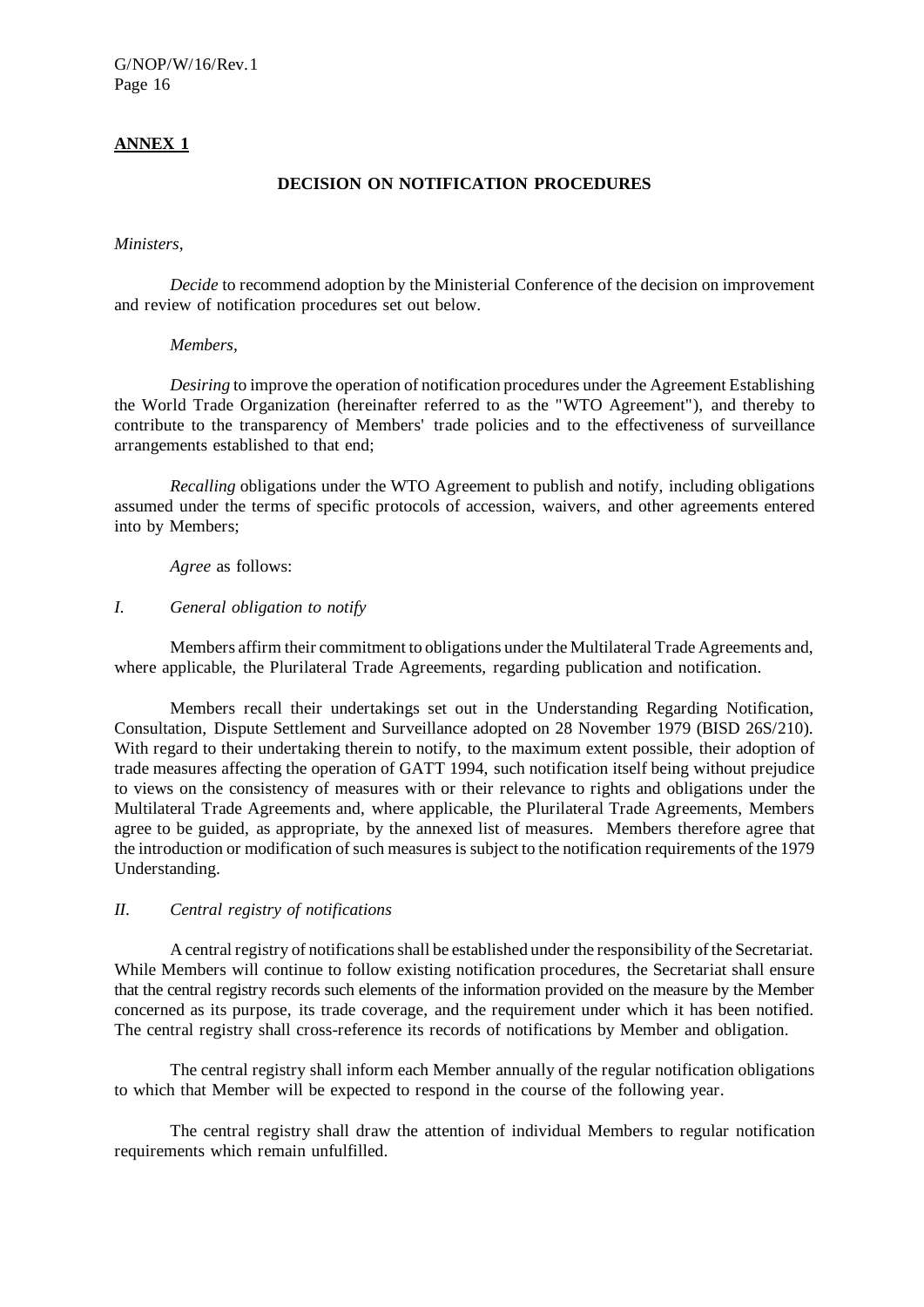#### **ANNEX 1**

#### **DECISION ON NOTIFICATION PROCEDURES**

#### *Ministers,*

*Decide* to recommend adoption by the Ministerial Conference of the decision on improvement and review of notification procedures set out below.

#### *Members,*

*Desiring* to improve the operation of notification procedures under the Agreement Establishing the World Trade Organization (hereinafter referred to as the "WTO Agreement"), and thereby to contribute to the transparency of Members' trade policies and to the effectiveness of surveillance arrangements established to that end;

*Recalling* obligations under the WTO Agreement to publish and notify, including obligations assumed under the terms of specific protocols of accession, waivers, and other agreements entered into by Members;

*Agree* as follows:

#### *I*. *General obligation to notify*

Members affirm their commitment to obligations under the Multilateral Trade Agreements and, where applicable, the Plurilateral Trade Agreements, regarding publication and notification.

Members recall their undertakings set out in the Understanding Regarding Notification, Consultation, Dispute Settlement and Surveillance adopted on 28 November 1979 (BISD 26S/210). With regard to their undertaking therein to notify, to the maximum extent possible, their adoption of trade measures affecting the operation of GATT 1994, such notification itself being without prejudice to views on the consistency of measures with or their relevance to rights and obligations under the Multilateral Trade Agreements and, where applicable, the Plurilateral Trade Agreements, Members agree to be guided, as appropriate, by the annexed list of measures. Members therefore agree that the introduction or modification of such measures is subject to the notification requirements of the 1979 Understanding.

#### *II*. *Central registry of notifications*

A central registry of notifications shall be established under the responsibility of the Secretariat. While Members will continue to follow existing notification procedures, the Secretariat shall ensure that the central registry records such elements of the information provided on the measure by the Member concerned as its purpose, its trade coverage, and the requirement under which it has been notified. The central registry shall cross-reference its records of notifications by Member and obligation.

The central registry shall inform each Member annually of the regular notification obligations to which that Member will be expected to respond in the course of the following year.

The central registry shall draw the attention of individual Members to regular notification requirements which remain unfulfilled.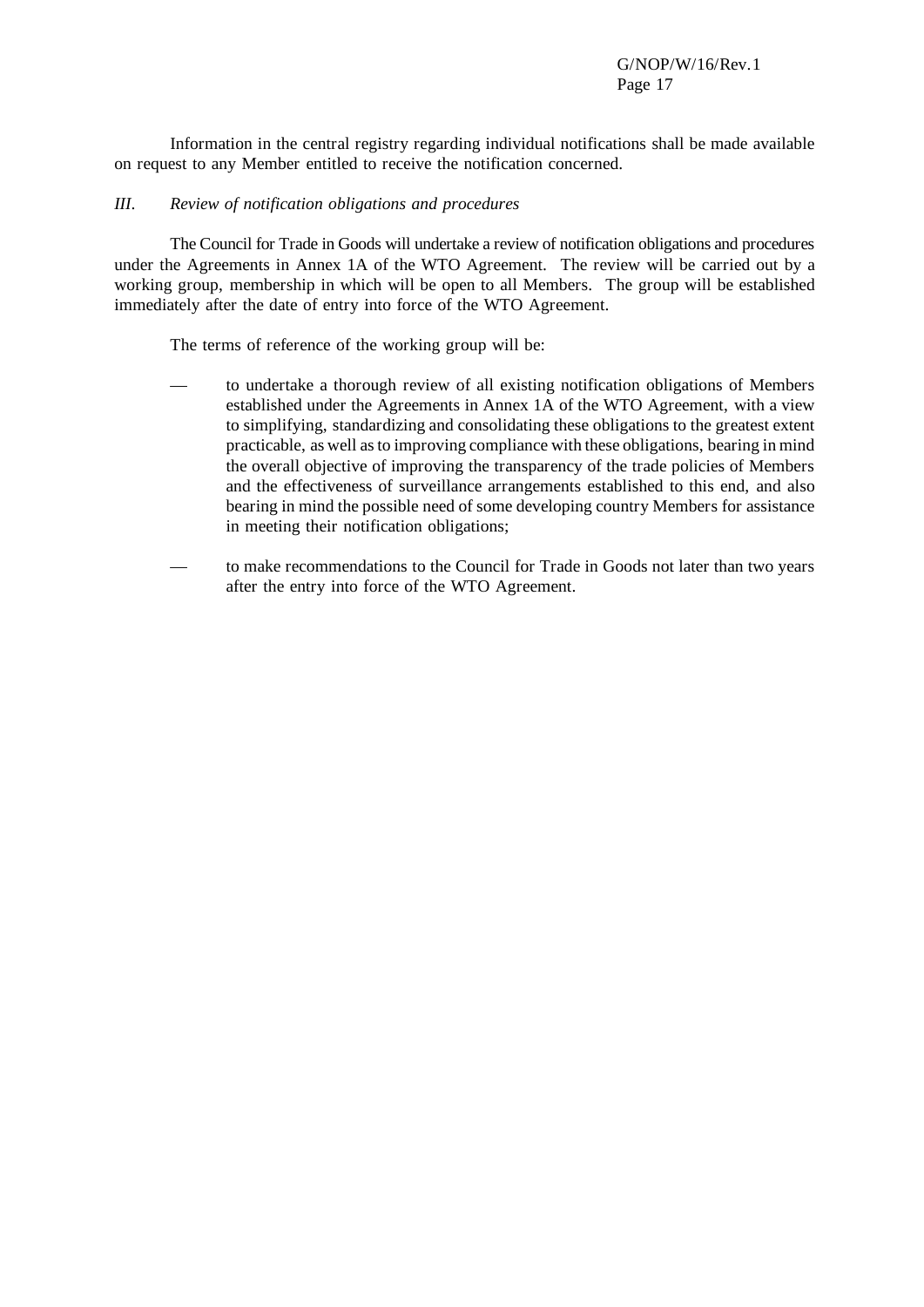Information in the central registry regarding individual notifications shall be made available on request to any Member entitled to receive the notification concerned.

#### *III*. *Review of notification obligations and procedures*

The Council for Trade in Goods will undertake a review of notification obligations and procedures under the Agreements in Annex 1A of the WTO Agreement. The review will be carried out by a working group, membership in which will be open to all Members. The group will be established immediately after the date of entry into force of the WTO Agreement.

The terms of reference of the working group will be:

- to undertake a thorough review of all existing notification obligations of Members established under the Agreements in Annex 1A of the WTO Agreement, with a view to simplifying, standardizing and consolidating these obligations to the greatest extent practicable, as well asto improving compliance with these obligations, bearing in mind the overall objective of improving the transparency of the trade policies of Members and the effectiveness of surveillance arrangements established to this end, and also bearing in mind the possible need of some developing country Members for assistance in meeting their notification obligations;
- to make recommendations to the Council for Trade in Goods not later than two years after the entry into force of the WTO Agreement.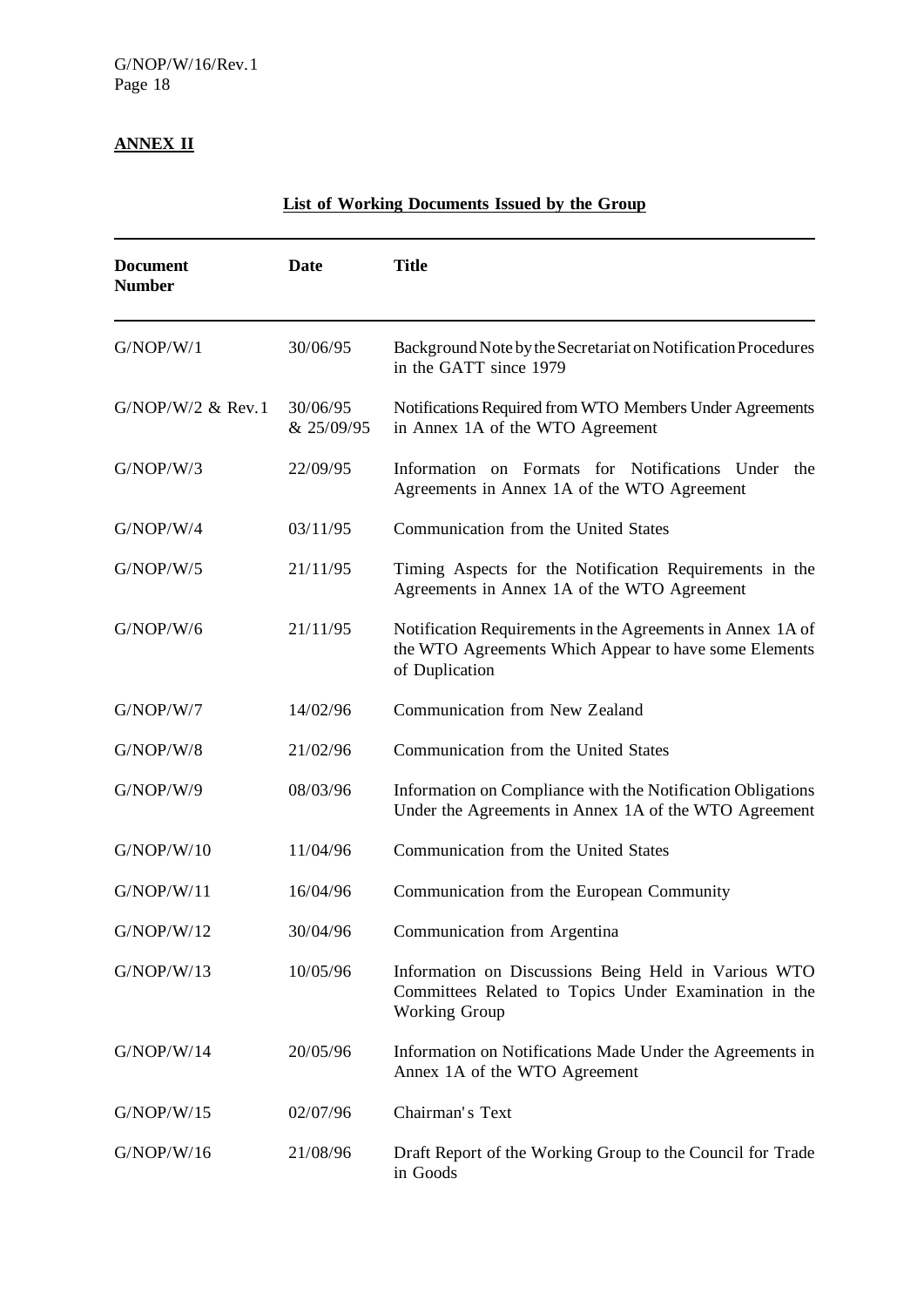# **ANNEX II**

# **List of Working Documents Issued by the Group**

| <b>Document</b><br><b>Number</b> | <b>Date</b>            | <b>Title</b>                                                                                                                          |
|----------------------------------|------------------------|---------------------------------------------------------------------------------------------------------------------------------------|
| G/NOP/W/1                        | 30/06/95               | Background Note by the Secretariat on Notification Procedures<br>in the GATT since 1979                                               |
| $G/NOP/W/2$ & Rev. 1             | 30/06/95<br>& 25/09/95 | Notifications Required from WTO Members Under Agreements<br>in Annex 1A of the WTO Agreement                                          |
| G/NOP/W/3                        | 22/09/95               | Information on Formats for Notifications Under<br>the<br>Agreements in Annex 1A of the WTO Agreement                                  |
| G/NOP/W/4                        | 03/11/95               | Communication from the United States                                                                                                  |
| G/NOP/W/5                        | 21/11/95               | Timing Aspects for the Notification Requirements in the<br>Agreements in Annex 1A of the WTO Agreement                                |
| G/NOP/W/6                        | 21/11/95               | Notification Requirements in the Agreements in Annex 1A of<br>the WTO Agreements Which Appear to have some Elements<br>of Duplication |
| G/NOP/W/7                        | 14/02/96               | Communication from New Zealand                                                                                                        |
| G/NOP/W/8                        | 21/02/96               | Communication from the United States                                                                                                  |
| G/NOP/W/9                        | 08/03/96               | Information on Compliance with the Notification Obligations<br>Under the Agreements in Annex 1A of the WTO Agreement                  |
| G/NOP/W/10                       | 11/04/96               | Communication from the United States                                                                                                  |
| G/NOP/W/11                       | 16/04/96               | Communication from the European Community                                                                                             |
| G/NOP/W/12                       | 30/04/96               | Communication from Argentina                                                                                                          |
| G/NOP/W/13                       | 10/05/96               | Information on Discussions Being Held in Various WTO<br>Committees Related to Topics Under Examination in the<br><b>Working Group</b> |
| G/NOP/W/14                       | 20/05/96               | Information on Notifications Made Under the Agreements in<br>Annex 1A of the WTO Agreement                                            |
| G/NOP/W/15                       | 02/07/96               | Chairman's Text                                                                                                                       |
| G/NOP/W/16                       | 21/08/96               | Draft Report of the Working Group to the Council for Trade<br>in Goods                                                                |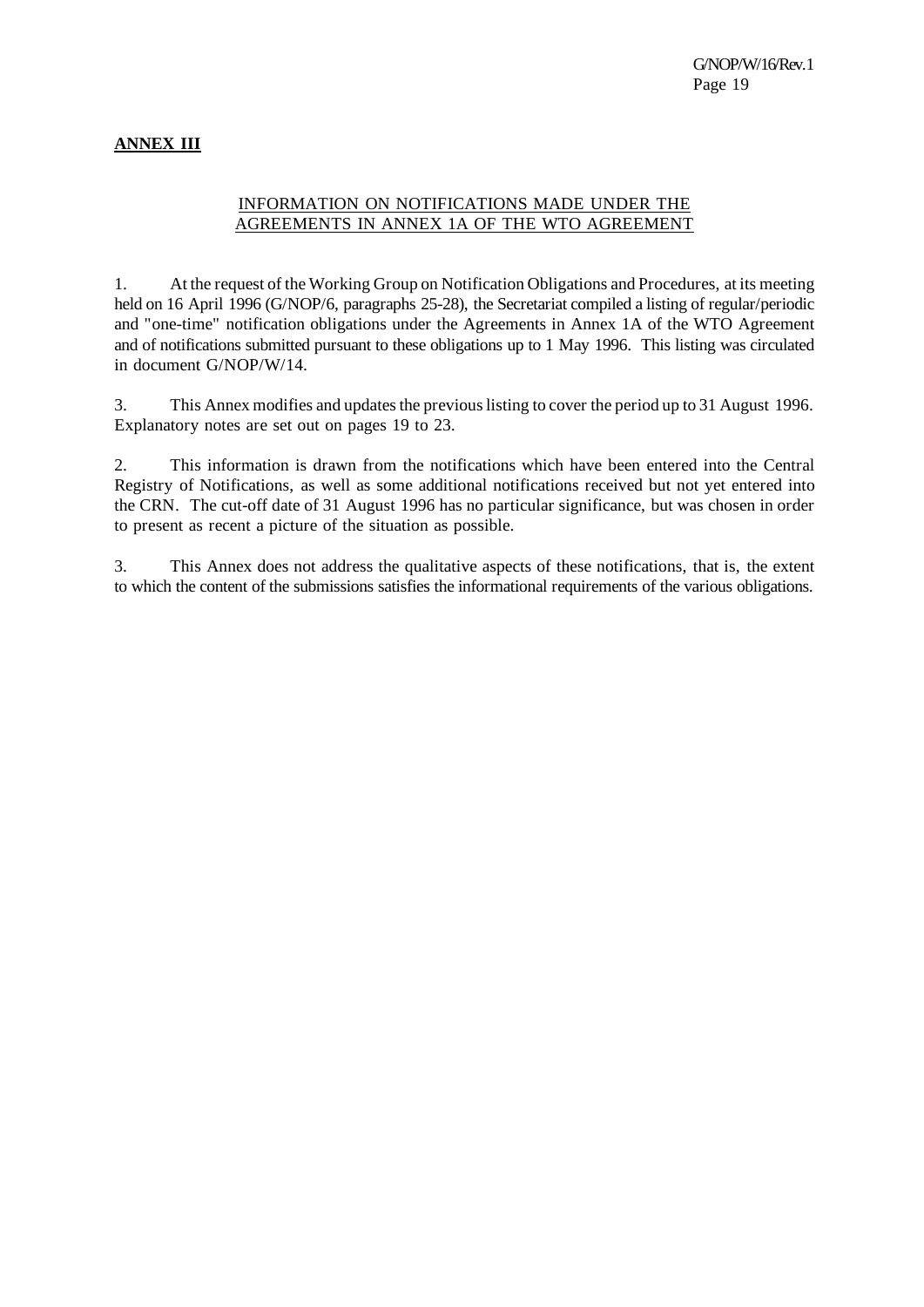## **ANNEX III**

## INFORMATION ON NOTIFICATIONS MADE UNDER THE AGREEMENTS IN ANNEX 1A OF THE WTO AGREEMENT

1. At the request of the Working Group on Notification Obligations and Procedures, at its meeting held on 16 April 1996 (G/NOP/6, paragraphs 25-28), the Secretariat compiled a listing of regular/periodic and "one-time" notification obligations under the Agreements in Annex 1A of the WTO Agreement and of notifications submitted pursuant to these obligations up to 1 May 1996. This listing was circulated in document G/NOP/W/14.

3. This Annex modifies and updates the previous listing to cover the period up to 31 August 1996. Explanatory notes are set out on pages 19 to 23.

2. This information is drawn from the notifications which have been entered into the Central Registry of Notifications, as well as some additional notifications received but not yet entered into the CRN. The cut-off date of 31 August 1996 has no particular significance, but was chosen in order to present as recent a picture of the situation as possible.

3. This Annex does not address the qualitative aspects of these notifications, that is, the extent to which the content of the submissions satisfies the informational requirements of the various obligations.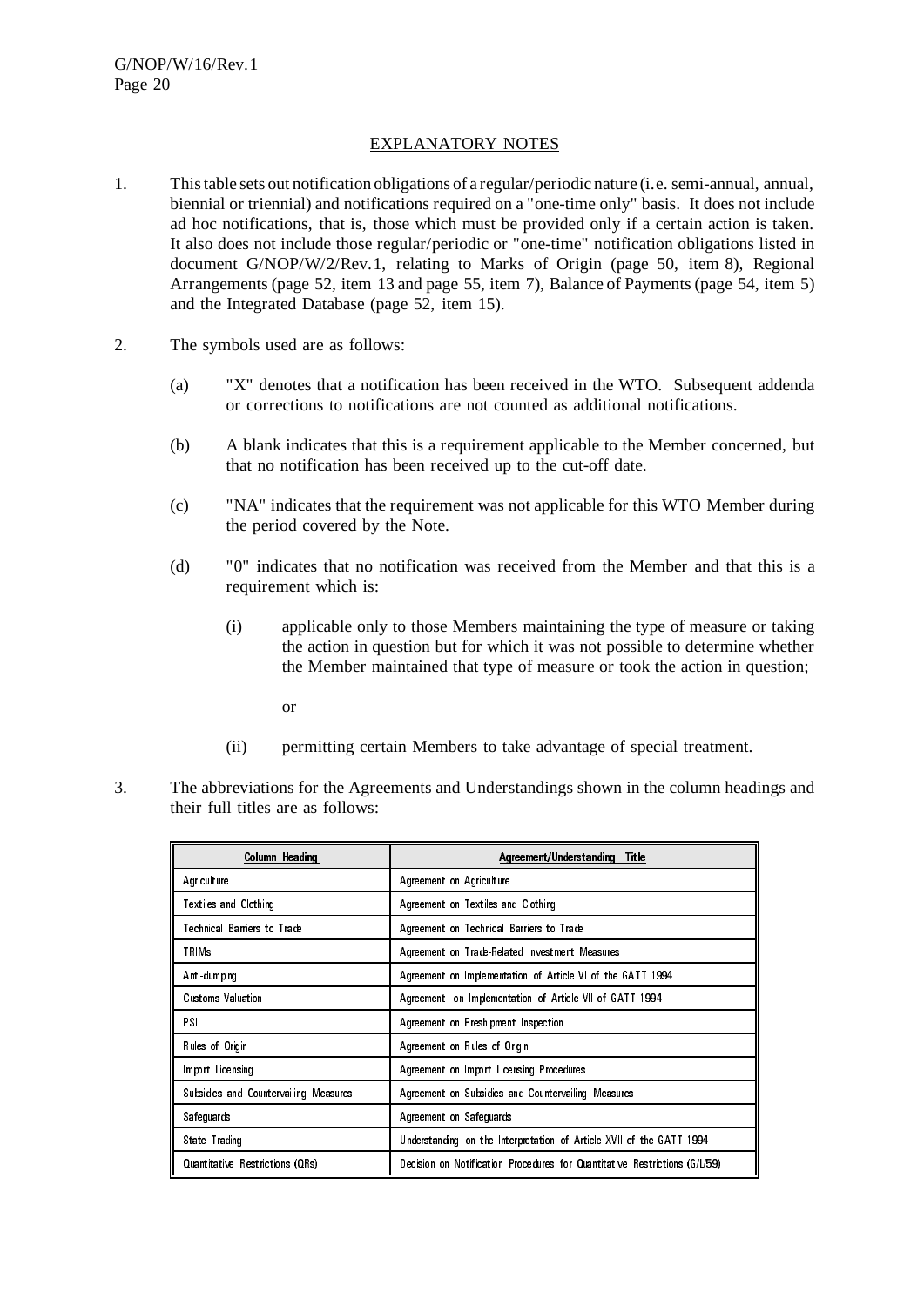## EXPLANATORY NOTES

- 1. This table sets out notification obligations of a regular/periodic nature (i.e. semi-annual, annual, biennial or triennial) and notifications required on a "one-time only" basis. It does not include ad hoc notifications, that is, those which must be provided only if a certain action is taken. It also does not include those regular/periodic or "one-time" notification obligations listed in document G/NOP/W/2/Rev.1, relating to Marks of Origin (page 50, item 8), Regional Arrangements (page 52, item 13 and page 55, item 7), Balance of Payments (page 54, item 5) and the Integrated Database (page 52, item 15).
- 2. The symbols used are as follows:
	- (a) "X" denotes that a notification has been received in the WTO. Subsequent addenda or corrections to notifications are not counted as additional notifications.
	- (b) A blank indicates that this is a requirement applicable to the Member concerned, but that no notification has been received up to the cut-off date.
	- (c) "NA" indicates that the requirement was not applicable for this WTO Member during the period covered by the Note.
	- (d) "0" indicates that no notification was received from the Member and that this is a requirement which is:
		- (i) applicable only to those Members maintaining the type of measure or taking the action in question but for which it was not possible to determine whether the Member maintained that type of measure or took the action in question;
			- or
		- (ii) permitting certain Members to take advantage of special treatment.
- 3. The abbreviations for the Agreements and Understandings shown in the column headings and their full titles are as follows:

| Column Heading                        | Agreement/Understanding Title                                              |
|---------------------------------------|----------------------------------------------------------------------------|
| Agriculture                           | Agreement on Agriculture                                                   |
| Textiles and Clothing                 | Agreement on Textiles and Clothing                                         |
| Technical Barriers to Trade           | Agreement on Technical Barriers to Trade                                   |
| <b>TRIMs</b>                          | Agreement on Trade-Related Investment Measures                             |
| Anti-dumping                          | Agreement on Implementation of Article VI of the GATT 1994                 |
| Customs Valuation                     | Agreement on Implementation of Article VII of GATT 1994                    |
| PSI                                   | Agreement on Preshipment Inspection                                        |
| Rules of Origin                       | Agreement on Rules of Origin                                               |
| Import Licensing                      | Agreement on Import Licensing Procedures                                   |
| Subsidies and Countervalling Measures | Agreement on Subsidies and Countervalling Measures                         |
| Safequards                            | Agreement on Safeguards                                                    |
| State Trading                         | Understanding on the Interpretation of Article XVII of the GATT 1994       |
| Quantitative Restrictions (QRs)       | Decision on Notification Procedures for Quantitative Restrictions (G/L/59) |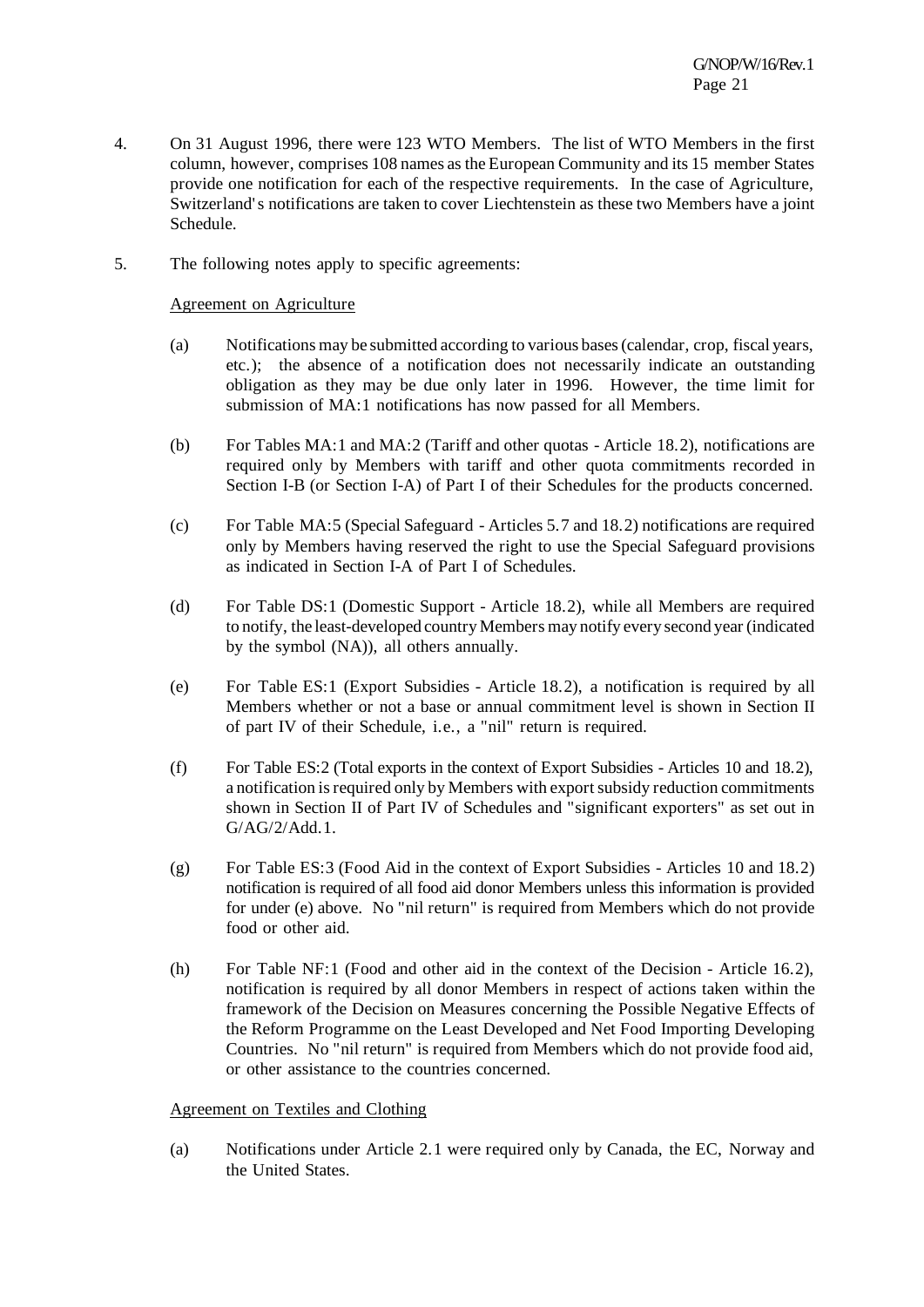- 4. On 31 August 1996, there were 123 WTO Members. The list of WTO Members in the first column, however, comprises 108 names asthe European Community and its 15 member States provide one notification for each of the respective requirements. In the case of Agriculture, Switzerland's notifications are taken to cover Liechtenstein as these two Members have a joint Schedule.
- 5. The following notes apply to specific agreements:

#### Agreement on Agriculture

- (a) Notifications may be submitted according to various bases(calendar, crop, fiscal years, etc.); the absence of a notification does not necessarily indicate an outstanding obligation as they may be due only later in 1996. However, the time limit for submission of MA:1 notifications has now passed for all Members.
- (b) For Tables MA:1 and MA:2 (Tariff and other quotas Article 18.2), notifications are required only by Members with tariff and other quota commitments recorded in Section I-B (or Section I-A) of Part I of their Schedules for the products concerned.
- (c) For Table MA:5 (Special Safeguard Articles 5.7 and 18.2) notifications are required only by Members having reserved the right to use the Special Safeguard provisions as indicated in Section I-A of Part I of Schedules.
- (d) For Table DS:1 (Domestic Support Article 18.2), while all Members are required to notify, the least-developed country Members may notify every second year (indicated by the symbol (NA)), all others annually.
- (e) For Table ES:1 (Export Subsidies Article 18.2), a notification is required by all Members whether or not a base or annual commitment level is shown in Section II of part IV of their Schedule, i.e., a "nil" return is required.
- (f) For Table ES:2 (Total exports in the context of Export Subsidies Articles 10 and 18.2), a notification is required only by Members with export subsidy reduction commitments shown in Section II of Part IV of Schedules and "significant exporters" as set out in G/AG/2/Add.1.
- (g) For Table ES:3 (Food Aid in the context of Export Subsidies Articles 10 and 18.2) notification is required of all food aid donor Members unless this information is provided for under (e) above. No "nil return" is required from Members which do not provide food or other aid.
- (h) For Table NF:1 (Food and other aid in the context of the Decision Article 16.2), notification is required by all donor Members in respect of actions taken within the framework of the Decision on Measures concerning the Possible Negative Effects of the Reform Programme on the Least Developed and Net Food Importing Developing Countries. No "nil return" is required from Members which do not provide food aid, or other assistance to the countries concerned.

#### Agreement on Textiles and Clothing

(a) Notifications under Article 2.1 were required only by Canada, the EC, Norway and the United States.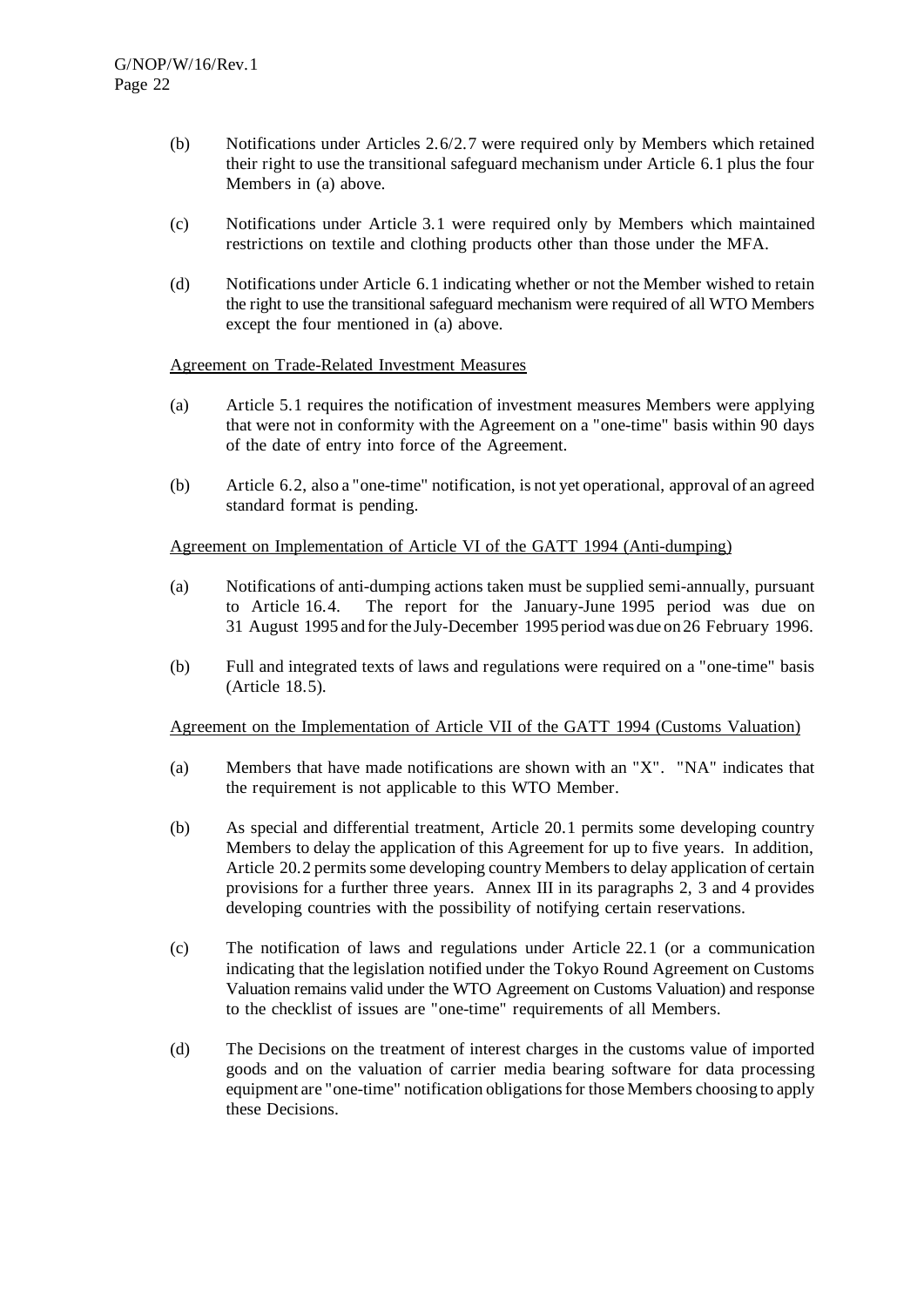- (b) Notifications under Articles 2.6/2.7 were required only by Members which retained their right to use the transitional safeguard mechanism under Article 6.1 plus the four Members in (a) above.
- (c) Notifications under Article 3.1 were required only by Members which maintained restrictions on textile and clothing products other than those under the MFA.
- (d) Notifications under Article 6.1 indicating whether or not the Member wished to retain the right to use the transitional safeguard mechanism were required of all WTO Members except the four mentioned in (a) above.

#### Agreement on Trade-Related Investment Measures

- (a) Article 5.1 requires the notification of investment measures Members were applying that were not in conformity with the Agreement on a "one-time" basis within 90 days of the date of entry into force of the Agreement.
- (b) Article 6.2, also a "one-time" notification, is not yet operational, approval of an agreed standard format is pending.

#### Agreement on Implementation of Article VI of the GATT 1994 (Anti-dumping)

- (a) Notifications of anti-dumping actions taken must be supplied semi-annually, pursuant to Article 16.4. The report for the January-June 1995 period was due on 31 August 1995 and forthe July-December 1995 period was due on 26 February 1996.
- (b) Full and integrated texts of laws and regulations were required on a "one-time" basis (Article 18.5).

#### Agreement on the Implementation of Article VII of the GATT 1994 (Customs Valuation)

- (a) Members that have made notifications are shown with an "X". "NA" indicates that the requirement is not applicable to this WTO Member.
- (b) As special and differential treatment, Article 20.1 permits some developing country Members to delay the application of this Agreement for up to five years. In addition, Article 20.2 permits some developing country Members to delay application of certain provisions for a further three years. Annex III in its paragraphs 2, 3 and 4 provides developing countries with the possibility of notifying certain reservations.
- (c) The notification of laws and regulations under Article 22.1 (or a communication indicating that the legislation notified under the Tokyo Round Agreement on Customs Valuation remains valid under the WTO Agreement on Customs Valuation) and response to the checklist of issues are "one-time" requirements of all Members.
- (d) The Decisions on the treatment of interest charges in the customs value of imported goods and on the valuation of carrier media bearing software for data processing equipment are "one-time" notification obligationsforthose Members choosing to apply these Decisions.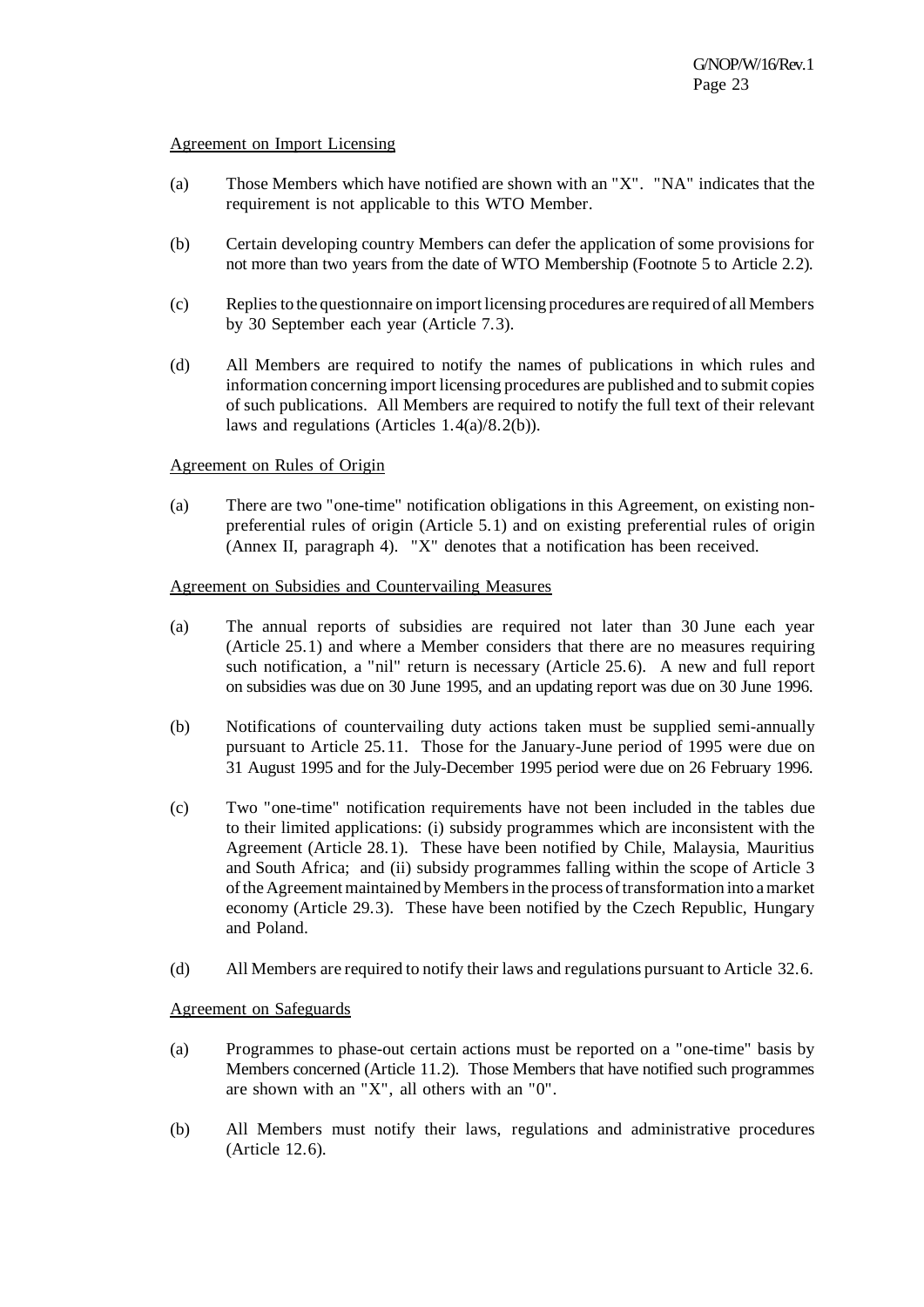#### Agreement on Import Licensing

- (a) Those Members which have notified are shown with an "X". "NA" indicates that the requirement is not applicable to this WTO Member.
- (b) Certain developing country Members can defer the application of some provisions for not more than two years from the date of WTO Membership (Footnote 5 to Article 2.2).
- (c) Repliesto the questionnaire on import licensing procedures are required of all Members by 30 September each year (Article 7.3).
- (d) All Members are required to notify the names of publications in which rules and information concerning import licensing procedures are published and to submit copies of such publications. All Members are required to notify the full text of their relevant laws and regulations (Articles 1.4(a)/8.2(b)).

#### Agreement on Rules of Origin

(a) There are two "one-time" notification obligations in this Agreement, on existing nonpreferential rules of origin (Article 5.1) and on existing preferential rules of origin (Annex II, paragraph 4). "X" denotes that a notification has been received.

#### Agreement on Subsidies and Countervailing Measures

- (a) The annual reports of subsidies are required not later than 30 June each year (Article 25.1) and where a Member considers that there are no measures requiring such notification, a "nil" return is necessary (Article 25.6). A new and full report on subsidies was due on 30 June 1995, and an updating report was due on 30 June 1996.
- (b) Notifications of countervailing duty actions taken must be supplied semi-annually pursuant to Article 25.11. Those for the January-June period of 1995 were due on 31 August 1995 and for the July-December 1995 period were due on 26 February 1996.
- (c) Two "one-time" notification requirements have not been included in the tables due to their limited applications: (i) subsidy programmes which are inconsistent with the Agreement (Article 28.1). These have been notified by Chile, Malaysia, Mauritius and South Africa; and (ii) subsidy programmes falling within the scope of Article 3 ofthe Agreementmaintained by Membersin the process oftransformation into amarket economy (Article 29.3). These have been notified by the Czech Republic, Hungary and Poland.
- (d) All Members are required to notify theirlaws and regulations pursuant to Article 32.6.

#### Agreement on Safeguards

- (a) Programmes to phase-out certain actions must be reported on a "one-time" basis by Members concerned (Article 11.2). Those Members that have notified such programmes are shown with an "X", all others with an "0".
- (b) All Members must notify their laws, regulations and administrative procedures (Article 12.6).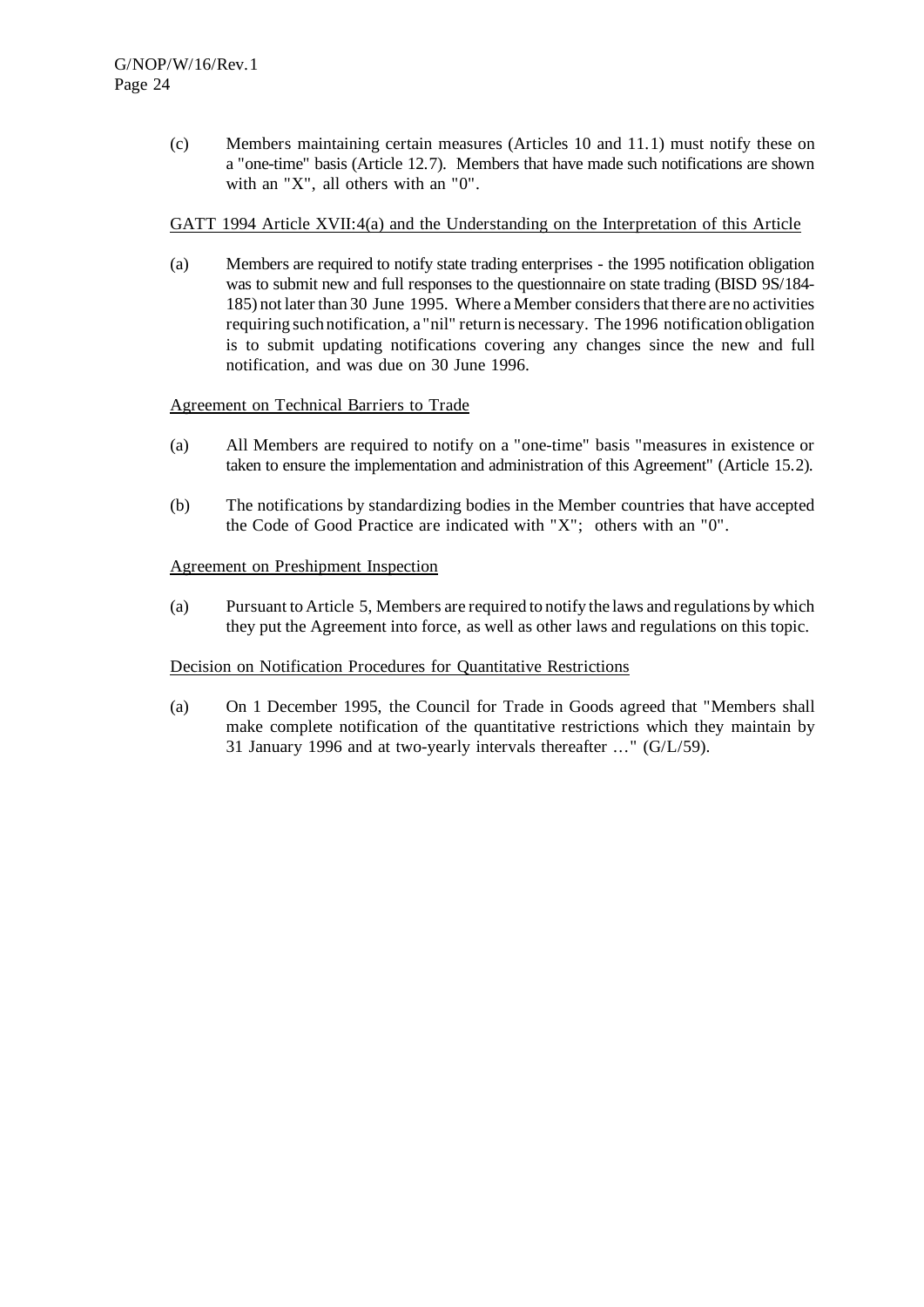(c) Members maintaining certain measures (Articles 10 and 11.1) must notify these on a "one-time" basis (Article 12.7). Members that have made such notifications are shown with an "X", all others with an "0".

#### GATT 1994 Article XVII:4(a) and the Understanding on the Interpretation of this Article

(a) Members are required to notify state trading enterprises - the 1995 notification obligation was to submit new and full responses to the questionnaire on state trading (BISD 9S/184- 185) not laterthan 30 June 1995. Where a Member considersthat there are no activities requiring such notification, a "nil" return is necessary. The 1996 notification obligation is to submit updating notifications covering any changes since the new and full notification, and was due on 30 June 1996.

## Agreement on Technical Barriers to Trade

- (a) All Members are required to notify on a "one-time" basis "measures in existence or taken to ensure the implementation and administration of this Agreement" (Article 15.2).
- (b) The notifications by standardizing bodies in the Member countries that have accepted the Code of Good Practice are indicated with "X"; others with an "0".

#### Agreement on Preshipment Inspection

(a) Pursuant to Article 5, Members are required to notify the laws and regulations by which they put the Agreement into force, as well as other laws and regulations on this topic.

#### Decision on Notification Procedures for Quantitative Restrictions

(a) On 1 December 1995, the Council for Trade in Goods agreed that "Members shall make complete notification of the quantitative restrictions which they maintain by 31 January 1996 and at two-yearly intervals thereafter ..." (G/L/59).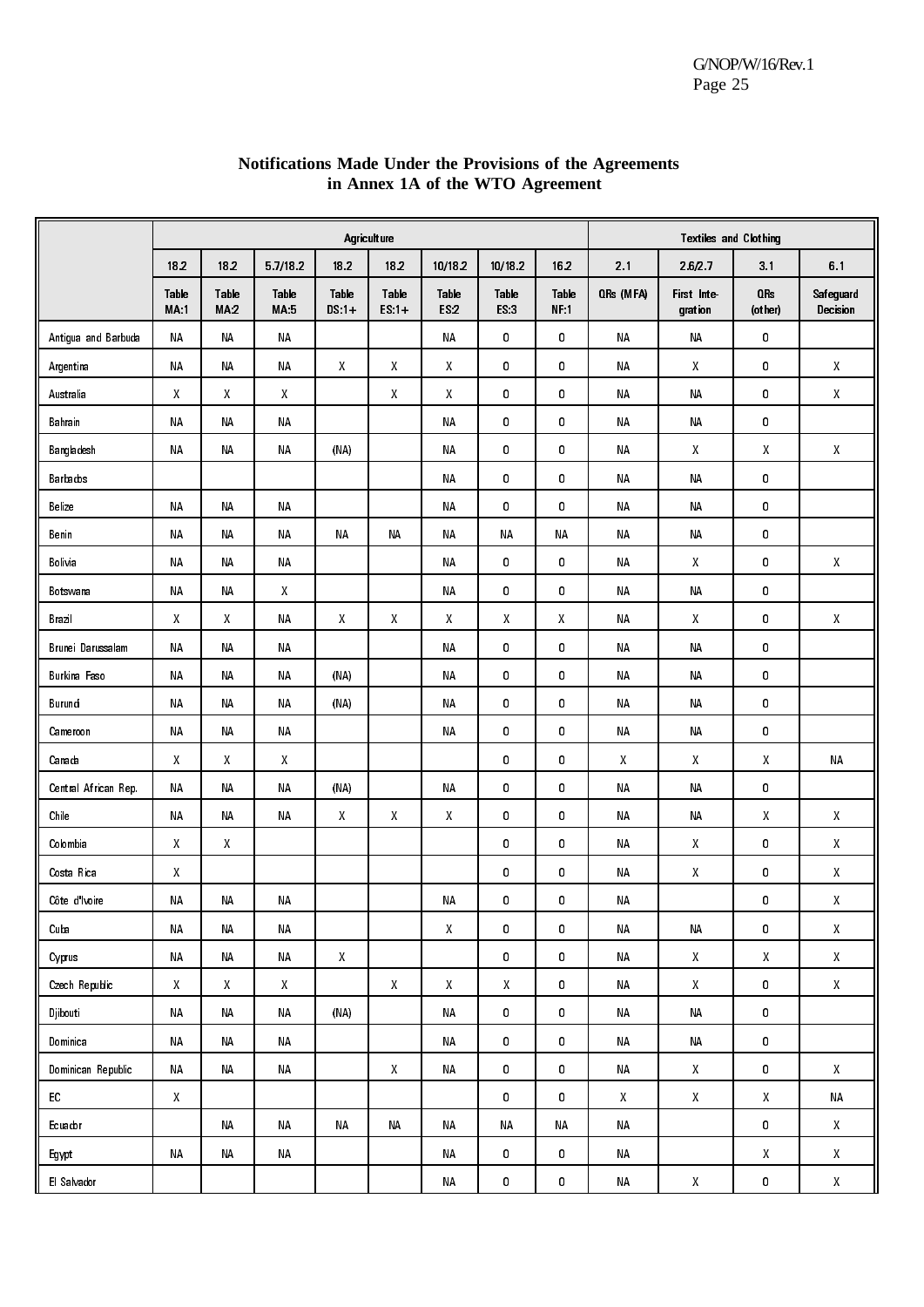|                      |                      |                          |                          |                    | Agriculture                                         |                                                     |                    |               |                    | <b>Textiles and Clothing</b><br>26/27<br>61<br>31<br>$0$ Rs<br>Safeguard<br>First Inte<br>Decision<br>gration<br>(other)<br>NΑ<br>0<br>0<br>$\mathsf{X}% _{0}^{\prime}=\mathsf{X}_{0}^{\prime}$<br>X<br>Χ<br>NΑ<br>0<br><b>NA</b><br>0<br>X<br>X<br>X |                |                                                     |
|----------------------|----------------------|--------------------------|--------------------------|--------------------|-----------------------------------------------------|-----------------------------------------------------|--------------------|---------------|--------------------|-------------------------------------------------------------------------------------------------------------------------------------------------------------------------------------------------------------------------------------------------------|----------------|-----------------------------------------------------|
|                      | 182                  | 182                      | 5 7/18 2                 | 182                | 182                                                 | 10/18 2                                             | 10/18.2            | 16.2          | 21                 |                                                                                                                                                                                                                                                       |                |                                                     |
|                      | Table<br><b>MA:1</b> | Table<br>MA <sub>2</sub> | Table<br>MA <sub>5</sub> | Table<br>$DS:1+$   | Table<br>$ES:1 +$                                   | Table<br><b>ES.2</b>                                | Table<br>FS.3      | Table<br>NF:1 | ORs (MFA)          |                                                                                                                                                                                                                                                       |                |                                                     |
| Antigua and Barbuda  | <b>NA</b>            | ΝA                       | NΑ                       |                    |                                                     | NΑ                                                  | 0                  | 0             | <b>NA</b>          |                                                                                                                                                                                                                                                       |                |                                                     |
| Argentina            | <b>NA</b>            | <b>NA</b>                | <b>NA</b>                | X                  | Χ                                                   | X                                                   | 0                  | 0             | <b>NA</b>          |                                                                                                                                                                                                                                                       |                |                                                     |
| Australia            | X                    | X                        | X                        |                    | Χ                                                   | X                                                   | 0                  | 0             | ΝA                 |                                                                                                                                                                                                                                                       |                |                                                     |
| Bahrain              | <b>NA</b>            | <b>NA</b>                | <b>NA</b>                |                    |                                                     | <b>NA</b>                                           | 0                  | 0             | <b>NA</b>          |                                                                                                                                                                                                                                                       |                |                                                     |
| Bangladesh           | ΝA                   | <b>NA</b>                | ΝA                       | (NA)               |                                                     | ΝA                                                  | 0                  | 0             | NΑ                 |                                                                                                                                                                                                                                                       |                |                                                     |
| Barbados             |                      |                          |                          |                    |                                                     | ΝA                                                  | 0                  | 0             | <b>NA</b>          | NΑ                                                                                                                                                                                                                                                    | 0              |                                                     |
| Belize               | <b>NA</b>            | <b>NA</b>                | <b>NA</b>                |                    |                                                     | NΑ                                                  | 0                  | 0             | NΑ                 | NΑ                                                                                                                                                                                                                                                    | 0              |                                                     |
| Benin                | ΝA                   | <b>NA</b>                | ΝA                       | ΝA                 | NΑ                                                  | NΑ                                                  | NA                 | ΝA            | ΝA                 | NΑ                                                                                                                                                                                                                                                    | 0              |                                                     |
| Bolivia              | ΝA                   | ΝA                       | ΝA                       |                    |                                                     | NΑ                                                  | 0                  | 0             | NΑ                 | X                                                                                                                                                                                                                                                     | 0              | X                                                   |
| Botswana             | NΑ                   | <b>NA</b>                | X                        |                    |                                                     | NΑ                                                  | 0                  | 0             | ΝA                 | NΑ                                                                                                                                                                                                                                                    | 0              |                                                     |
| Brazil               | Х                    | $\boldsymbol{X}$         | ΝA                       | Χ                  | χ                                                   | X                                                   | X                  | Χ             | ΝA                 | X                                                                                                                                                                                                                                                     | 0              | X                                                   |
| Brunei Darussalam    | ΝA                   | <b>NA</b>                | NΑ                       |                    |                                                     | ΝA                                                  | 0                  | 0             | ΝA                 | NΑ                                                                                                                                                                                                                                                    | 0              |                                                     |
| Burkina Faso         | ΝA                   | <b>NA</b>                | ΝA                       | (NA)               |                                                     | ΝA                                                  | 0                  | 0             | ΝA                 | NΑ                                                                                                                                                                                                                                                    | 0              |                                                     |
| Burundi              | ΝA                   | <b>NA</b>                | NΑ                       | (NA)               |                                                     | ΝA                                                  | 0                  | 0             | ΝA                 | NΑ                                                                                                                                                                                                                                                    | 0              |                                                     |
| Cameroon             | <b>NA</b>            | <b>NA</b>                | <b>NA</b>                |                    |                                                     | ΝA                                                  | 0                  | 0             | ΝA                 | <b>NA</b>                                                                                                                                                                                                                                             | 0              |                                                     |
| Canada               | Х                    | X                        | Χ                        |                    |                                                     |                                                     | 0                  | 0             | X                  | Χ                                                                                                                                                                                                                                                     | χ              | <b>NA</b>                                           |
| Central African Rep. | <b>NA</b>            | <b>NA</b>                | <b>ΝΑ</b>                | (NA)               |                                                     | ΝA                                                  | 0                  | 0             | ΝA                 | NΑ                                                                                                                                                                                                                                                    | 0              |                                                     |
| Chile                | ΝA                   | ΝA                       | <b>ΝΑ</b>                | χ                  | χ                                                   | Χ                                                   | 0                  | 0             | <b>NA</b>          | NΑ                                                                                                                                                                                                                                                    | Χ              | Χ                                                   |
| Colombia             | X                    | $\boldsymbol{X}$         |                          |                    |                                                     |                                                     | 0                  | 0             | ΝA                 | Χ                                                                                                                                                                                                                                                     | 0              | X                                                   |
| Costa Rica           | Х                    |                          |                          |                    |                                                     |                                                     | 0                  | 0             | <b>NA</b>          | Χ                                                                                                                                                                                                                                                     | 0              | Χ                                                   |
| Côte d'Ivoire        | NΑ                   | <b>ΝΑ</b>                | NΑ                       |                    |                                                     | NΑ                                                  | 0                  | 0             | ΝA                 |                                                                                                                                                                                                                                                       | 0              | Χ                                                   |
| Cuba                 | NΑ                   | NΑ                       | NΑ                       |                    |                                                     | $\mathsf{X}% _{0}^{\prime}=\mathsf{X}_{0}^{\prime}$ | 0                  | 0             | NΑ                 | NΑ                                                                                                                                                                                                                                                    | 0              | $\mathsf{X}% _{0}^{\prime}=\mathsf{X}_{0}^{\prime}$ |
| Cyprus               | $\sf NA$             | NA                       | NΑ                       | $\mathsf{X}% _{0}$ |                                                     |                                                     | 0                  | 0             | ΝA                 | $\pmb{\mathsf{X}}$                                                                                                                                                                                                                                    | $\mathsf{X}^-$ | $\mathsf{X}% _{0}^{\prime}=\mathsf{X}_{0}^{\prime}$ |
| Czech Republic       | $\pmb{\mathsf{X}}$   | X                        | X                        |                    | $\mathsf{X}^-$                                      | X                                                   | $\mathsf{X}% _{0}$ | $\pmb{0}$     | ΝA                 | $\mathsf X$                                                                                                                                                                                                                                           | 0              | $\mathsf X$                                         |
| Djibouti             | ΝA                   | ΝA                       | NΑ                       | (NA)               |                                                     | NA                                                  | 0                  | $\mathbf 0$   | <b>NA</b>          | NΑ                                                                                                                                                                                                                                                    | 0              |                                                     |
| Dominica             | ΝA                   | ΝA                       | NΑ                       |                    |                                                     | ΝA                                                  | 0                  | $\pmb{0}$     | ΝA                 | NΑ                                                                                                                                                                                                                                                    | 0              |                                                     |
| Dominican Republic   | ΝA                   | ΝA                       | NΑ                       |                    | $\mathsf{X}% _{0}^{\prime}=\mathsf{X}_{0}^{\prime}$ | ΝA                                                  | 0                  | $\mathbf 0$   | ΝA                 | $\pmb{\mathsf{X}}$                                                                                                                                                                                                                                    | 0              | $\mathsf{X}% _{0}^{\prime}=\mathsf{X}_{0}^{\prime}$ |
| EC                   | $\mathsf X$          |                          |                          |                    |                                                     |                                                     | 0                  | $\mathbf 0$   | $\mathsf{X}% _{0}$ | $\mathsf{X}% _{0}^{\prime}=\mathsf{X}_{0}^{\prime}$                                                                                                                                                                                                   | $\mathsf{X}^-$ | NA                                                  |
| Ecuador              |                      | ΝA                       | NΑ                       | ΝA                 | NΑ                                                  | NA                                                  | ΝA                 | NΑ            | ΝA                 |                                                                                                                                                                                                                                                       | 0              | $\mathsf X$                                         |
| Egypt                | ΝA                   | ΝA                       | NΑ                       |                    |                                                     | NA                                                  | 0                  | $\mathbf 0$   | ΝA                 |                                                                                                                                                                                                                                                       | $\mathsf{X}^-$ | $\mathsf{X}^-$                                      |
| El Salvador          |                      |                          |                          |                    |                                                     | NA                                                  | 0                  | $\pmb{0}$     | ΝA                 | $\pmb{\mathsf{X}}$                                                                                                                                                                                                                                    | 0              | $\mathsf{X}% _{0}^{\prime}=\mathsf{X}_{0}^{\prime}$ |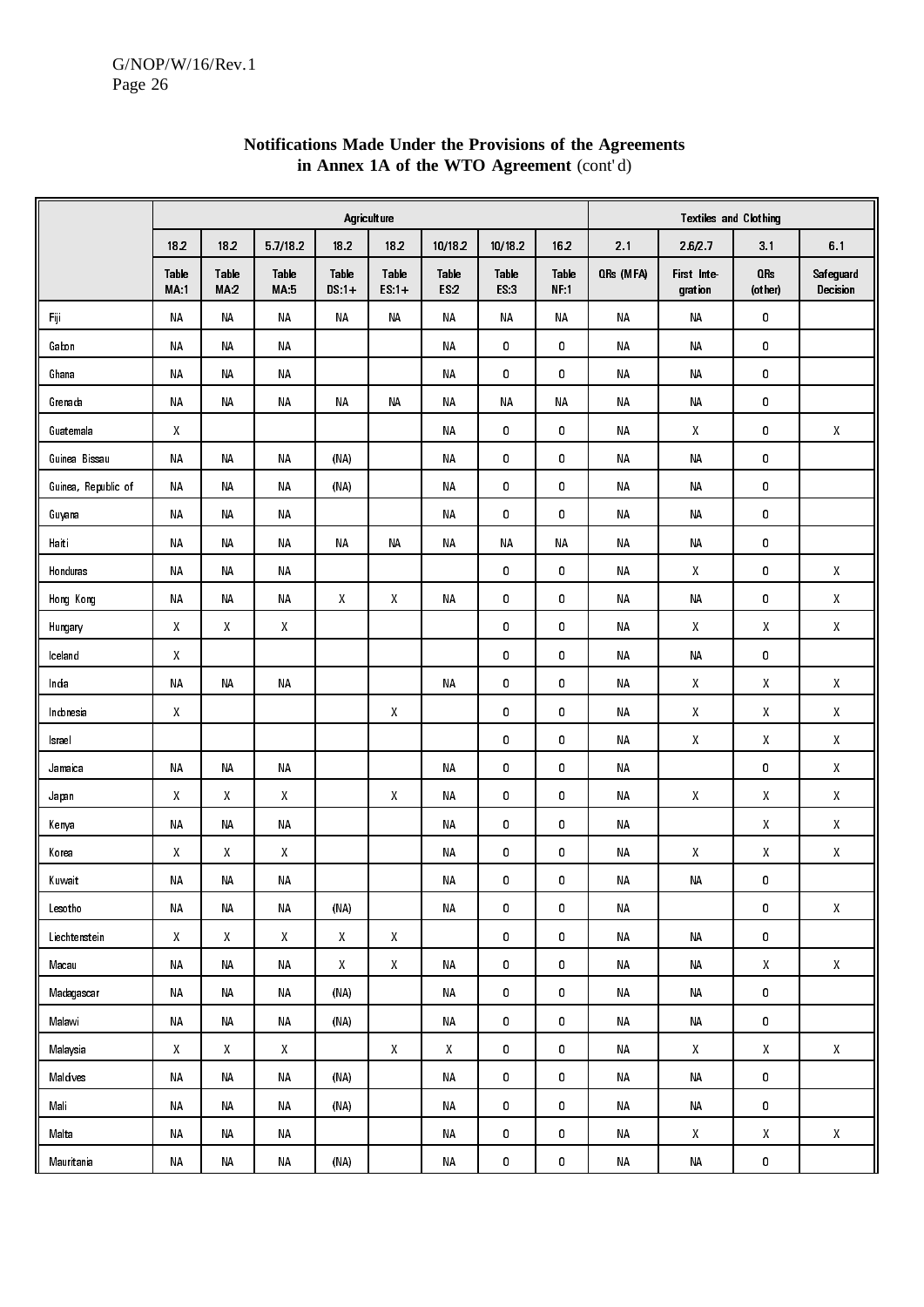|                     |                    |                                                     |               |                                                     | Agriculture                                         |                      |                      |               |           | <b>Textiles and Clothing</b> |                                                     |                                                     |
|---------------------|--------------------|-----------------------------------------------------|---------------|-----------------------------------------------------|-----------------------------------------------------|----------------------|----------------------|---------------|-----------|------------------------------|-----------------------------------------------------|-----------------------------------------------------|
|                     | 182                | 18 2                                                | 5 7/18 2      | 182                                                 | 182                                                 | 10/18.2              | 10/18 2              | 162           | 2.1       | 26/27                        | 3 <sub>1</sub>                                      | 6.1                                                 |
|                     | Table<br>MA.1      | Table<br>MA:2                                       | Table<br>MA.5 | Table<br>$DS:1+$                                    | Table<br>$ES:1 +$                                   | Table<br><b>ES:2</b> | Table<br><b>ES.3</b> | Table<br>NF:1 | ORs (MFA) | First Inte-<br>gration       | OR <sub>s</sub><br>(other)                          | Safeguard<br>Decision                               |
| Fiji                | <b>NA</b>          | <b>NA</b>                                           | <b>NA</b>     | <b>NA</b>                                           | NA                                                  | ΝA                   | NΑ                   | <b>NA</b>     | <b>NA</b> | <b>NA</b>                    | 0                                                   |                                                     |
| Gabon               | ΝA                 | <b>NA</b>                                           | <b>NA</b>     |                                                     |                                                     | <b>NA</b>            | 0                    | 0             | <b>NA</b> | <b>NA</b>                    | 0                                                   |                                                     |
| Ghana               | ΝA                 | ΝA                                                  | ΝA            |                                                     |                                                     | ΝA                   | 0                    | 0             | <b>NA</b> | <b>NA</b>                    | 0                                                   |                                                     |
| Grenada             | <b>NA</b>          | <b>NA</b>                                           | <b>NA</b>     | <b>NA</b>                                           | <b>NA</b>                                           | NΑ                   | ΝA                   | <b>NA</b>     | <b>NA</b> | <b>NA</b>                    | 0                                                   |                                                     |
| Guatemala           | $\boldsymbol{X}$   |                                                     |               |                                                     |                                                     | ΝA                   | 0                    | 0             | <b>NA</b> | X                            | 0                                                   | $\mathsf{X}$                                        |
| Guinea Bissau       | <b>NA</b>          | <b>NA</b>                                           | <b>NA</b>     | (NA)                                                |                                                     | NΑ                   | 0                    | 0             | <b>NA</b> | <b>NA</b>                    | 0                                                   |                                                     |
| Guinea, Republic of | NΑ                 | ΝA                                                  | ΝA            | (NA)                                                |                                                     | NΑ                   | 0                    | 0             | ΝA        | NΑ                           | 0                                                   |                                                     |
| Guyana              | ΝA                 | <b>NA</b>                                           | <b>NA</b>     |                                                     |                                                     | <b>NA</b>            | 0                    | 0             | <b>NA</b> | <b>NA</b>                    | 0                                                   |                                                     |
| Haiti               | NΑ                 | <b>NA</b>                                           | <b>NA</b>     | <b>NA</b>                                           | <b>NA</b>                                           | NA                   | NΑ                   | <b>NA</b>     | <b>NA</b> | <b>NA</b>                    | 0                                                   |                                                     |
| Honduras            | NΑ                 | <b>NA</b>                                           | ΝA            |                                                     |                                                     |                      | 0                    | 0             | ΝA        | X                            | 0                                                   | $\mathsf{X}% _{0}$                                  |
| Hong Kong           | NΑ                 | <b>NA</b>                                           | ΝA            | X                                                   | X                                                   | <b>NA</b>            | 0                    | 0             | ΝA        | ΝA                           | 0                                                   | $\mathsf{X}% _{0}$                                  |
| Hungary             | Χ                  | $\mathsf{X}% _{0}^{\prime}=\mathsf{X}_{0}^{\prime}$ | X             |                                                     |                                                     |                      | 0                    | 0             | ΝA        | X                            | $\boldsymbol{X}$                                    | $\mathsf{X}% _{0}$                                  |
| Iceland             | Χ                  |                                                     |               |                                                     |                                                     |                      | 0                    | 0             | ΝA        | ΝA                           | 0                                                   |                                                     |
| India               | NΑ                 | <b>NA</b>                                           | <b>NA</b>     |                                                     |                                                     | NA                   | 0                    | 0             | ΝA        | X                            | $\mathsf{X}% _{0}^{\prime}=\mathsf{X}_{0}^{\prime}$ | $\mathsf{X}$                                        |
| Indonesia           | Χ                  |                                                     |               |                                                     | $\boldsymbol{X}$                                    |                      | 0                    | 0             | ΝA        | X                            | X                                                   | X                                                   |
| Israel              |                    |                                                     |               |                                                     |                                                     |                      | 0                    | 0             | ΝA        | $\mathsf{X}$                 | $\mathsf{X}% _{0}^{\prime}=\mathsf{X}_{0}^{\prime}$ | $\mathsf{X}$                                        |
| Jamaica             | NΑ                 | <b>NA</b>                                           | <b>NA</b>     |                                                     |                                                     | NΑ                   | 0                    | 0             | NΑ        |                              | 0                                                   | X                                                   |
| Japan               | Χ                  | X                                                   | X             |                                                     | X                                                   | NΑ                   | 0                    | 0             | NΑ        | X                            | X                                                   | $\mathsf{X}$                                        |
| Kenya               | NΑ                 | ΝA                                                  | ΝA            |                                                     |                                                     | NΑ                   | 0                    | 0             | ΝA        |                              | Χ                                                   | $\mathsf{X}% _{0}^{\prime}=\mathsf{X}_{0}^{\prime}$ |
| Korea               | Χ                  | Χ                                                   | χ             |                                                     |                                                     | NΑ                   | 0                    | 0             | ΝA        | X                            | X                                                   | X                                                   |
| Kuwait              | NΑ                 | <b>NA</b>                                           | ΝA            |                                                     |                                                     | NΑ                   | 0                    | 0             | ΝA        | <b>NA</b>                    | 0                                                   |                                                     |
| Lesotho             | NA                 | ΝA                                                  | ΝA            | (NA)                                                |                                                     | ΝA                   | 0                    | 0             | ΝA        |                              | 0                                                   | $\mathsf{X}% _{0}^{\prime}=\mathsf{X}_{0}^{\prime}$ |
| Liechtenstein       | Χ                  | $\mathsf{X}% _{0}^{\prime}=\mathsf{X}_{0}^{\prime}$ | Χ             | $\mathsf{X}% _{0}^{\prime}=\mathsf{X}_{0}^{\prime}$ | $\mathsf{X}% _{0}^{\prime}=\mathsf{X}_{0}^{\prime}$ |                      | 0                    | $\pmb{0}$     | ΝA        | ΝA                           | 0                                                   |                                                     |
| Macau               | ΝA                 | ΝA                                                  | NΑ            | $\mathsf{X}% _{0}^{\prime}=\mathsf{X}_{0}^{\prime}$ | X                                                   | ΝA                   | 0                    | 0             | NΑ        | ΝA                           | $\mathsf{X}% _{0}^{\prime}=\mathsf{X}_{0}^{\prime}$ | $\mathsf{X}% _{0}$                                  |
| Madagascar          | ΝA                 | ΝA                                                  | NA            | (NA)                                                |                                                     | ΝA                   | 0                    | 0             | NA        | NA                           | 0                                                   |                                                     |
| Malawi              | $\sf NA$           | ΝA                                                  | NΑ            | (NA)                                                |                                                     | NΑ                   | 0                    | 0             | NΑ        | ΝA                           | 0                                                   |                                                     |
| Malaysia            | $\pmb{\mathsf{X}}$ | $\mathsf{X}% _{0}$                                  | Χ             |                                                     | $\mathsf{X}% _{0}^{\prime}=\mathsf{X}_{0}^{\prime}$ | $\mathsf X$          | 0                    | 0             | NA        | $\pmb{\mathsf{X}}$           | $\mathsf{X}% _{0}^{\prime}=\mathsf{X}_{0}^{\prime}$ | $\mathsf{X}% _{0}$                                  |
| Maldives            | ΝA                 | ΝA                                                  | ΝA            | (NA)                                                |                                                     | NΑ                   | 0                    | 0             | ΝA        | ΝA                           | 0                                                   |                                                     |
| Mali                | ΝA                 | ΝA                                                  | $\sf NA$      | (NA)                                                |                                                     | ΝA                   | 0                    | 0             | ΝA        | NA                           | 0                                                   |                                                     |
| Malta               | ΝA                 | ΝA                                                  | ΝA            |                                                     |                                                     | NΑ                   | 0                    | 0             | NΑ        | $\mathsf X$                  | $\mathsf{X}% _{0}^{\prime}=\mathsf{X}_{0}^{\prime}$ | $\mathsf{X}% _{0}^{\prime}=\mathsf{X}_{0}^{\prime}$ |
| <b>Mauritania</b>   | NΑ                 | NΑ                                                  | NΑ            | (NA)                                                |                                                     | NΑ                   | 0                    | 0             | NΑ        | NΑ                           | 0                                                   |                                                     |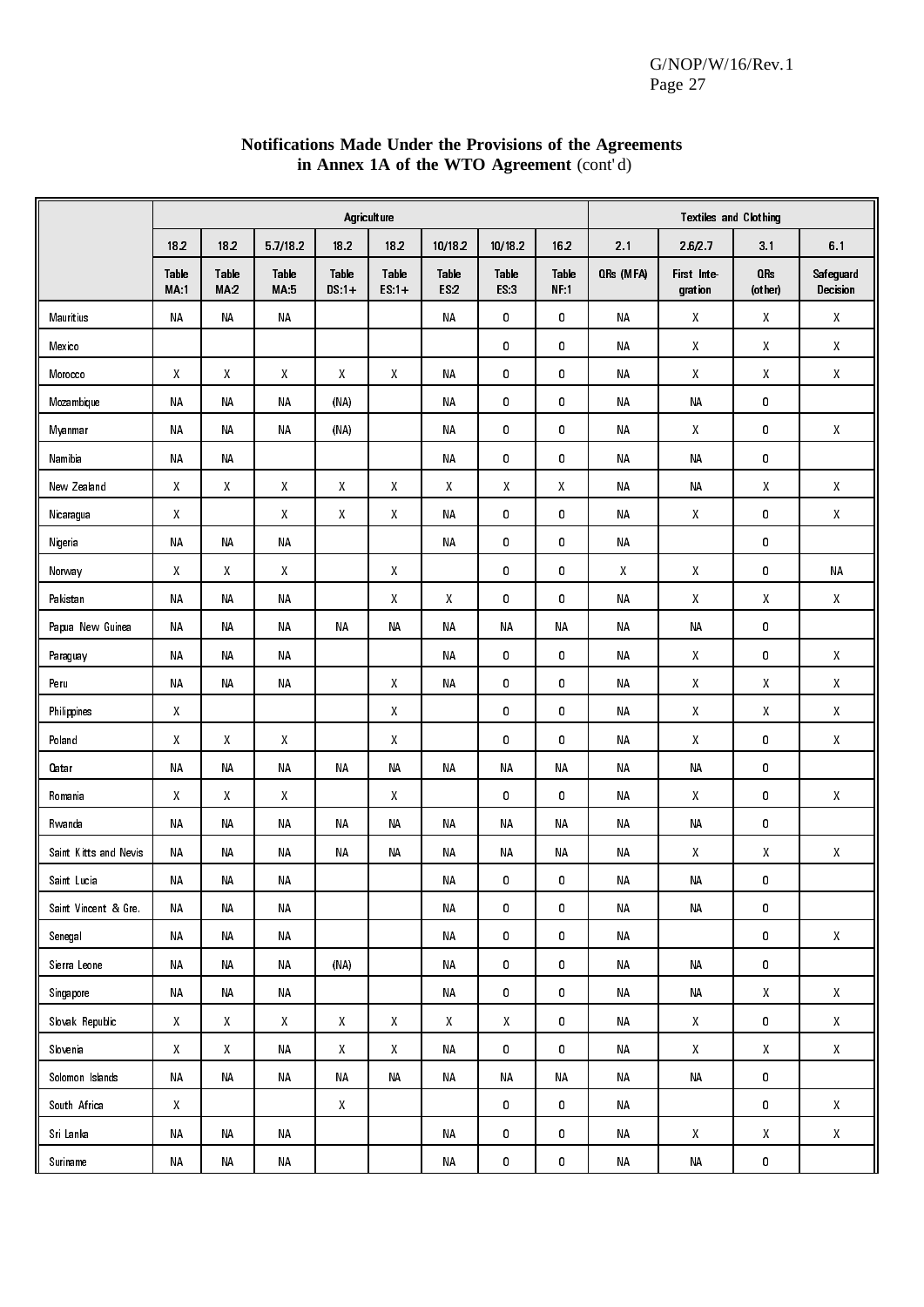|                       |                                                     |                    |                                                     |                                                     | Agriculture                                         |                      |                                                     |               | <b>Textiles and Clothing</b><br>2.1<br>26/27<br>6.1<br>3.1<br>ORs (MFA)<br>First Inte-<br>OR <sub>s</sub><br>Safeguard<br>Decision<br>(other)<br>gration |                  |                                                     |                                                     |
|-----------------------|-----------------------------------------------------|--------------------|-----------------------------------------------------|-----------------------------------------------------|-----------------------------------------------------|----------------------|-----------------------------------------------------|---------------|----------------------------------------------------------------------------------------------------------------------------------------------------------|------------------|-----------------------------------------------------|-----------------------------------------------------|
|                       | 182                                                 | 182                | 57/182                                              | 182                                                 | 18.2                                                | 10/18.2              | 10/18 2                                             | 162           |                                                                                                                                                          |                  |                                                     |                                                     |
|                       | Table<br>MA:1                                       | Table<br>MA.2      | Table<br>MA.5                                       | Table<br>$DS.1+$                                    | Table<br>$ES:1+$                                    | Table<br><b>ES.2</b> | Table<br>ES:3                                       | Table<br>NF:1 |                                                                                                                                                          |                  |                                                     |                                                     |
| Mauritius             | ΝA                                                  | <b>NA</b>          | <b>NA</b>                                           |                                                     |                                                     | ΝA                   | 0                                                   | 0             | ΝA                                                                                                                                                       | X                | X                                                   | X                                                   |
| Mexico                |                                                     |                    |                                                     |                                                     |                                                     |                      | 0                                                   | 0             | <b>NA</b>                                                                                                                                                | X                | $\mathsf{X}% _{0}^{\prime}=\mathsf{X}_{0}^{\prime}$ | $\mathsf{X}% _{0}^{\prime}=\mathsf{X}_{0}^{\prime}$ |
| Morocco               | Χ                                                   | $\mathsf{X}$       | $\mathsf{X}% _{0}^{\prime}=\mathsf{X}_{0}^{\prime}$ | $\mathsf{X}% _{0}^{\prime}=\mathsf{X}_{0}^{\prime}$ | Χ                                                   | ΝA                   | 0                                                   | 0             | ΝA                                                                                                                                                       | X                | X                                                   | $\mathsf{X}% _{0}^{\prime}=\mathsf{X}_{0}^{\prime}$ |
| Mozambique            | NΑ                                                  | NΑ                 | NΑ                                                  | (NA)                                                |                                                     | ΝA                   | 0                                                   | 0             | ΝA                                                                                                                                                       | ΝA               | 0                                                   |                                                     |
| Myanmar               | NΑ                                                  | <b>NA</b>          | NΑ                                                  | (NA)                                                |                                                     | ΝA                   | 0                                                   | 0             | ΝA                                                                                                                                                       | X                | 0                                                   | X                                                   |
| Namibia               | ΝA                                                  | <b>NA</b>          |                                                     |                                                     |                                                     | ΝA                   | 0                                                   | 0             | <b>NA</b>                                                                                                                                                | ΝA               | 0                                                   |                                                     |
| New Zealand           | $\mathsf{X}% _{0}^{\prime}=\mathsf{X}_{0}^{\prime}$ | $\mathsf{X}% _{0}$ | X                                                   | $\mathsf{X}% _{0}^{\prime}=\mathsf{X}_{0}^{\prime}$ | $\mathsf{X}% _{0}^{\prime}=\mathsf{X}_{0}^{\prime}$ | X                    | $\boldsymbol{X}$                                    | X             | ΝA                                                                                                                                                       | ΝA               | X                                                   | X                                                   |
| Nicaragua             | X                                                   |                    | X                                                   | X                                                   | $\boldsymbol{X}$                                    | NΑ                   | 0                                                   | 0             | ΝA                                                                                                                                                       | X                | 0                                                   | $\mathsf{X}% _{0}^{\prime}=\mathsf{X}_{0}^{\prime}$ |
| Nigeria               | <b>ΝΑ</b>                                           | <b>NA</b>          | <b>NA</b>                                           |                                                     |                                                     | <b>NA</b>            | 0                                                   | 0             | <b>NA</b>                                                                                                                                                |                  | 0                                                   |                                                     |
| Norway                | X                                                   | X                  | X                                                   |                                                     | $\mathsf{X}$                                        |                      | 0                                                   | 0             | χ                                                                                                                                                        | X                | 0                                                   | <b>NA</b>                                           |
| Pakistan              | NΑ                                                  | ΝA                 | ΝA                                                  |                                                     | $\boldsymbol{X}$                                    | Χ                    | 0                                                   | 0             | NΑ                                                                                                                                                       | X                | X                                                   | X                                                   |
| Papua New Guinea      | <b>ΝΑ</b>                                           | <b>NA</b>          | <b>NA</b>                                           | <b>NA</b>                                           | <b>NA</b>                                           | <b>NA</b>            | <b>NA</b>                                           | <b>NA</b>     | <b>NA</b>                                                                                                                                                | <b>NA</b>        | 0                                                   |                                                     |
| Paraguay              | NΑ                                                  | <b>NA</b>          | <b>NA</b>                                           |                                                     |                                                     | <b>NA</b>            | 0                                                   | 0             | <b>NA</b>                                                                                                                                                | X                | 0                                                   | X                                                   |
| Peru                  | <b>ΝΑ</b>                                           | <b>NA</b>          | NΑ                                                  |                                                     | $\boldsymbol{X}$                                    | ΝA                   | 0                                                   | 0             | ΝA                                                                                                                                                       | X                | X                                                   | $\mathsf{X}% _{0}^{\prime}=\mathsf{X}_{0}^{\prime}$ |
| Philippines           | $\boldsymbol{X}$                                    |                    |                                                     |                                                     | $\mathsf{X}% _{0}^{\prime}=\mathsf{X}_{0}^{\prime}$ |                      | 0                                                   | 0             | <b>NA</b>                                                                                                                                                | X                | X.                                                  | $\mathsf{X}$                                        |
| Poland                | Χ                                                   | X                  | X                                                   |                                                     | $\boldsymbol{X}$                                    |                      | 0                                                   | 0             | <b>NA</b>                                                                                                                                                | X                | 0                                                   | $\mathsf{X}$                                        |
| Qatar                 | NΑ                                                  | <b>NA</b>          | NΑ                                                  | ΝA                                                  | NΑ                                                  | ΝA                   | NΑ                                                  | <b>NA</b>     | ΝA                                                                                                                                                       | ΝA               | 0                                                   |                                                     |
| Romania               | $\boldsymbol{X}$                                    | X                  | X                                                   |                                                     | $\boldsymbol{X}$                                    |                      | 0                                                   | 0             | NΑ                                                                                                                                                       | $\boldsymbol{X}$ | 0                                                   | Χ                                                   |
| Rwanda                | ΝA                                                  | <b>NA</b>          | ΝA                                                  | <b>NA</b>                                           | NΑ                                                  | <b>NA</b>            | NΑ                                                  | NΑ            | ΝA                                                                                                                                                       | ΝA               | 0                                                   |                                                     |
| Saint Kitts and Nevis | NΑ                                                  | NΑ                 | NΑ                                                  | <b>NA</b>                                           | NΑ                                                  | ΝA                   | NA                                                  | NΑ            | ΝA                                                                                                                                                       | $\boldsymbol{X}$ | X                                                   | Χ                                                   |
| Saint Lucia           | NΑ                                                  | ΝA                 | NΑ                                                  |                                                     |                                                     | ΝA                   | 0                                                   | 0             | ΝA                                                                                                                                                       | ΝA               | 0                                                   |                                                     |
| Saint Vincent & Gre   | ΝA                                                  | NΑ                 | NA                                                  |                                                     |                                                     | ΝA                   | 0                                                   | 0             | ΝA                                                                                                                                                       | ΝA               | 0                                                   |                                                     |
| Senegal               | ΝA                                                  | NA                 | NA                                                  |                                                     |                                                     | NΑ                   | 0                                                   | 0             | ΝA                                                                                                                                                       |                  | 0                                                   | $\pmb{\mathsf{X}}$                                  |
| Sierra Leone          | NΑ                                                  | NA                 | ΝA                                                  | (NA)                                                |                                                     | NΑ                   | 0                                                   | 0             | NΑ                                                                                                                                                       | ΝA               | 0                                                   |                                                     |
| Singapore             | ΝA                                                  | ΝA                 | ΝA                                                  |                                                     |                                                     | NA                   | 0                                                   | 0             | ΝA                                                                                                                                                       | ΝA               | X                                                   | $\mathsf{X}^-$                                      |
| Slovak Republic       | $\pmb{\mathsf{X}}$                                  | $\mathsf{X}^-$     | $\mathsf{X}$                                        | $\mathsf{X}^-$                                      | $\mathsf{X}^-$                                      | $\mathsf{X}$         | $\mathsf{X}% _{0}^{\prime}=\mathsf{X}_{0}^{\prime}$ | 0             | NΑ                                                                                                                                                       | $\mathsf X$      | 0                                                   | $\mathsf{X}% _{0}^{\prime}=\mathsf{X}_{0}^{\prime}$ |
| Slovenia              | $\mathsf{X}% _{0}^{\prime}=\mathsf{X}_{0}^{\prime}$ | $\mathsf{X}^-$     | ΝA                                                  | $\mathsf{X}^-$                                      | $\mathsf{X}$                                        | NΑ                   | 0                                                   | 0             | ΝA                                                                                                                                                       | $\mathsf X$      | $\mathsf{X}^-$                                      | $\mathsf{X}% _{0}^{\prime}=\mathsf{X}_{0}^{\prime}$ |
| Solomon Islands       | NΑ                                                  | ΝA                 | NΑ                                                  | <b>NA</b>                                           | NA                                                  | NΑ                   | NΑ                                                  | NΑ            | ΝA                                                                                                                                                       | NΑ               | $\mathbf 0$                                         |                                                     |
| South Africa          | $\mathsf{X}% _{0}^{\prime}=\mathsf{X}_{0}^{\prime}$ |                    |                                                     | $\mathsf{X}^-$                                      |                                                     |                      | 0                                                   | 0             | ΝA                                                                                                                                                       |                  | 0                                                   | $\mathsf{X}^-$                                      |
| Sri Lanka             | ΝA                                                  | NA                 | NA                                                  |                                                     |                                                     | NΑ                   | 0                                                   | 0             | ΝA                                                                                                                                                       | $\boldsymbol{X}$ | $\mathsf{X}^-$                                      | $\mathsf{X}% _{0}^{\prime}=\mathsf{X}_{0}^{\prime}$ |
| Suriname              | NΑ                                                  | NA                 | ΝA                                                  |                                                     |                                                     | ΝA                   | 0                                                   | 0             | NΑ                                                                                                                                                       | NΑ               | 0                                                   |                                                     |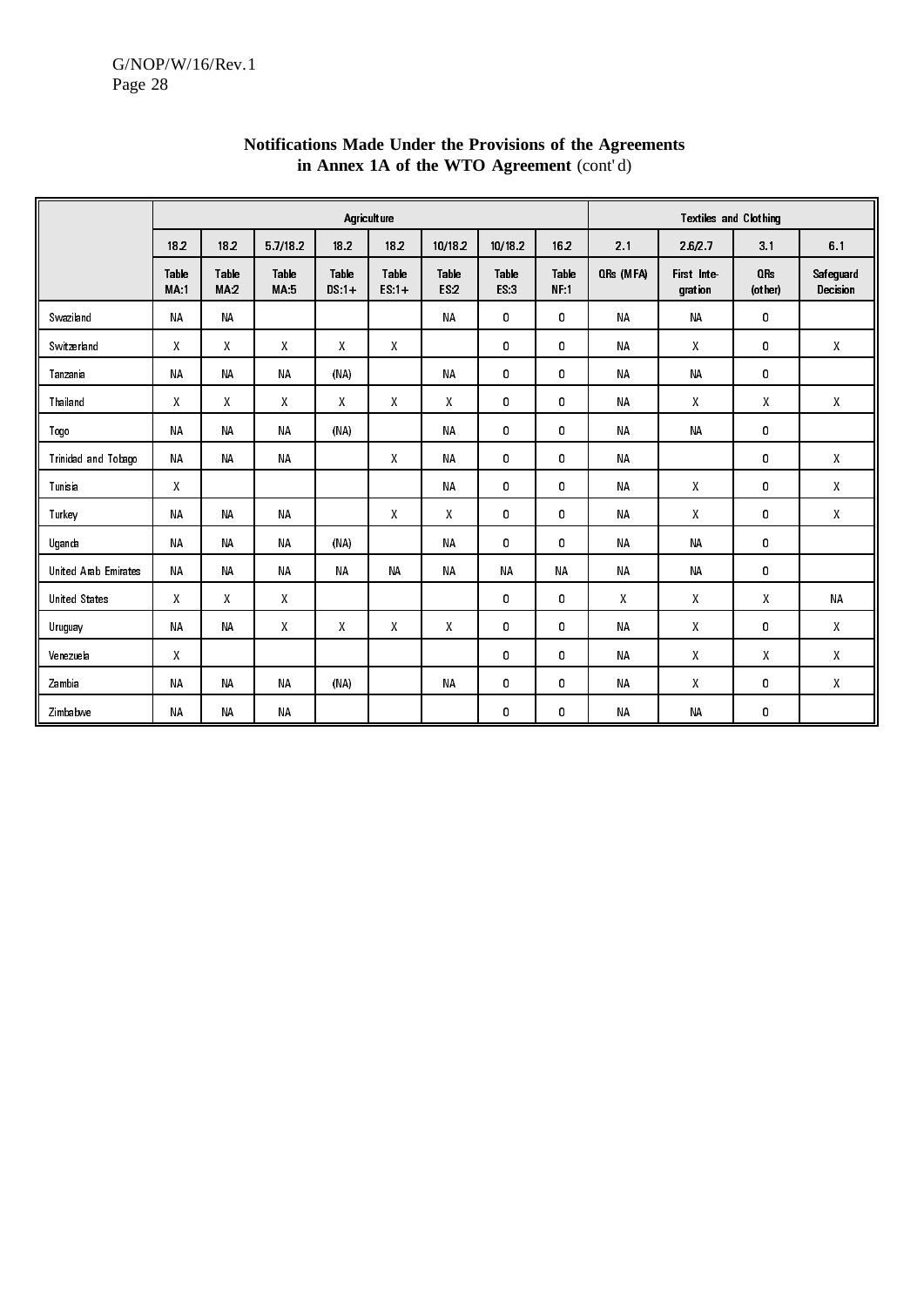|                      |                     |                     |               |                  | Agriculture      |               |                      |               |           | <b>Textiles and Clothing</b><br>6.1<br>26/27<br>31<br>OR <sub>s</sub><br>First Inte<br>(other)<br>gration<br>0<br><b>NA</b><br>$\mathsf{X}$<br>X<br>0<br><b>NA</b><br>0<br>$\mathsf{X}$<br>X<br>X<br><b>NA</b><br>0<br>$\mathsf{X}$<br>0<br>X<br>X<br>0<br>$\mathsf{X}$<br>Χ<br>0 |   |                       |
|----------------------|---------------------|---------------------|---------------|------------------|------------------|---------------|----------------------|---------------|-----------|-----------------------------------------------------------------------------------------------------------------------------------------------------------------------------------------------------------------------------------------------------------------------------------|---|-----------------------|
|                      | 18.2                | 18.2                | 57/182        | 182              | 182              | 10/18.2       | 10/18 2              | 162           | 21        |                                                                                                                                                                                                                                                                                   |   |                       |
|                      | Table<br><b>MA1</b> | Table<br><b>MA2</b> | Table<br>MA.5 | Table<br>$DS:1+$ | Table<br>$ES:1+$ | Table<br>ES.2 | Table<br><b>ES.3</b> | Table<br>NF:1 | ORs (MFA) |                                                                                                                                                                                                                                                                                   |   | Safeguard<br>Decision |
| Swaziland            | <b>NA</b>           | <b>NA</b>           |               |                  |                  | <b>NA</b>     | 0                    | 0             | <b>NA</b> |                                                                                                                                                                                                                                                                                   |   |                       |
| Switzerland          | $\mathsf{X}$        | $\mathsf{X}$        | X             | X                | $\mathsf{X}$     |               | 0                    | 0             | <b>NA</b> |                                                                                                                                                                                                                                                                                   |   |                       |
| Tanzania             | <b>NA</b>           | <b>NA</b>           | <b>NA</b>     | (NA)             |                  | <b>NA</b>     | 0                    | 0             | <b>NA</b> |                                                                                                                                                                                                                                                                                   |   |                       |
| Thailand             | X                   | X                   | X             | X                | X                | X             | 0                    | 0             | <b>NA</b> |                                                                                                                                                                                                                                                                                   |   |                       |
| Togo                 | <b>NA</b>           | <b>NA</b>           | <b>NA</b>     | (NA)             |                  | <b>NA</b>     | 0                    | 0             | <b>NA</b> |                                                                                                                                                                                                                                                                                   |   |                       |
| Trinidad and Tobago  | <b>NA</b>           | <b>NA</b>           | NΑ            |                  | X                | <b>NA</b>     | 0                    | 0             | <b>NA</b> |                                                                                                                                                                                                                                                                                   |   |                       |
| Tunisia              | X                   |                     |               |                  |                  | ΝA            | 0                    | 0             | <b>NA</b> |                                                                                                                                                                                                                                                                                   |   |                       |
| Turkey               | <b>NA</b>           | <b>NA</b>           | <b>NA</b>     |                  | X                | X             | 0                    | 0             | <b>NA</b> |                                                                                                                                                                                                                                                                                   |   |                       |
| Uganda               | <b>NA</b>           | <b>NA</b>           | NΑ            | (NA)             |                  | <b>NA</b>     | $\mathbf{0}$         | $\bf{0}$      | <b>NA</b> | <b>NA</b>                                                                                                                                                                                                                                                                         | 0 |                       |
| United Arab Emirates | <b>NA</b>           | <b>NA</b>           | <b>NA</b>     | <b>NA</b>        | <b>NA</b>        | <b>NA</b>     | <b>NA</b>            | <b>NA</b>     | <b>NA</b> | <b>NA</b>                                                                                                                                                                                                                                                                         | 0 |                       |
| <b>United States</b> | X                   | X                   | X             |                  |                  |               | 0                    | 0             | X         | X                                                                                                                                                                                                                                                                                 | X | <b>NA</b>             |
| Uruguay              | <b>NA</b>           | <b>NA</b>           | X             | X                | X                | X             | 0                    | 0             | <b>NA</b> | X                                                                                                                                                                                                                                                                                 | 0 | X                     |
| Venezuela            | X                   |                     |               |                  |                  |               | 0                    | 0             | <b>NA</b> | X                                                                                                                                                                                                                                                                                 | X | X                     |
| Zambia               | <b>NA</b>           | <b>NA</b>           | NΑ            | (NA)             |                  | ΝA            | 0                    | 0             | NΑ        | Χ                                                                                                                                                                                                                                                                                 | 0 | $\mathsf{X}$          |
| Zimbabwe             | <b>NA</b>           | <b>NA</b>           | NΑ            |                  |                  |               | 0                    | 0             | <b>NA</b> | <b>NA</b>                                                                                                                                                                                                                                                                         | 0 |                       |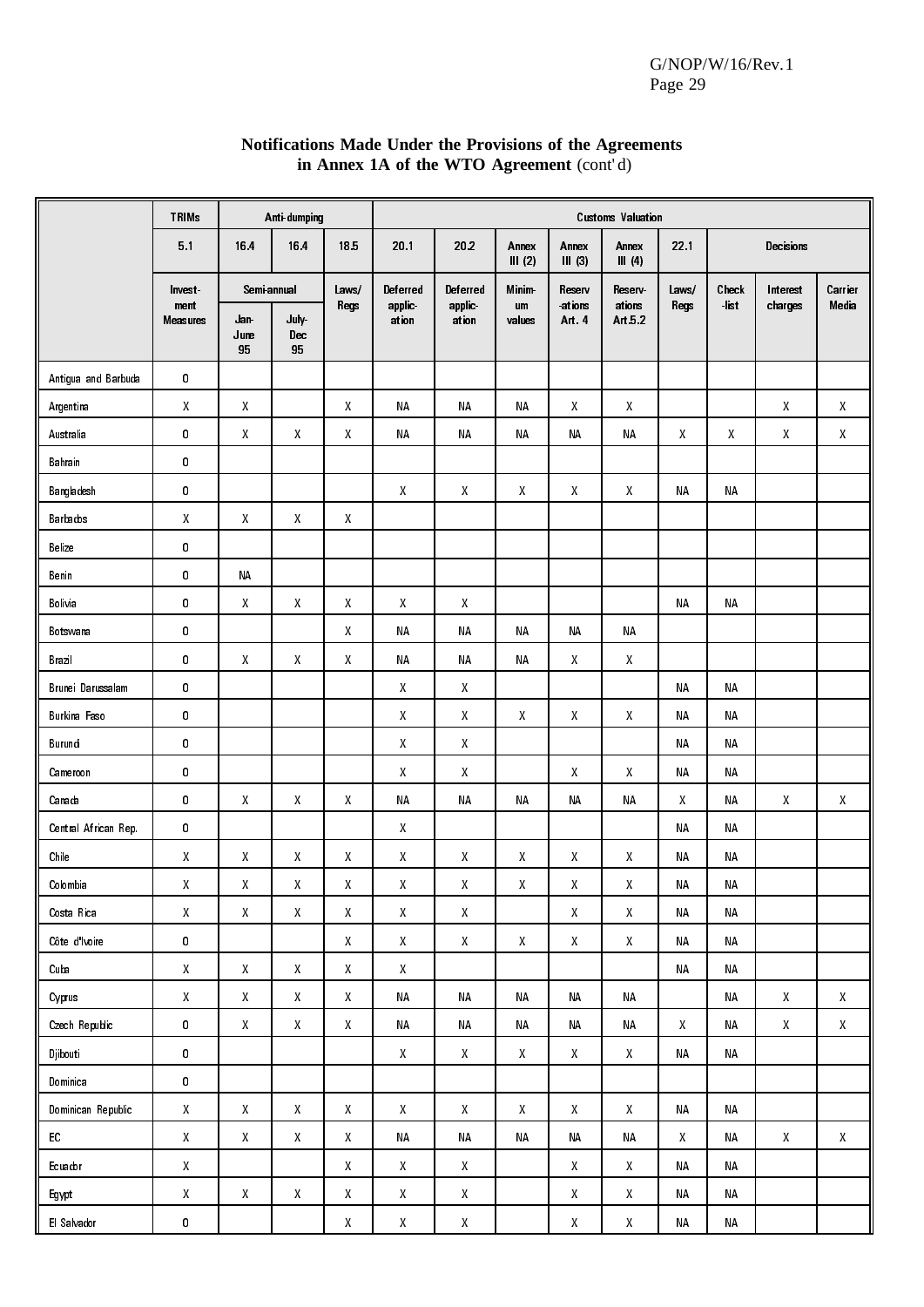|                      | <b>TRIMs</b>                                        |                    | Anti-dumping                                        |                                                     |                    |                                                     |                                                     |                                                     | <b>Customs Valuation</b>                            |              |           | Decisions<br>Interest<br>$l$ ist<br>Media<br>charges |                                                     |
|----------------------|-----------------------------------------------------|--------------------|-----------------------------------------------------|-----------------------------------------------------|--------------------|-----------------------------------------------------|-----------------------------------------------------|-----------------------------------------------------|-----------------------------------------------------|--------------|-----------|------------------------------------------------------|-----------------------------------------------------|
|                      | 5 <sub>1</sub>                                      | 164                | 164                                                 | 185                                                 | 20.1               | 202                                                 | Annex<br>III(2)                                     | Annex<br>$III$ (3)                                  | Annex<br>III(4)                                     | 221          |           |                                                      |                                                     |
|                      | Invest                                              | Semi-annual        |                                                     | Laws/                                               | Deferred           | Deferred                                            | <b>Minim</b>                                        | Reserv<br>ations                                    | Reserv                                              | Laws/        | Check     |                                                      | Carrier                                             |
|                      | ment<br><b>Measures</b>                             | Jan<br>June<br>95  | July-<br>Dec<br>95                                  | Regs                                                | applic<br>ation    | applic<br>ation                                     | um<br>values                                        | Art 4                                               | ations<br>Art 5.2                                   | Regs         |           |                                                      |                                                     |
| Antigua and Barbuda  | 0                                                   |                    |                                                     |                                                     |                    |                                                     |                                                     |                                                     |                                                     |              |           |                                                      |                                                     |
| Argentina            | Χ                                                   | Χ                  |                                                     | X                                                   | <b>NA</b>          | <b>NA</b>                                           | NА                                                  | X                                                   | $\mathsf{X}% _{0}^{\prime}=\mathsf{X}_{0}^{\prime}$ |              |           | Χ                                                    | X                                                   |
| Australia            | 0                                                   | X                  | X                                                   | X                                                   | <b>NA</b>          | ΝA                                                  | <b>NA</b>                                           | <b>NA</b>                                           | ΝA                                                  | Χ            | X         | $\mathsf{X}% _{0}^{\prime}=\mathsf{X}_{0}^{\prime}$  | $\mathsf{X}% _{0}^{\prime}=\mathsf{X}_{0}^{\prime}$ |
| Bahrain              | 0                                                   |                    |                                                     |                                                     |                    |                                                     |                                                     |                                                     |                                                     |              |           |                                                      |                                                     |
| Bangladesh           | 0                                                   |                    |                                                     |                                                     | Χ                  | X                                                   | $\mathsf{X}% _{0}^{\prime}=\mathsf{X}_{0}^{\prime}$ | Χ                                                   | $\mathsf{X}% _{0}^{\prime}=\mathsf{X}_{0}^{\prime}$ | <b>NA</b>    | <b>NA</b> |                                                      |                                                     |
| Barbados             | Χ                                                   | Χ                  | $\mathsf{X}% _{0}^{\prime}=\mathsf{X}_{0}^{\prime}$ | $\mathsf{X}% _{0}^{\prime}=\mathsf{X}_{0}^{\prime}$ |                    |                                                     |                                                     |                                                     |                                                     |              |           |                                                      |                                                     |
| Belize               | 0                                                   |                    |                                                     |                                                     |                    |                                                     |                                                     |                                                     |                                                     |              |           |                                                      |                                                     |
| Benin                | 0                                                   | <b>NA</b>          |                                                     |                                                     |                    |                                                     |                                                     |                                                     |                                                     |              |           |                                                      |                                                     |
| Bolivia              | 0                                                   | Χ                  | $\mathsf{X}% _{0}^{\prime}=\mathsf{X}_{0}^{\prime}$ | $\mathsf{X}$                                        | Χ                  | $\mathsf{X}$                                        |                                                     |                                                     |                                                     | <b>NA</b>    | <b>NA</b> |                                                      |                                                     |
| Botswana             | 0                                                   |                    |                                                     | $\mathsf{X}$                                        | <b>NA</b>          | <b>NA</b>                                           | NА                                                  | NΑ                                                  | <b>NA</b>                                           |              |           |                                                      |                                                     |
| Brazil               | 0                                                   | X                  | $\pmb{\mathsf{X}}$                                  | $\mathsf{X}$                                        | <b>NA</b>          | <b>NA</b>                                           | NА                                                  | X                                                   | X                                                   |              |           |                                                      |                                                     |
| Brunei Darussalam    | $\pmb{0}$                                           |                    |                                                     |                                                     | Χ                  | $\mathsf{X}$                                        |                                                     |                                                     |                                                     | <b>NA</b>    | NΑ        |                                                      |                                                     |
| Burkina Faso         | $\pmb{0}$                                           |                    |                                                     |                                                     | Χ                  | $\mathsf{X}$                                        | $\pmb{\mathsf{X}}$                                  | $\mathsf{X}$                                        | $\mathsf{X}% _{0}^{\prime}=\mathsf{X}_{0}^{\prime}$ | <b>NA</b>    | NA        |                                                      |                                                     |
| Burundi              | 0                                                   |                    |                                                     |                                                     | Χ                  | $\mathsf{X}$                                        |                                                     |                                                     |                                                     | <b>NA</b>    | NΑ        |                                                      |                                                     |
| Cameroon             | 0                                                   |                    |                                                     |                                                     | Χ                  | $\mathsf{X}% _{0}^{\prime}=\mathsf{X}_{0}^{\prime}$ |                                                     | X                                                   | $\mathsf{X}% _{0}^{\prime}=\mathsf{X}_{0}^{\prime}$ | <b>NA</b>    | <b>NA</b> |                                                      |                                                     |
| Canada               | 0                                                   | $\pmb{\mathsf{X}}$ | X                                                   | X                                                   | <b>NA</b>          | <b>NA</b>                                           | NА                                                  | <b>NA</b>                                           | <b>NA</b>                                           | X            | <b>ΝΑ</b> | X                                                    | X                                                   |
| Central African Rep. | 0                                                   |                    |                                                     |                                                     | Χ                  |                                                     |                                                     |                                                     |                                                     | <b>NA</b>    | NΑ        |                                                      |                                                     |
| Chile                | Χ                                                   | Χ                  | $\pmb{\mathsf{X}}$                                  | Χ                                                   | Χ                  | $\mathsf{X}% _{0}^{\prime}=\mathsf{X}_{0}^{\prime}$ | $\mathsf{X}$                                        | Χ                                                   | X                                                   | <b>NA</b>    | NΑ        |                                                      |                                                     |
| Colombia             | Χ                                                   | Χ                  | Χ                                                   | Χ                                                   | Χ                  | Χ                                                   | Χ                                                   | Χ                                                   | Χ                                                   | <b>NA</b>    | <b>ΝΑ</b> |                                                      |                                                     |
| Costa Rica           | $\mathsf{X}% _{0}^{\prime}=\mathsf{X}_{0}^{\prime}$ | $\mathsf{X}% _{0}$ | $\mathsf{X}% _{0}$                                  | $\mathsf{X}$                                        | $\mathsf{X}$       | $\mathsf{X}% _{0}^{\prime}=\mathsf{X}_{0}^{\prime}$ |                                                     | $\mathsf{X}$                                        | $\mathsf{X}$                                        | $\sf NA$     | NA        |                                                      |                                                     |
| Côte d'Ivoire        | 0                                                   |                    |                                                     | $\mathsf{X}$                                        | $\mathsf X$        | $\mathsf{X}% _{0}^{\prime}=\mathsf{X}_{0}^{\prime}$ | $\mathsf X$                                         | $\mathsf{X}% _{0}^{\prime}=\mathsf{X}_{0}^{\prime}$ | $\mathsf{X}$                                        | <b>NA</b>    | <b>NA</b> |                                                      |                                                     |
| Cuba                 | $\mathsf{X}$                                        | $\mathsf{X}% _{0}$ | $\mathsf{X}% _{0}$                                  | $\mathsf{X}$                                        | $\boldsymbol{X}$   |                                                     |                                                     |                                                     |                                                     | ΝA           | <b>NA</b> |                                                      |                                                     |
| Cyprus               | $\mathsf{X}% _{0}$                                  | $\mathsf{X}% _{0}$ | $\mathsf{X}$                                        | $\mathsf{X}$                                        | NA                 | <b>NA</b>                                           | NΑ                                                  | <b>NA</b>                                           | NA                                                  |              | ΝA        | $\mathsf{X}% _{0}^{\prime}=\mathsf{X}_{0}^{\prime}$  | $\mathsf{X}% _{0}^{\prime}=\mathsf{X}_{0}^{\prime}$ |
| Czech Republic       | 0                                                   | $\mathsf{X}^-$     | $\mathsf{X}^-$                                      | X                                                   | ΝA                 | ΝA                                                  | NA                                                  | ΝA                                                  | ΝA                                                  | $\mathsf{X}$ | <b>NA</b> | $\mathsf X$                                          | $\mathsf{X}% _{0}^{\prime}=\mathsf{X}_{0}^{\prime}$ |
| Djibouti             | 0                                                   |                    |                                                     |                                                     | $\boldsymbol{X}$   | $\mathsf{X}$                                        | $\boldsymbol{X}$                                    | $\mathsf{X}$                                        | $\mathsf{X}$                                        | ΝA           | ΝA        |                                                      |                                                     |
| Dominica             | 0                                                   |                    |                                                     |                                                     |                    |                                                     |                                                     |                                                     |                                                     |              |           |                                                      |                                                     |
| Dominican Republic   | $\mathsf{X}% _{0}$                                  | $\mathsf{X}% _{0}$ | X                                                   | $\mathsf X$                                         | $\boldsymbol{X}$   | $\mathsf{X}$                                        | $\boldsymbol{X}$                                    | $\mathsf{X}$                                        | $\mathsf{X}$                                        | NA           | ΝA        |                                                      |                                                     |
| ${\sf EC}$           | $\mathsf{X}% _{0}$                                  | $\mathsf{X}% _{0}$ | X                                                   | $\mathsf{X}$                                        | NΑ                 | ΝA                                                  | ΝA                                                  | ΝA                                                  | ΝA                                                  | X            | ΝA        | $\mathsf{X}$                                         | $\mathsf{X}$                                        |
| Ecuador              | $\mathsf{X}% _{0}^{\prime}=\mathsf{X}_{0}^{\prime}$ |                    |                                                     | $\mathsf X$                                         | $\,$ X             | $\mathsf{X}$                                        |                                                     | $\mathsf X$                                         | $\mathsf{X}$                                        | ΝA           | ΝA        |                                                      |                                                     |
| Egypt                | $\mathsf{X}% _{0}^{\prime}=\mathsf{X}_{0}^{\prime}$ | $\mathsf{X}% _{0}$ | $\mathsf{X}% _{0}$                                  | $\mathsf X$                                         | $\,$ X             | $\mathsf{X}% _{0}$                                  |                                                     | $\mathsf X$                                         | $\mathsf{X}$                                        | NΑ           | NΑ        |                                                      |                                                     |
| El Salvador          | 0                                                   |                    |                                                     | $\mathsf{X}% _{0}$                                  | $\pmb{\mathsf{X}}$ | $\pmb{\mathsf{X}}$                                  |                                                     | $\mathsf{X}% _{0}$                                  | $\mathsf{X}% _{0}^{\prime}=\mathsf{X}_{0}^{\prime}$ | ΝA           | NΑ        |                                                      |                                                     |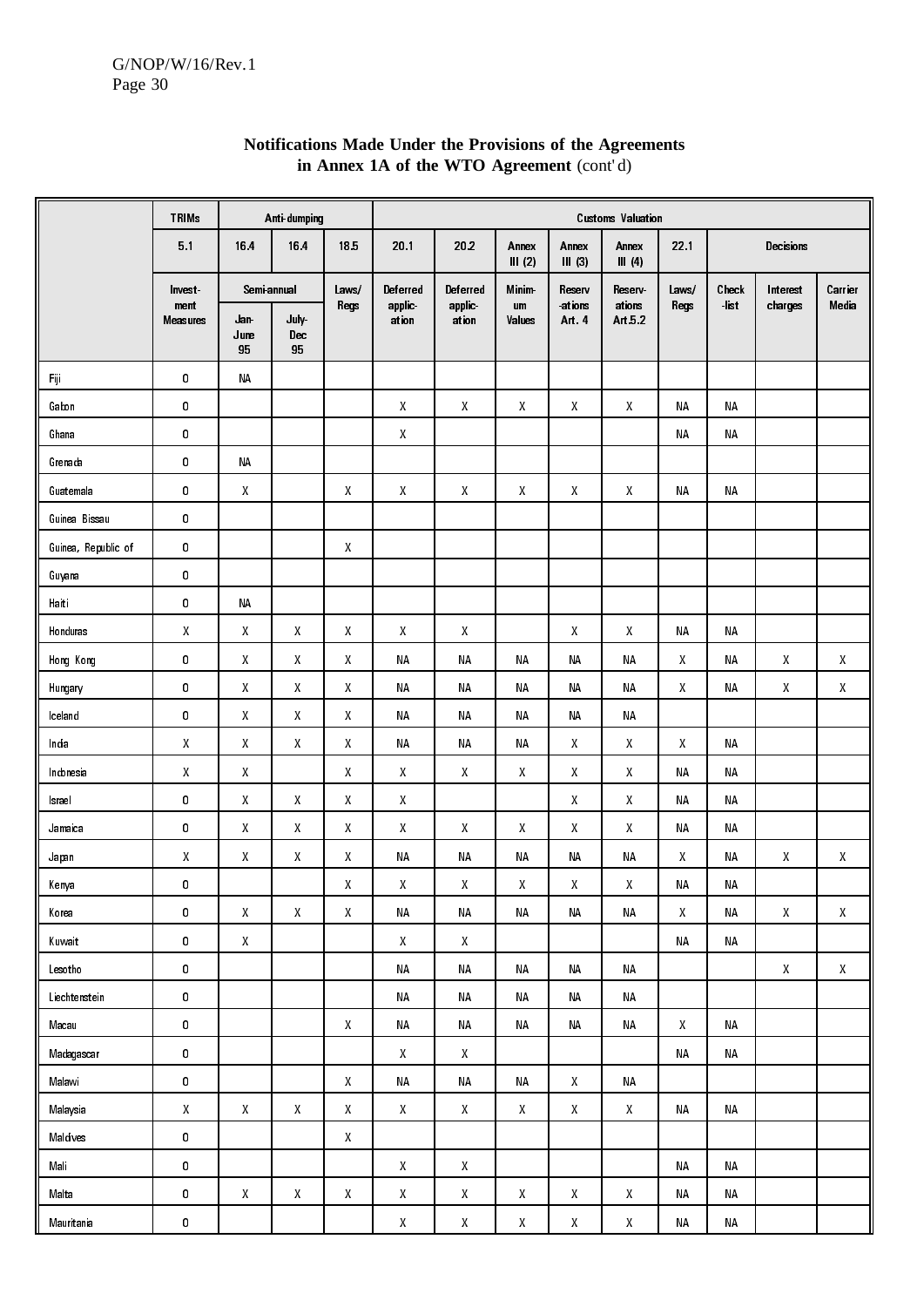|                     | <b>TRIMs</b>                                        |                                                     | Anti-dumping       |                                                     |                                                     |                                                     |                                                     |                                                     | <b>Customs Valuation</b>                            |                    |                   |                                                     |                                                     |
|---------------------|-----------------------------------------------------|-----------------------------------------------------|--------------------|-----------------------------------------------------|-----------------------------------------------------|-----------------------------------------------------|-----------------------------------------------------|-----------------------------------------------------|-----------------------------------------------------|--------------------|-------------------|-----------------------------------------------------|-----------------------------------------------------|
|                     | 5.1                                                 | 164                                                 | 164                | 185                                                 | 20.1                                                | 202                                                 | Annex<br>$III$ (2)                                  | Annex<br>$III$ (3)                                  | Annex<br>III(4)                                     | 22.1               |                   | Decisions                                           |                                                     |
|                     | Invest<br>ment<br><b>Measures</b>                   | Semi-annual<br>Jan<br>June<br>95                    | July-<br>Dec<br>95 | Laws/<br>Regs                                       | Deferred<br>applic-<br>ation                        | Deferred<br>applic<br>ation                         | <b>Minim</b><br>um<br>Values                        | Reserv<br>ations<br>Art 4                           | Reserv-<br>ations<br>Art 5.2                        | Laws/<br>Regs      | Check<br>$-$ list | Interest<br>charges                                 | Carrier<br>Media                                    |
| Fiji                | 0                                                   | <b>NA</b>                                           |                    |                                                     |                                                     |                                                     |                                                     |                                                     |                                                     |                    |                   |                                                     |                                                     |
| Gabon               | 0                                                   |                                                     |                    |                                                     | X                                                   | $\boldsymbol{X}$                                    | Χ                                                   | X                                                   | X                                                   | <b>NA</b>          | <b>NA</b>         |                                                     |                                                     |
| Ghana               | 0                                                   |                                                     |                    |                                                     | Χ                                                   |                                                     |                                                     |                                                     |                                                     | <b>NA</b>          | ΝA                |                                                     |                                                     |
| Grenada             | 0                                                   | <b>NA</b>                                           |                    |                                                     |                                                     |                                                     |                                                     |                                                     |                                                     |                    |                   |                                                     |                                                     |
| Guatemala           | 0                                                   | $\mathsf{X}$                                        |                    | $\boldsymbol{X}$                                    | $\mathsf{X}% _{0}^{\prime}=\mathsf{X}_{0}^{\prime}$ | $\pmb{\mathsf{X}}$                                  | Χ                                                   | X                                                   | X                                                   | ΝA                 | ΝA                |                                                     |                                                     |
| Guinea Bissau       | 0                                                   |                                                     |                    |                                                     |                                                     |                                                     |                                                     |                                                     |                                                     |                    |                   |                                                     |                                                     |
| Guinea, Republic of | 0                                                   |                                                     |                    | $\boldsymbol{X}$                                    |                                                     |                                                     |                                                     |                                                     |                                                     |                    |                   |                                                     |                                                     |
| Guyana              | 0                                                   |                                                     |                    |                                                     |                                                     |                                                     |                                                     |                                                     |                                                     |                    |                   |                                                     |                                                     |
| Haiti               | 0                                                   | <b>NA</b>                                           |                    |                                                     |                                                     |                                                     |                                                     |                                                     |                                                     |                    |                   |                                                     |                                                     |
| Honduras            | $\mathsf{X}$                                        | $\boldsymbol{X}$                                    | X                  | $\boldsymbol{X}$                                    | X                                                   | X                                                   |                                                     | X                                                   | $\mathsf{X}$                                        | <b>NA</b>          | <b>NA</b>         |                                                     |                                                     |
| Hong Kong           | 0                                                   | $\boldsymbol{X}$                                    | $\mathsf{X}% _{0}$ | Χ                                                   | ΝA                                                  | ΝA                                                  | <b>NA</b>                                           | NΑ                                                  | <b>NA</b>                                           | X                  | NΑ                | $\mathsf{X}% _{0}$                                  | $\mathsf{X}% _{0}^{\prime}=\mathsf{X}_{0}^{\prime}$ |
| Hungary             | 0                                                   | X                                                   | $\mathsf{X}% _{0}$ | X                                                   | NA                                                  | ΝA                                                  | <b>NA</b>                                           | NΑ                                                  | NA                                                  | $\boldsymbol{X}$   | NΑ                | $\mathsf{X}% _{0}^{\prime}=\mathsf{X}_{0}^{\prime}$ | $\mathsf{X}% _{0}$                                  |
| Iceland             | 0                                                   | X                                                   | $\mathsf{X}% _{0}$ | X                                                   | ΝA                                                  | ΝA                                                  | <b>NA</b>                                           | NΑ                                                  | NA                                                  |                    |                   |                                                     |                                                     |
| India               | $\boldsymbol{X}$                                    | X                                                   | $\mathsf{X}% _{0}$ | X                                                   | ΝA                                                  | ΝA                                                  | <b>NA</b>                                           | X                                                   | $\mathsf{X}% _{0}^{\prime}=\mathsf{X}_{0}^{\prime}$ | $\boldsymbol{X}$   | <b>NA</b>         |                                                     |                                                     |
| Indonesia           | $\mathsf{X}% _{0}^{\prime}=\mathsf{X}_{0}^{\prime}$ | $\mathsf{X}$                                        |                    | $\mathsf{X}% _{0}^{\prime}=\mathsf{X}_{0}^{\prime}$ | $\mathsf{X}% _{0}$                                  | X                                                   | $\mathsf{X}% _{0}$                                  | $\mathsf{X}% _{0}^{\prime}=\mathsf{X}_{0}^{\prime}$ | $\mathsf{X}% _{0}$                                  | ΝA                 | <b>NA</b>         |                                                     |                                                     |
| Israel              | 0                                                   | $\mathsf{X}$                                        | $\mathsf{X}% _{0}$ | $\mathsf{X}% _{0}$                                  | $\mathsf{X}% _{0}$                                  |                                                     |                                                     | $\mathsf{X}% _{0}$                                  | $\mathsf{X}% _{0}$                                  | <b>NA</b>          | <b>NA</b>         |                                                     |                                                     |
| Jamaica             | 0                                                   | $\mathsf{X}$                                        | $\mathsf{X}$       | $\mathsf{X}$                                        | $\mathsf{X}$                                        | $\mathsf{X}% _{0}^{\prime}=\mathsf{X}_{0}^{\prime}$ | X                                                   | Χ                                                   | $\mathsf{X}$                                        | <b>NA</b>          | <b>NA</b>         |                                                     |                                                     |
| Japan               | $\mathsf{X}$                                        | $\mathsf{X}% _{0}^{\prime}=\mathsf{X}_{0}^{\prime}$ | $\pmb{\mathsf{X}}$ | $\mathsf{X}$                                        | <b>NA</b>                                           | ΝA                                                  | <b>NA</b>                                           | NΑ                                                  | <b>NA</b>                                           | $\mathsf{X}$       | <b>NA</b>         | $\mathsf{X}% _{0}$                                  | Χ                                                   |
| Kenya               | 0                                                   |                                                     |                    | $\mathsf{X}% _{0}^{\prime}=\mathsf{X}_{0}^{\prime}$ | X                                                   | $\mathsf{X}% _{0}^{\prime}=\mathsf{X}_{0}^{\prime}$ | X                                                   | X                                                   | Χ                                                   | <b>NA</b>          | NΑ                |                                                     |                                                     |
| Korea               | 0                                                   | $\mathsf{X}% _{0}^{\prime}=\mathsf{X}_{0}^{\prime}$ | $\pmb{\chi}$       | $\mathsf{X}^-$                                      | ΝA                                                  | NΑ                                                  | $\sf NA$                                            | ΝA                                                  | <b>NA</b>                                           | $\mathsf{X}% _{0}$ | NΑ                | $\mathsf{X}% _{0}^{\prime}=\mathsf{X}_{0}^{\prime}$ | $\mathsf{X}% _{0}^{\prime}=\mathsf{X}_{0}^{\prime}$ |
| Kuwait              | 0                                                   | $\mathsf{X}$                                        |                    |                                                     | $\mathsf{X}% _{0}$                                  | $\mathsf{X}% _{0}$                                  |                                                     |                                                     |                                                     | ΝA                 | ΝA                |                                                     |                                                     |
| Lesotho             | 0                                                   |                                                     |                    |                                                     | ΝA                                                  | NΑ                                                  | <b>NA</b>                                           | <b>NA</b>                                           | <b>NA</b>                                           |                    |                   | $\mathsf{X}% _{0}$                                  | $\mathsf{X}^-$                                      |
| Liechtenstein       | 0                                                   |                                                     |                    |                                                     | $\sf NA$                                            | <b>NA</b>                                           | <b>NA</b>                                           | NΑ                                                  | <b>NA</b>                                           |                    |                   |                                                     |                                                     |
| Macau               | 0                                                   |                                                     |                    | $\mathsf X$                                         | $\sf NA$                                            | NΑ                                                  | <b>NA</b>                                           | NΑ                                                  | <b>NA</b>                                           | $\mathsf{X}% _{0}$ | <b>NA</b>         |                                                     |                                                     |
| Madagascar          | 0                                                   |                                                     |                    |                                                     | $\mathsf{X}% _{0}$                                  | $\mathsf{X}% _{0}$                                  |                                                     |                                                     |                                                     | NΑ                 | ΝA                |                                                     |                                                     |
| Malawi              | 0                                                   |                                                     |                    | $\mathsf X$                                         | ΝA                                                  | NΑ                                                  | <b>NA</b>                                           | $\pmb{\mathsf{X}}$                                  | <b>NA</b>                                           |                    |                   |                                                     |                                                     |
| Malaysia            | $\mathsf{X}% _{0}^{\prime}=\mathsf{X}_{0}^{\prime}$ | $\pmb{\mathsf{X}}$                                  | $\pmb{\mathsf{X}}$ | Χ                                                   | $\mathsf{X}% _{0}$                                  | $\mathsf{X}% _{0}^{\prime}=\mathsf{X}_{0}^{\prime}$ | Χ                                                   | Χ                                                   | $\mathsf{X}% _{0}$                                  | NΑ                 | NΑ                |                                                     |                                                     |
| Maldives            | 0                                                   |                                                     |                    | $\pmb{\chi}$                                        |                                                     |                                                     |                                                     |                                                     |                                                     |                    |                   |                                                     |                                                     |
| Mali                | 0                                                   |                                                     |                    |                                                     | $\mathsf{X}% _{0}$                                  | $\mathsf{X}% _{0}$                                  |                                                     |                                                     |                                                     | NΑ                 | <b>NA</b>         |                                                     |                                                     |
| Malta               | 0                                                   | $\mathsf X$                                         | $\mathsf{X}% _{0}$ | $\mathsf{X}% _{0}$                                  | $\mathsf{X}% _{0}$                                  | $\mathsf{X}% _{0}^{\prime}=\mathsf{X}_{0}^{\prime}$ | $\mathsf{X}% _{0}$                                  | $\mathsf{X}$                                        | $\mathsf{X}$                                        | NΑ                 | ΝA                |                                                     |                                                     |
| Mauritania          | 0                                                   |                                                     |                    |                                                     | $\mathsf{X}% _{0}$                                  | $\pmb{\mathsf{X}}$                                  | $\mathsf{X}% _{0}^{\prime}=\mathsf{X}_{0}^{\prime}$ | $\mathsf{X}$                                        | $\mathsf{X}% _{0}$                                  | NΑ                 | NΑ                |                                                     |                                                     |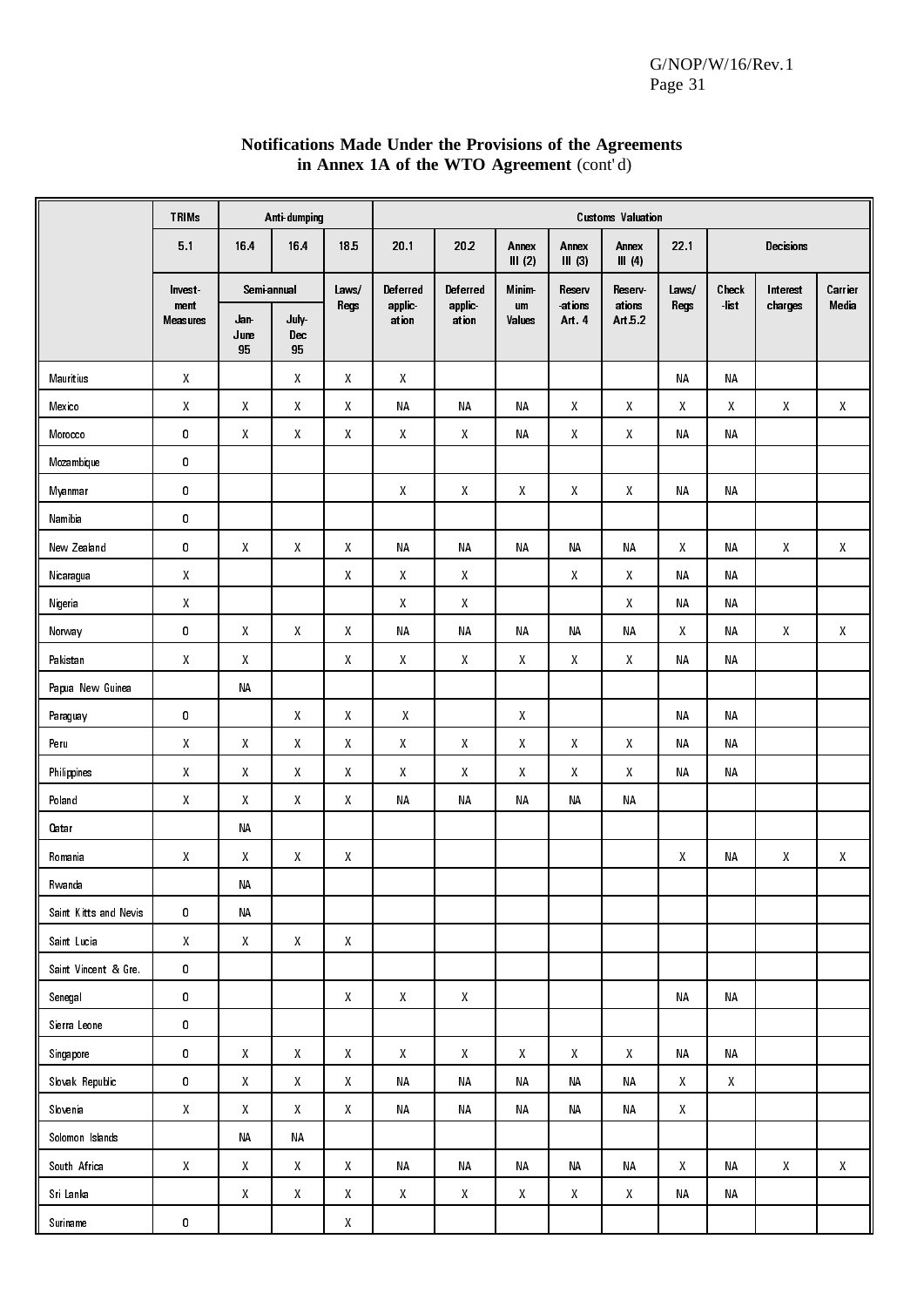|                       | <b>TRIMs</b>                                        |                                                     | Anti-dumping                                        |                                                     |                                                     |                                                     |                                                     |                                                     | <b>Customs Valuation</b>                            |                |                | Decisions          |                                                     |  |
|-----------------------|-----------------------------------------------------|-----------------------------------------------------|-----------------------------------------------------|-----------------------------------------------------|-----------------------------------------------------|-----------------------------------------------------|-----------------------------------------------------|-----------------------------------------------------|-----------------------------------------------------|----------------|----------------|--------------------|-----------------------------------------------------|--|
|                       | 5.1                                                 | 16.4                                                | 164                                                 | 18.5                                                | 201                                                 | 202                                                 | Annex<br>III (2)                                    | Annex<br>$III$ (3)                                  | Annex<br>$III$ (4)                                  | 22.1           |                |                    |                                                     |  |
|                       | Invest                                              | Semi-annual                                         |                                                     | Laws/                                               | Deferred                                            | <b>Deferred</b>                                     | <b>Minim</b>                                        | Reserv                                              | Reserv                                              | Laws/          | Check          | Interest           | Carrier                                             |  |
|                       | ment<br><b>Measures</b>                             | Jan<br>June<br>95                                   | July-<br>Dec<br>95                                  | Regs                                                | applic<br>ation                                     | applic<br>ation                                     | um<br>Values                                        | ations<br>Art 4                                     | ations<br>Art 5.2                                   | Regs           | <b>list</b>    | charges            | Media                                               |  |
| Mauritius             | Χ                                                   |                                                     | X                                                   | X                                                   | $\boldsymbol{X}$                                    |                                                     |                                                     |                                                     |                                                     | <b>NA</b>      | <b>NA</b>      |                    |                                                     |  |
| Mexico                | Χ                                                   | X                                                   | X                                                   | X                                                   | NΑ                                                  | ΝA                                                  | <b>NA</b>                                           | X                                                   | X                                                   | X              | X              | X                  | $\mathsf{X}% _{0}$                                  |  |
| Morocco               | 0                                                   | $\mathsf{X}% _{0}^{\prime}=\mathsf{X}_{0}^{\prime}$ | $\mathsf{X}% _{0}^{\prime}=\mathsf{X}_{0}^{\prime}$ | X                                                   | X                                                   | $\mathsf{X}% _{0}$                                  | <b>NA</b>                                           | $\mathsf{X}% _{0}$                                  | $\mathsf{X}% _{0}$                                  | <b>NA</b>      | $\sf NA$       |                    |                                                     |  |
| Mozambique            | 0                                                   |                                                     |                                                     |                                                     |                                                     |                                                     |                                                     |                                                     |                                                     |                |                |                    |                                                     |  |
| Myanmar               | 0                                                   |                                                     |                                                     |                                                     | $\boldsymbol{X}$                                    | $\mathsf{X}% _{0}^{\prime}=\mathsf{X}_{0}^{\prime}$ | $\mathsf{X}% _{0}^{\prime}=\mathsf{X}_{0}^{\prime}$ | $\mathsf{X}$                                        | $\mathsf{X}$                                        | <b>NA</b>      | <b>NA</b>      |                    |                                                     |  |
| Namibia               | 0                                                   |                                                     |                                                     |                                                     |                                                     |                                                     |                                                     |                                                     |                                                     |                |                |                    |                                                     |  |
| New Zealand           | 0                                                   | Χ                                                   | Χ                                                   | X                                                   | <b>NA</b>                                           | <b>NA</b>                                           | <b>NA</b>                                           | <b>NA</b>                                           | <b>NA</b>                                           | X              | <b>NA</b>      | $\mathsf{X}% _{0}$ | $\mathsf{X}% _{0}^{\prime}=\mathsf{X}_{0}^{\prime}$ |  |
| Nicaragua             | $\mathsf{X}$                                        |                                                     |                                                     | $\mathsf{X}% _{0}^{\prime}=\mathsf{X}_{0}^{\prime}$ | $\mathsf{X}$                                        | $\mathsf{X}% _{0}^{\prime}=\mathsf{X}_{0}^{\prime}$ |                                                     | $\mathsf{X}% _{0}^{\prime}=\mathsf{X}_{0}^{\prime}$ | $\mathsf{X}$                                        | <b>NA</b>      | <b>NA</b>      |                    |                                                     |  |
| Nigeria               | $\mathsf{X}$                                        |                                                     |                                                     |                                                     | $\boldsymbol{X}$                                    | X                                                   |                                                     |                                                     | $\mathsf{X}$                                        | <b>NA</b>      | <b>NA</b>      |                    |                                                     |  |
| Norway                | 0                                                   | X                                                   | X                                                   | $\pmb{\mathsf{X}}$                                  | <b>NA</b>                                           | <b>NA</b>                                           | <b>NA</b>                                           | <b>NA</b>                                           | <b>NA</b>                                           | X              | <b>NA</b>      | $\mathsf{X}$       | $\mathsf{X}$                                        |  |
| Pakistan              | $\pmb{\mathsf{X}}$                                  | X                                                   |                                                     | $\pmb{\mathsf{X}}$                                  | $\mathsf{X}% _{0}^{\prime}=\mathsf{X}_{0}^{\prime}$ | $\mathsf{X}% _{0}$                                  | $\pmb{\mathsf{X}}$                                  | $\mathsf{X}$                                        | $\mathsf{X}% _{0}^{\prime}=\mathsf{X}_{0}^{\prime}$ | <b>NA</b>      | <b>NA</b>      |                    |                                                     |  |
| Papua New Guinea      |                                                     | <b>NA</b>                                           |                                                     |                                                     |                                                     |                                                     |                                                     |                                                     |                                                     |                |                |                    |                                                     |  |
| Paraguay              | 0                                                   |                                                     | $\mathsf{X}$                                        | $\pmb{\mathsf{X}}$                                  | $\mathsf{X}$                                        |                                                     | $\mathsf{X}$                                        |                                                     |                                                     | <b>NA</b>      | <b>NA</b>      |                    |                                                     |  |
| Peru                  | X                                                   | Χ                                                   | X                                                   | X                                                   | X                                                   | $\mathsf{X}% _{0}^{\prime}=\mathsf{X}_{0}^{\prime}$ | $\mathsf{X}$                                        | $\mathsf{X}$                                        | $\mathsf{X}$                                        | <b>NA</b>      | <b>NA</b>      |                    |                                                     |  |
| Philippines           | $\pmb{\mathsf{X}}$                                  | X                                                   | X                                                   | $\pmb{\mathsf{X}}$                                  | $\mathsf{X}$                                        | Χ                                                   | $\mathsf{X}$                                        | $\mathsf{X}% _{0}$                                  | $\mathsf{X}$                                        | <b>NA</b>      | NA             |                    |                                                     |  |
| Poland                | X                                                   | Χ                                                   | X                                                   | $\pmb{\mathsf{X}}$                                  | <b>NA</b>                                           | <b>NA</b>                                           | <b>NA</b>                                           | <b>NA</b>                                           | NΑ                                                  |                |                |                    |                                                     |  |
| Oatar                 |                                                     | <b>NA</b>                                           |                                                     |                                                     |                                                     |                                                     |                                                     |                                                     |                                                     |                |                |                    |                                                     |  |
| Romania               | $\mathsf{X}$                                        | Χ                                                   | X                                                   | $\pmb{\mathsf{X}}$                                  |                                                     |                                                     |                                                     |                                                     |                                                     | X              | <b>NA</b>      | $\mathsf{X}$       | $\mathsf{X}% _{0}$                                  |  |
| Rwanda                |                                                     | <b>NA</b>                                           |                                                     |                                                     |                                                     |                                                     |                                                     |                                                     |                                                     |                |                |                    |                                                     |  |
| Saint Kitts and Nevis | 0                                                   | ΝA                                                  |                                                     |                                                     |                                                     |                                                     |                                                     |                                                     |                                                     |                |                |                    |                                                     |  |
| Saint Lucia           | $\mathsf{X}% _{0}$                                  | $\mathsf{X}% _{0}^{\prime}=\mathsf{X}_{0}^{\prime}$ | $\mathsf{X}% _{0}$                                  | $\mathsf{X}^-$                                      |                                                     |                                                     |                                                     |                                                     |                                                     |                |                |                    |                                                     |  |
| Saint Vincent & Gre.  | 0                                                   |                                                     |                                                     |                                                     |                                                     |                                                     |                                                     |                                                     |                                                     |                |                |                    |                                                     |  |
| Senegal               | 0                                                   |                                                     |                                                     | $\mathsf{X}^-$                                      | $\mathsf{X}$                                        | $\mathsf{X}$                                        |                                                     |                                                     |                                                     | NΑ             | <b>NA</b>      |                    |                                                     |  |
| Sierra Leone          | 0                                                   |                                                     |                                                     |                                                     |                                                     |                                                     |                                                     |                                                     |                                                     |                |                |                    |                                                     |  |
| Singapore             | 0                                                   | $\mathsf{X}% _{0}^{\prime}=\mathsf{X}_{0}^{\prime}$ | X                                                   | $\mathsf{X}^-$                                      | $\boldsymbol{X}$                                    | $\mathsf{X}^-$                                      | X                                                   | X                                                   | $\mathsf{X}^-$                                      | ΝA             | NA             |                    |                                                     |  |
| Slovak Republic       | 0                                                   | $\mathsf{X}% _{0}^{\prime}=\mathsf{X}_{0}^{\prime}$ | $\mathsf{X}% _{0}$                                  | X                                                   | ΝA                                                  | NΑ                                                  | NA                                                  | ΝA                                                  | NΑ                                                  | X              | $\mathsf{X}^-$ |                    |                                                     |  |
| Slovenia              | $\mathsf{X}% _{0}^{\prime}=\mathsf{X}_{0}^{\prime}$ | Χ                                                   | X                                                   | $\mathsf{X}^-$                                      | NΑ                                                  | NΑ                                                  | ΝA                                                  | NΑ                                                  | NΑ                                                  | $\mathsf{X}^-$ |                |                    |                                                     |  |
| Solomon Islands       |                                                     | ΝA                                                  | NA                                                  |                                                     |                                                     |                                                     |                                                     |                                                     |                                                     |                |                |                    |                                                     |  |
| South Africa          | $\mathsf{X}% _{0}$                                  | $\mathsf{X}% _{0}^{\prime}=\mathsf{X}_{0}^{\prime}$ | $\mathsf{X}% _{0}$                                  | X                                                   | NΑ                                                  | NΑ                                                  | ΝA                                                  | ΝA                                                  | NΑ                                                  | X              | NA             | $\mathsf{X}$       | $\mathsf{X}^-$                                      |  |
| Sri Lanka             |                                                     | $\mathsf{X}% _{0}^{\prime}=\mathsf{X}_{0}^{\prime}$ | $\mathsf{X}% _{0}^{\prime}=\mathsf{X}_{0}^{\prime}$ | $\mathsf{X}$                                        | $\pmb{\mathsf{X}}$                                  | $\mathsf{X}% _{0}$                                  | $\mathsf{X}% _{0}^{\prime}=\mathsf{X}_{0}^{\prime}$ | $\mathsf{X}$                                        | $\mathsf{X}% _{0}$                                  | NΑ             | NA             |                    |                                                     |  |
| Suriname              | 0                                                   |                                                     |                                                     | $\mathsf{X}$                                        |                                                     |                                                     |                                                     |                                                     |                                                     |                |                |                    |                                                     |  |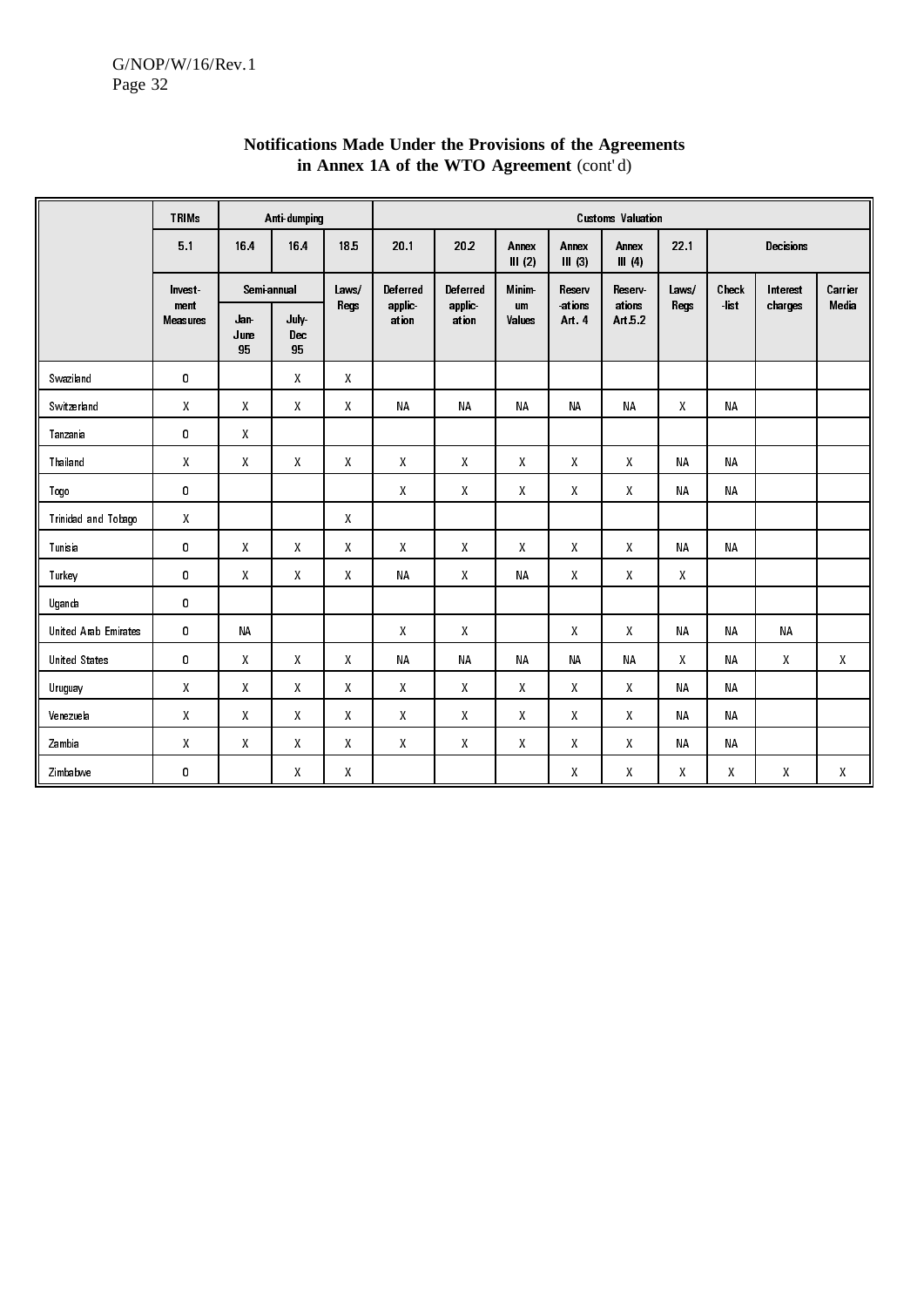|                      | <b>TRIMs</b>            |                    | Anti-dumping       |              |                 |                                                     |                    |                                                     | <b>Customs Valuation</b> |                    |           |                                                     |              |
|----------------------|-------------------------|--------------------|--------------------|--------------|-----------------|-----------------------------------------------------|--------------------|-----------------------------------------------------|--------------------------|--------------------|-----------|-----------------------------------------------------|--------------|
|                      | 5.1                     | 16.4               | 164                | 185          | 20.1            | 202                                                 | Annex<br>$III$ (2) | Annex<br>$III$ (3)                                  | Annex<br>III(4)          | 221                |           | <b>Decisions</b>                                    |              |
|                      | Invest                  | Semi annual        |                    | Laws/        | Deferred        | Deferred                                            | <b>Minim</b>       | Reserv                                              | <b>Reserv</b>            | Laws/              | Check     | Interest                                            | Carrier      |
|                      | ment<br><b>Measures</b> | Jan<br>June<br>95  | July<br>Dec<br>95  | Regs         | applic<br>ation | applic<br>ation                                     | um<br>Values       | ations<br>Art <sub>4</sub>                          | ations<br>Art 5 2        | Regs               | $-$ list  | charges                                             | Media        |
| Swaziland            | 0                       |                    | X                  | $\mathsf{X}$ |                 |                                                     |                    |                                                     |                          |                    |           |                                                     |              |
| Switzerland          | Χ                       | $\pmb{\mathsf{X}}$ | X                  | X            | <b>NA</b>       | ΝA                                                  | <b>NA</b>          | <b>NA</b>                                           | <b>NA</b>                | X                  | <b>NA</b> |                                                     |              |
| Tanzania             | 0                       | $\pmb{\mathsf{X}}$ |                    |              |                 |                                                     |                    |                                                     |                          |                    |           |                                                     |              |
| Thailand             | Χ                       | X                  | X                  | X            | $\mathsf{X}$    | X                                                   | $\mathsf{X}$       | X                                                   | $\mathsf{X}$             | <b>NA</b>          | <b>NA</b> |                                                     |              |
| Togo                 | 0                       |                    |                    |              | $\mathsf{X}$    | $\mathsf{X}$                                        | X                  | X                                                   | $\mathsf{X}$             | <b>NA</b>          | <b>NA</b> |                                                     |              |
| Trinidad and Tobago  | Χ                       |                    |                    | $\mathsf{X}$ |                 |                                                     |                    |                                                     |                          |                    |           |                                                     |              |
| Tunisia              | 0                       | $\pmb{\chi}$       | X                  | X            | $\mathsf{X}$    | $\mathsf{X}$                                        | X                  | X                                                   | $\mathsf X$              | <b>NA</b>          | <b>NA</b> |                                                     |              |
| Turkey               | 0                       | $\mathsf{X}$       | X                  | $\mathsf{X}$ | <b>NA</b>       | $\mathsf{X}% _{0}^{\prime}=\mathsf{X}_{0}^{\prime}$ | <b>NA</b>          | $\mathsf{X}% _{0}^{\prime}=\mathsf{X}_{0}^{\prime}$ | $\mathsf{X}$             | $\mathsf{X}$       |           |                                                     |              |
| Uganda               | 0                       |                    |                    |              |                 |                                                     |                    |                                                     |                          |                    |           |                                                     |              |
| United Arab Emirates | 0                       | <b>NA</b>          |                    |              | $\mathsf{X}$    | X                                                   |                    | X                                                   | $\mathsf{X}$             | <b>NA</b>          | <b>NA</b> | <b>NA</b>                                           |              |
| <b>United States</b> | 0                       | $\pmb{\mathsf{X}}$ | $\pmb{\mathsf{X}}$ | Χ            | <b>NA</b>       | <b>NA</b>                                           | <b>NA</b>          | <b>NA</b>                                           | <b>NA</b>                | $\pmb{\mathsf{X}}$ | <b>NA</b> | $\mathsf{X}% _{0}^{\prime}=\mathsf{X}_{0}^{\prime}$ | $\mathsf{X}$ |
| Uruguay              | Χ                       | X                  | X                  | $\mathsf{X}$ | $\mathsf{X}$    | X                                                   | X                  | X                                                   | $\mathsf{X}$             | <b>NA</b>          | <b>NA</b> |                                                     |              |
| Venezuela            | Χ                       | X                  | X                  | X            | $\mathsf{X}$    | X                                                   | Χ                  | X                                                   | X                        | <b>NA</b>          | <b>NA</b> |                                                     |              |
| Zambia               | Χ                       | X                  | X                  | X            | X               | X                                                   | Χ                  | X                                                   | X                        | <b>NA</b>          | <b>NA</b> |                                                     |              |
| Zimbabwe             | 0                       |                    | X                  | X            |                 |                                                     |                    | Χ                                                   | X                        | X                  | X         | $\mathsf{X}$                                        | X            |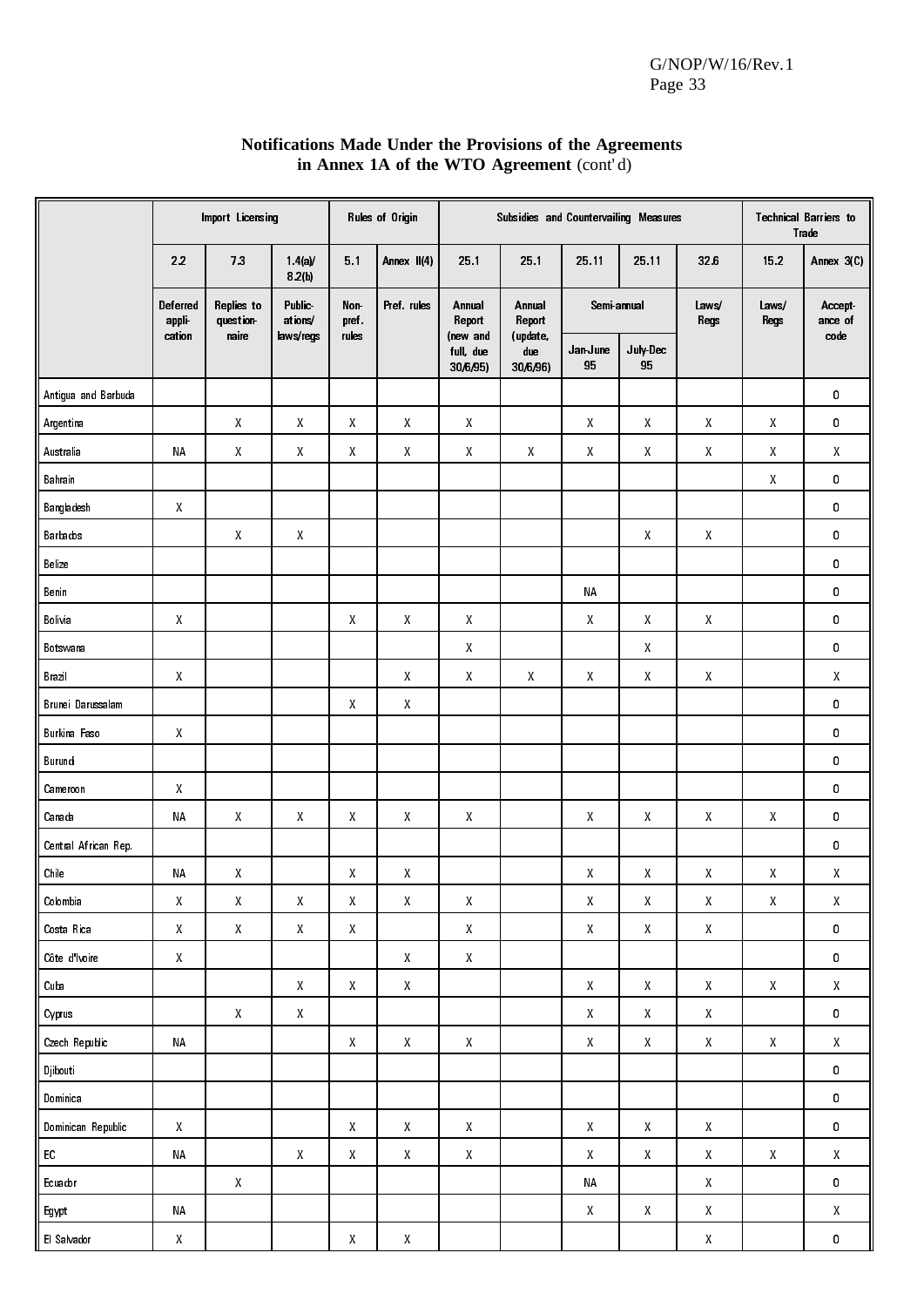|                      |                                                     | Import Licensing       |                          |                    | Rules of Origin    |                                   | Subsidies and Countervailing Measures |                                                     |                    |                                                     |                    | <b>Technical Barriers to</b><br>Trade |
|----------------------|-----------------------------------------------------|------------------------|--------------------------|--------------------|--------------------|-----------------------------------|---------------------------------------|-----------------------------------------------------|--------------------|-----------------------------------------------------|--------------------|---------------------------------------|
|                      | 22                                                  | 73                     | 1.4(a)<br>8.2(b)         | 5 <sub>1</sub>     | Annex II(4)        | 25 1                              | 25 1                                  | 25.11                                               | 25.11              | 32 6                                                | 152                | Annex 3(C)                            |
|                      | Deferred<br>appli-                                  | Replies to<br>question | <b>Public</b><br>ations/ | Non-<br>pref.      | Pref. rules        | Annual<br>Report                  | Annual<br>Report                      | Semi-annual                                         |                    | Laws/<br>Regs                                       | Laws/<br>Regs      | Accept<br>ance of                     |
|                      | cation                                              | naire                  | laws/regs                | rules              |                    | (new and<br>full, due<br>30/6/95) | (update,<br>due<br>30/6/96)           | Jan June<br>95                                      | July-Dec<br>95     |                                                     |                    | code                                  |
| Antigua and Barbuda  |                                                     |                        |                          |                    |                    |                                   |                                       |                                                     |                    |                                                     |                    | 0                                     |
| Argentina            |                                                     | X                      | $\mathsf{X}$             | X                  | X                  | $\pmb{\mathsf{X}}$                |                                       | Χ                                                   | $\pmb{\mathsf{X}}$ | X                                                   | X                  | 0                                     |
| Australia            | ΝA                                                  | X                      | $\pmb{\mathsf{X}}$       | X                  | $\pmb{\mathsf{X}}$ | X                                 | X                                     | Χ                                                   | X                  | $\pmb{\mathsf{X}}$                                  | $\pmb{\mathsf{X}}$ | $\pmb{\mathsf{X}}$                    |
| Bahrain              |                                                     |                        |                          |                    |                    |                                   |                                       |                                                     |                    |                                                     | Χ                  | 0                                     |
| Bangladesh           | X                                                   |                        |                          |                    |                    |                                   |                                       |                                                     |                    |                                                     |                    | 0                                     |
| Barbados             |                                                     | Χ                      | $\pmb{\mathsf{X}}$       |                    |                    |                                   |                                       |                                                     | $\pmb{\mathsf{X}}$ | $\pmb{\mathsf{X}}$                                  |                    | 0                                     |
| Belize               |                                                     |                        |                          |                    |                    |                                   |                                       |                                                     |                    |                                                     |                    | 0                                     |
| Benin                |                                                     |                        |                          |                    |                    |                                   |                                       | <b>NA</b>                                           |                    |                                                     |                    | 0                                     |
| Bolivia              | Х                                                   |                        |                          | $\pmb{\mathsf{X}}$ | $\pmb{\mathsf{X}}$ | $\pmb{\mathsf{X}}$                |                                       | Χ                                                   | $\pmb{\mathsf{X}}$ | $\mathsf{X}% _{0}^{\prime}=\mathsf{X}_{0}^{\prime}$ |                    | 0                                     |
| Botswana             |                                                     |                        |                          |                    |                    | X                                 |                                       |                                                     | $\boldsymbol{X}$   |                                                     |                    | 0                                     |
| Brazil               | X                                                   |                        |                          |                    | $\pmb{\mathsf{X}}$ | $\pmb{\mathsf{X}}$                | $\pmb{\mathsf{X}}$                    | Χ                                                   | $\pmb{\mathsf{X}}$ | X                                                   |                    | $\pmb{\mathsf{X}}$                    |
| Brunei Darussalam    |                                                     |                        |                          | $\pmb{\mathsf{X}}$ | $\mathsf{X}$       |                                   |                                       |                                                     |                    |                                                     |                    | 0                                     |
| Burkina Faso         | X                                                   |                        |                          |                    |                    |                                   |                                       |                                                     |                    |                                                     |                    | 0                                     |
| Burundi              |                                                     |                        |                          |                    |                    |                                   |                                       |                                                     |                    |                                                     |                    | 0                                     |
| Cameroon             | Х                                                   |                        |                          |                    |                    |                                   |                                       |                                                     |                    |                                                     |                    | 0                                     |
| Canada               | ΝA                                                  | $\pmb{\mathsf{X}}$     | X                        | X                  | $\pmb{\mathsf{X}}$ | $\pmb{\mathsf{X}}$                |                                       | Χ                                                   | $\pmb{\mathsf{X}}$ | $\pmb{\mathsf{X}}$                                  | $\pmb{\mathsf{X}}$ | 0                                     |
| Central African Rep. |                                                     |                        |                          |                    |                    |                                   |                                       |                                                     |                    |                                                     |                    | 0                                     |
| Chile                | NΑ                                                  | $\pmb{\mathsf{X}}$     |                          | $\pmb{\mathsf{X}}$ | $\pmb{\mathsf{X}}$ |                                   |                                       | Χ                                                   | X                  | $\pmb{\mathsf{X}}$                                  | $\pmb{\mathsf{X}}$ | $\pmb{\mathsf{X}}$                    |
| Colombia             | $\pmb{\mathsf{X}}$                                  | $\mathsf{X}$           | $\pmb{\mathsf{X}}$       | $\pmb{\mathsf{X}}$ | $\pmb{\mathsf{X}}$ | $\pmb{\mathsf{X}}$                |                                       | $\pmb{\mathsf{X}}$                                  | $\mathsf{X}$       | $\mathsf{X}$                                        | $\mathsf{X}$       | $\mathsf{X}$                          |
| Costa Rica           | $\mathsf{X}% _{0}^{\prime}=\mathsf{X}_{0}^{\prime}$ | $\pmb{\mathsf{X}}$     | $\mathsf X$              | $\pmb{\mathsf{X}}$ |                    | $\pmb{\mathsf{X}}$                |                                       | $\mathsf{X}% _{0}^{\prime}=\mathsf{X}_{0}^{\prime}$ | $\pmb{\mathsf{X}}$ | $\pmb{\mathsf{X}}$                                  |                    | 0                                     |
| Côte d'Ivoire        | $\pmb{\mathsf{X}}$                                  |                        |                          |                    | $\pmb{\mathsf{X}}$ | $\pmb{\mathsf{X}}$                |                                       |                                                     |                    |                                                     |                    | 0                                     |
| Cuba                 |                                                     |                        | $\pmb{\mathsf{X}}$       | $\pmb{\mathsf{X}}$ | $\pmb{\mathsf{X}}$ |                                   |                                       | Χ                                                   | $\mathsf X$        | $\pmb{\mathsf{X}}$                                  | $\pmb{\mathsf{X}}$ | $\pmb{\mathsf{X}}$                    |
| Cyprus               |                                                     | $\pmb{\mathsf{X}}$     | $\pmb{\mathsf{X}}$       |                    |                    |                                   |                                       | Χ                                                   | Χ                  | $\pmb{\mathsf{X}}$                                  |                    | 0                                     |
| Czech Republic       | ΝA                                                  |                        |                          | $\mathsf X$        | $\pmb{\mathsf{X}}$ | $\pmb{\mathsf{X}}$                |                                       | Χ                                                   | $\pmb{\mathsf{X}}$ | $\mathsf{X}% _{0}$                                  | $\pmb{\mathsf{X}}$ | $\mathsf{X}$                          |
| Djibouti             |                                                     |                        |                          |                    |                    |                                   |                                       |                                                     |                    |                                                     |                    | 0                                     |
| Dominica             |                                                     |                        |                          |                    |                    |                                   |                                       |                                                     |                    |                                                     |                    | $\pmb{0}$                             |
| Dominican Republic   | $\pmb{\mathsf{X}}$                                  |                        |                          | $\mathsf X$        | $\pmb{\mathsf{X}}$ | $\mathsf X$                       |                                       | Χ                                                   | $\pmb{\mathsf{X}}$ | $\pmb{\mathsf{X}}$                                  |                    | 0                                     |
| ${\sf EC}$           | ΝA                                                  |                        | $\pmb{\mathsf{X}}$       | $\mathsf X$        | $\pmb{\mathsf{X}}$ | X                                 |                                       | X                                                   | X                  | $\pmb{\mathsf{X}}$                                  | $\pmb{\mathsf{X}}$ | $\pmb{\mathsf{X}}$                    |
| Ecuador              |                                                     | $\pmb{\mathsf{X}}$     |                          |                    |                    |                                   |                                       | NΑ                                                  |                    | $\pmb{\mathsf{X}}$                                  |                    | 0                                     |
| Egypt                | ΝA                                                  |                        |                          |                    |                    |                                   |                                       | X                                                   | $\mathsf X$        | $\pmb{\mathsf{X}}$                                  |                    | $\pmb{\mathsf{X}}$                    |
| El Salvador          | $\pmb{\mathsf{X}}$                                  |                        |                          | $\pmb{\mathsf{X}}$ | $\pmb{\mathsf{X}}$ |                                   |                                       |                                                     |                    | $\pmb{\mathsf{X}}$                                  |                    | 0                                     |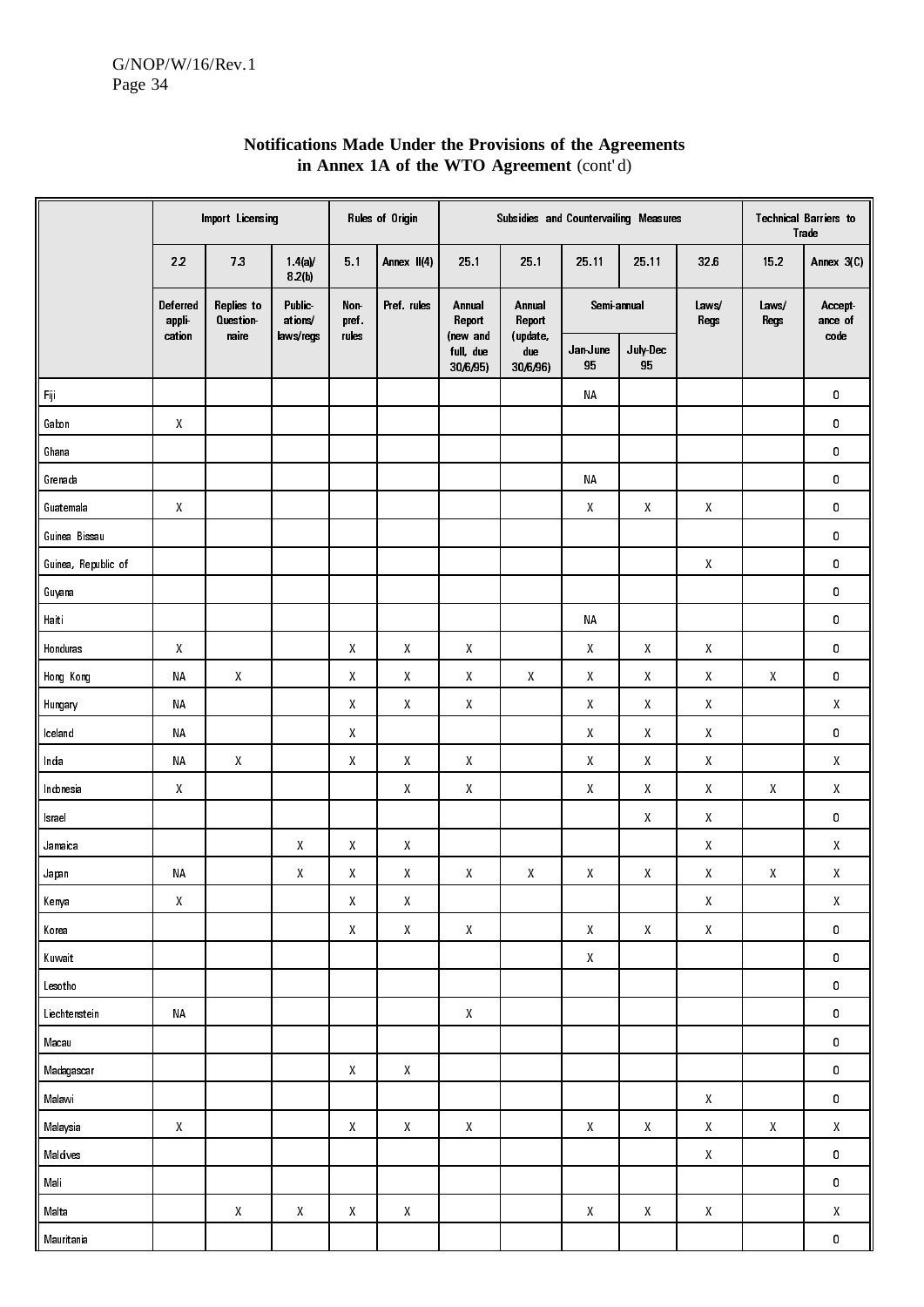|                      |                    | <b>Import Licensing</b> |                    |                    | <b>Rules of Origin</b> |                                                     | Subsidies and Countervailing Measures |                    |                    |                    | <b>Technical Barriers to</b><br>Trade |                    |  |
|----------------------|--------------------|-------------------------|--------------------|--------------------|------------------------|-----------------------------------------------------|---------------------------------------|--------------------|--------------------|--------------------|---------------------------------------|--------------------|--|
|                      | $2.2\,$            | 13                      | 1.4(a)<br>8.2(b)   | 5.1                | Annex II(4)            | 25.1                                                | 25 1                                  | 25.11              | 25 11              | 32 6               | 15.2                                  | Annex 3(C)         |  |
|                      | Deferred<br>appli  | Replies to<br>Question  | Public-<br>ations/ | Non-<br>pref.      | Pref. rules            | Annual<br>Report                                    | Annual<br>Report                      | Semi-annual        |                    | Laws/<br>Regs      | Laws/<br>Regs                         | Accept<br>ance of  |  |
|                      | cation             | naire                   | laws/regs          | rules              |                        | (new and<br>full, due<br>30/6/95)                   | (update,<br>due<br>30/6/96)           | Jan June<br>95     | July Dec<br>95     |                    |                                       | code               |  |
| Fiji                 |                    |                         |                    |                    |                        |                                                     |                                       | ΝA                 |                    |                    |                                       | 0                  |  |
| Gabon                | $\mathsf{X}$       |                         |                    |                    |                        |                                                     |                                       |                    |                    |                    |                                       | 0                  |  |
| Ghana                |                    |                         |                    |                    |                        |                                                     |                                       |                    |                    |                    |                                       | 0                  |  |
| Grenada              |                    |                         |                    |                    |                        |                                                     |                                       | NA                 |                    |                    |                                       | 0                  |  |
| Guatemala            | X                  |                         |                    |                    |                        |                                                     |                                       | Χ                  | Χ                  | Χ                  |                                       | 0                  |  |
| Guinea Bissau        |                    |                         |                    |                    |                        |                                                     |                                       |                    |                    |                    |                                       | 0                  |  |
| Guinea, Republic of  |                    |                         |                    |                    |                        |                                                     |                                       |                    |                    | Χ                  |                                       | 0                  |  |
| Guyana               |                    |                         |                    |                    |                        |                                                     |                                       |                    |                    |                    |                                       | 0                  |  |
| Haiti                |                    |                         |                    |                    |                        |                                                     |                                       | <b>NA</b>          |                    |                    |                                       | 0                  |  |
| Honduras             | $\pmb{\mathsf{X}}$ |                         |                    | $\pmb{\mathsf{X}}$ | $\pmb{\mathsf{X}}$     | χ                                                   |                                       | χ                  | $\pmb{\mathsf{X}}$ | Χ                  |                                       | 0                  |  |
| Hong Kong            | NΑ                 | $\pmb{\mathsf{X}}$      |                    | $\pmb{\mathsf{X}}$ | $\mathsf X$            | $\pmb{\mathsf{X}}$                                  | $\mathsf X$                           | χ                  | $\pmb{\mathsf{X}}$ | Χ                  | $\pmb{\mathsf{X}}$                    | 0                  |  |
| Hungary              | ΝA                 |                         |                    | $\pmb{\mathsf{X}}$ | $\mathsf X$            | $\pmb{\mathsf{X}}$                                  |                                       | χ                  | $\pmb{\mathsf{X}}$ | Χ                  |                                       | $\pmb{\mathsf{X}}$ |  |
| Iceland              | NΑ                 |                         |                    | $\pmb{\mathsf{X}}$ |                        |                                                     |                                       | χ                  | $\pmb{\mathsf{X}}$ | Χ                  |                                       | 0                  |  |
| <b>  </b> India      | <b>NA</b>          | X                       |                    | $\pmb{\mathsf{X}}$ | $\mathsf X$            | $\mathsf X$                                         |                                       | X                  | X                  | Χ                  |                                       | X                  |  |
| Indonesia            | $\mathsf X$        |                         |                    |                    | $\mathsf X$            | $\mathsf X$                                         |                                       | $\boldsymbol{X}$   | $\pmb{\mathsf{X}}$ | Χ                  | $\pmb{\mathsf{X}}$                    | $\pmb{\mathsf{X}}$ |  |
| Israel               |                    |                         |                    |                    |                        |                                                     |                                       |                    | Χ                  | Χ                  |                                       | 0                  |  |
| Jamaica              |                    |                         | Χ                  | $\pmb{\mathsf{X}}$ | $\mathsf X$            |                                                     |                                       |                    |                    | Χ                  |                                       | $\pmb{\mathsf{X}}$ |  |
| Japan                | ΝA                 |                         | $\pmb{\mathsf{X}}$ | $\pmb{\mathsf{X}}$ | $\mathsf X$            | $\mathsf X$                                         | $\mathsf X$                           | $\pmb{\mathsf{X}}$ | Χ                  | Χ                  | Χ                                     | $\pmb{\mathsf{X}}$ |  |
| Kenya                | $\pmb{\mathsf{X}}$ |                         |                    | $\pmb{\mathsf{X}}$ | $\pmb{\mathsf{X}}$     |                                                     |                                       |                    |                    | $\pmb{\mathsf{X}}$ |                                       | $\pmb{\mathsf{X}}$ |  |
| Korea                |                    |                         |                    | Χ                  | $\pmb{\mathsf{X}}$     | $\pmb{\mathsf{X}}$                                  |                                       | χ                  | $\pmb{\mathsf{X}}$ | $\pmb{\mathsf{X}}$ |                                       | 0                  |  |
| $\frac{1}{2}$ Kuwait |                    |                         |                    |                    |                        |                                                     |                                       | $\pmb{\mathsf{X}}$ |                    |                    |                                       | 0                  |  |
| Lesotho              |                    |                         |                    |                    |                        |                                                     |                                       |                    |                    |                    |                                       | 0                  |  |
| Liechtenstein        | <b>NA</b>          |                         |                    |                    |                        | $\pmb{\mathsf{X}}$                                  |                                       |                    |                    |                    |                                       | 0                  |  |
| Macau                |                    |                         |                    |                    |                        |                                                     |                                       |                    |                    |                    |                                       | 0                  |  |
| Madagascar           |                    |                         |                    | $\pmb{\mathsf{X}}$ | $\pmb{\mathsf{X}}$     |                                                     |                                       |                    |                    |                    |                                       | 0                  |  |
| Malawi               |                    |                         |                    |                    |                        |                                                     |                                       |                    |                    | X                  |                                       | 0                  |  |
| Malaysia             | $\mathsf{X}$       |                         |                    | $\pmb{\mathsf{X}}$ | $\pmb{\mathsf{X}}$     | $\mathsf{X}% _{0}^{\prime}=\mathsf{X}_{0}^{\prime}$ |                                       | Χ                  | $\,$ X             | X                  | $\pmb{\mathsf{X}}$                    | $\pmb{\mathsf{X}}$ |  |
| Maldives             |                    |                         |                    |                    |                        |                                                     |                                       |                    |                    | X                  |                                       | 0                  |  |
| Mali                 |                    |                         |                    |                    |                        |                                                     |                                       |                    |                    |                    |                                       | 0                  |  |
| Malta                |                    | $\pmb{\mathsf{X}}$      | $\pmb{\mathsf{X}}$ | $\pmb{\mathsf{X}}$ | $\mathsf{X}$           |                                                     |                                       | Χ                  | $\pmb{\mathsf{X}}$ | Χ                  |                                       | $\pmb{\mathsf{X}}$ |  |
| Mauritania           |                    |                         |                    |                    |                        |                                                     |                                       |                    |                    |                    |                                       | 0                  |  |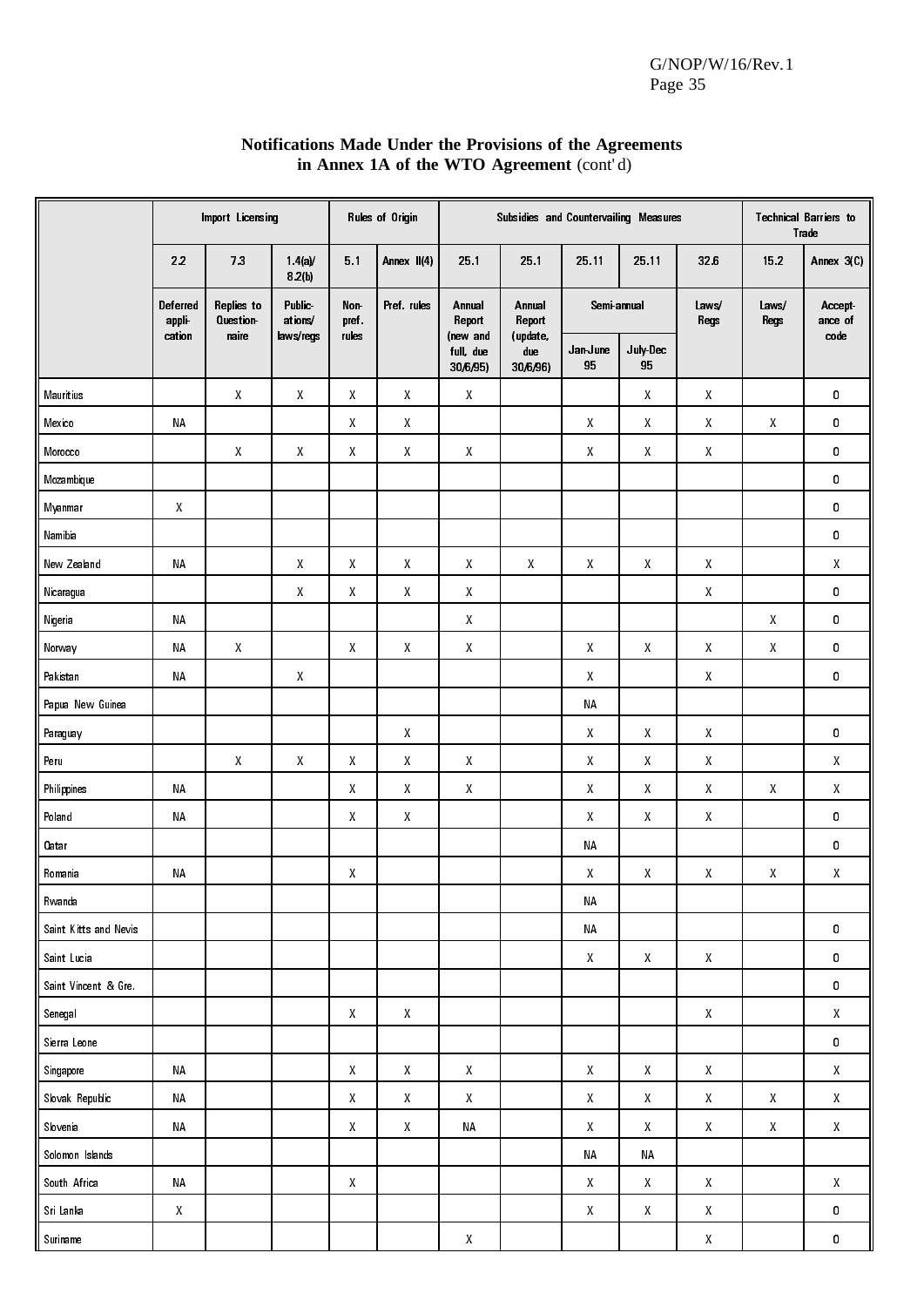|                       | <b>Import Licensing</b> |                        |                                                     |                                                     | Rules of Origin                                     |                                                     | Subsidies and Countervailing Measures |                    |                    |                    | <b>Technical Barriers to</b><br>Trade               |                    |  |  |
|-----------------------|-------------------------|------------------------|-----------------------------------------------------|-----------------------------------------------------|-----------------------------------------------------|-----------------------------------------------------|---------------------------------------|--------------------|--------------------|--------------------|-----------------------------------------------------|--------------------|--|--|
|                       | 22                      | 73                     | 1.4(a)<br>8.2(b)                                    | 5.1                                                 | Annex II(4)                                         | 25.1                                                | 25 1                                  | 25.11              | 25.11              | 32 6               | 15.2                                                | Annex 3(C)         |  |  |
|                       | Deferred<br>appli       | Replies to<br>Question | Public-<br>ations/                                  | Non<br>pref.                                        | Pref. rules                                         | Annual<br>Report                                    | Annual<br>Report                      | Semi-annual        |                    | Laws/<br>Regs      | Laws/<br>Regs                                       | Accept<br>ance of  |  |  |
|                       | cation                  | naire                  | laws/regs                                           | rules                                               |                                                     | (new and<br>full, due<br>30/6/95)                   | (update,<br>due<br>30/6/96)           | Jan June<br>95     | July Dec<br>95     |                    |                                                     | code               |  |  |
| Mauritius             |                         | Χ                      | $\pmb{\mathsf{X}}$                                  | X                                                   | $\mathsf X$                                         | $\pmb{\mathsf{X}}$                                  |                                       |                    | $\pmb{\mathsf{X}}$ | Χ                  |                                                     | 0                  |  |  |
| Mexico                | ΝA                      |                        |                                                     | X                                                   | $\mathsf{X}% _{0}^{\prime}=\mathsf{X}_{0}^{\prime}$ |                                                     |                                       | Χ                  | X                  | Χ                  | $\mathsf{X}% _{0}^{\prime}=\mathsf{X}_{0}^{\prime}$ | 0                  |  |  |
| Morocco               |                         | $\pmb{\mathsf{X}}$     | $\mathsf{X}% _{0}^{\prime}=\mathsf{X}_{0}^{\prime}$ | $\mathsf{X}% _{0}^{\prime}=\mathsf{X}_{0}^{\prime}$ | $\mathsf{X}% _{0}^{\prime}=\mathsf{X}_{0}^{\prime}$ | $\pmb{\mathsf{X}}$                                  |                                       | Χ                  | $\pmb{\mathsf{X}}$ | $\pmb{\mathsf{X}}$ |                                                     | 0                  |  |  |
| Mozambique            |                         |                        |                                                     |                                                     |                                                     |                                                     |                                       |                    |                    |                    |                                                     | 0                  |  |  |
| Myanmar               | Χ                       |                        |                                                     |                                                     |                                                     |                                                     |                                       |                    |                    |                    |                                                     | $\pmb{0}$          |  |  |
| Namibia               |                         |                        |                                                     |                                                     |                                                     |                                                     |                                       |                    |                    |                    |                                                     | $\pmb{0}$          |  |  |
| New Zealand           | ΝA                      |                        | $\mathsf{X}% _{0}^{\prime}=\mathsf{X}_{0}^{\prime}$ | Χ                                                   | $\mathsf{X}% _{0}$                                  | $\boldsymbol{X}$                                    | $\boldsymbol{X}$                      | $\pmb{\mathsf{X}}$ | $\pmb{\mathsf{X}}$ | χ                  |                                                     | Χ                  |  |  |
| Nicaragua             |                         |                        | $\mathsf{X}% _{0}^{\prime}=\mathsf{X}_{0}^{\prime}$ | $\mathsf{X}% _{0}^{\prime}=\mathsf{X}_{0}^{\prime}$ | $\pmb{\mathsf{X}}$                                  | $\mathsf{X}% _{0}^{\prime}=\mathsf{X}_{0}^{\prime}$ |                                       |                    |                    | Χ                  |                                                     | $\pmb{0}$          |  |  |
| Nigeria               | ΝA                      |                        |                                                     |                                                     |                                                     | $\mathsf{X}% _{0}^{\prime}=\mathsf{X}_{0}^{\prime}$ |                                       |                    |                    |                    | Χ                                                   | 0                  |  |  |
| Norway                | ΝA                      | Χ                      |                                                     | $\pmb{\chi}$                                        | $\pmb{\mathsf{X}}$                                  | $\boldsymbol{X}$                                    |                                       | Χ                  | $\pmb{\mathsf{X}}$ | Χ                  | Χ                                                   | 0                  |  |  |
| Pakistan              | ΝA                      |                        | $\mathsf{X}% _{0}^{\prime}=\mathsf{X}_{0}^{\prime}$ |                                                     |                                                     |                                                     |                                       | Χ                  |                    | χ                  |                                                     | 0                  |  |  |
| Papua New Guinea      |                         |                        |                                                     |                                                     |                                                     |                                                     |                                       | NΑ                 |                    |                    |                                                     |                    |  |  |
| Paraguay              |                         |                        |                                                     |                                                     | $\pmb{\mathsf{X}}$                                  |                                                     |                                       | Χ                  | Χ                  | χ                  |                                                     | $\pmb{0}$          |  |  |
| Peru                  |                         | Χ                      | $\mathsf{X}% _{0}^{\prime}=\mathsf{X}_{0}^{\prime}$ | Χ                                                   | $\pmb{\mathsf{X}}$                                  | $\mathsf{X}% _{0}^{\prime}=\mathsf{X}_{0}^{\prime}$ |                                       | Χ                  | $\pmb{\mathsf{X}}$ | χ                  |                                                     | Χ                  |  |  |
| Philippines           | NΑ                      |                        |                                                     | Χ                                                   | $\pmb{\mathsf{X}}$                                  | $\pmb{\mathsf{X}}$                                  |                                       | Χ                  | $\pmb{\mathsf{X}}$ | Χ                  | Χ                                                   | Χ                  |  |  |
| Poland                | ΝA                      |                        |                                                     | Χ                                                   | $\mathsf{X}% _{0}^{\prime}=\mathsf{X}_{0}^{\prime}$ |                                                     |                                       | Χ                  | $\pmb{\mathsf{X}}$ | Χ                  |                                                     | $\pmb{0}$          |  |  |
| Oatar                 |                         |                        |                                                     |                                                     |                                                     |                                                     |                                       | NΑ                 |                    |                    |                                                     | 0                  |  |  |
| Romania               | ΝA                      |                        |                                                     | $\pmb{\mathsf{X}}$                                  |                                                     |                                                     |                                       | Χ                  | X                  | χ                  | χ                                                   | Χ                  |  |  |
| Rwanda                |                         |                        |                                                     |                                                     |                                                     |                                                     |                                       | <b>NA</b>          |                    |                    |                                                     |                    |  |  |
| Saint Kitts and Nevis |                         |                        |                                                     |                                                     |                                                     |                                                     |                                       | NΑ                 |                    |                    |                                                     | 0                  |  |  |
| Saint Lucia           |                         |                        |                                                     |                                                     |                                                     |                                                     |                                       | X                  | $\pmb{\mathsf{X}}$ | Χ                  |                                                     | 0                  |  |  |
| Saint Vincent & Gre.  |                         |                        |                                                     |                                                     |                                                     |                                                     |                                       |                    |                    |                    |                                                     | 0                  |  |  |
| Senegal               |                         |                        |                                                     | $\pmb{\mathsf{X}}$                                  | $\pmb{\mathsf{X}}$                                  |                                                     |                                       |                    |                    | X                  |                                                     | $\pmb{\mathsf{X}}$ |  |  |
| Sierra Leone          |                         |                        |                                                     |                                                     |                                                     |                                                     |                                       |                    |                    |                    |                                                     | 0                  |  |  |
| Singapore             | ΝA                      |                        |                                                     | Χ                                                   | $\pmb{\mathsf{X}}$                                  | $\pmb{\mathsf{X}}$                                  |                                       | Χ                  | $\pmb{\mathsf{X}}$ | Χ                  |                                                     | $\pmb{\mathsf{X}}$ |  |  |
| Slovak Republic       | ΝA                      |                        |                                                     | $\pmb{\mathsf{X}}$                                  | $\mathsf X$                                         | X                                                   |                                       | Χ                  | X                  | X                  | Χ                                                   | $\pmb{\mathsf{X}}$ |  |  |
| Slovenia              | ΝA                      |                        |                                                     | $\pmb{\mathsf{X}}$                                  | $\mathsf X$                                         | ΝA                                                  |                                       | X                  | X                  | X                  | Χ                                                   | $\pmb{\mathsf{X}}$ |  |  |
| Solomon Islands       |                         |                        |                                                     |                                                     |                                                     |                                                     |                                       | ΝA                 | ΝA                 |                    |                                                     |                    |  |  |
| South Africa          | ΝA                      |                        |                                                     | X                                                   |                                                     |                                                     |                                       | χ                  | X                  | X                  |                                                     | χ                  |  |  |
| Sri Lanka             | $\pmb{\mathsf{X}}$      |                        |                                                     |                                                     |                                                     |                                                     |                                       | Χ                  | X                  | χ                  |                                                     | 0                  |  |  |
| Suriname              |                         |                        |                                                     |                                                     |                                                     | Χ                                                   |                                       |                    |                    | Χ                  |                                                     | $\pmb{0}$          |  |  |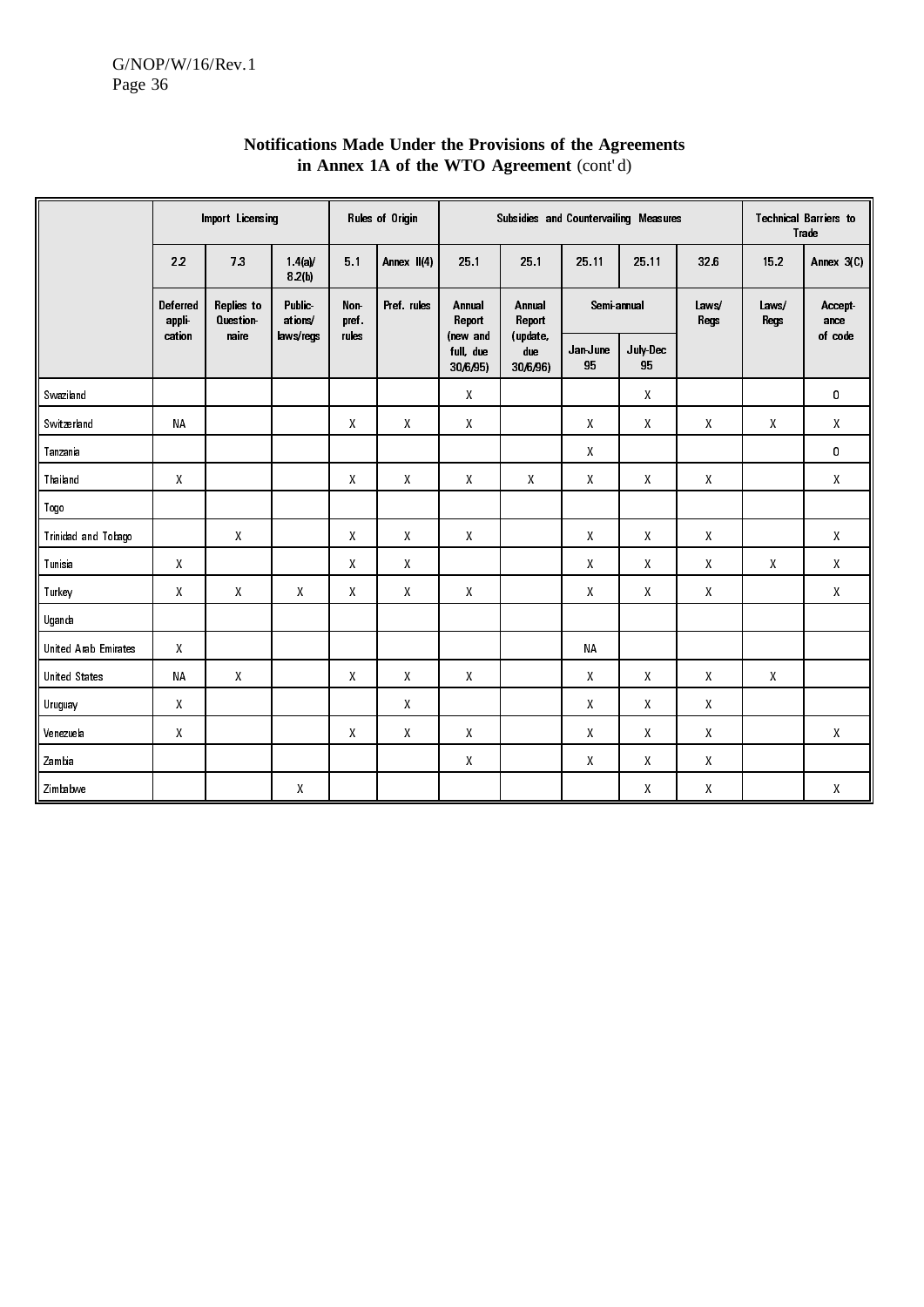|                      | Import Licensing  |                        |                   |                                                     | Rules of Origin | Subsidies and Countervailing Measures |                            |                |                  |               |               | <b>Technical Barriers to</b><br>Trade |
|----------------------|-------------------|------------------------|-------------------|-----------------------------------------------------|-----------------|---------------------------------------|----------------------------|----------------|------------------|---------------|---------------|---------------------------------------|
|                      | 22                | 13                     | 1.4(a)<br>8.2(b)  | 5.1                                                 | Annex II(4)     | 251                                   | 251                        | 25 11          | 25.11            | 326           | 15.2          | Annex 3(C)                            |
|                      | Deferred<br>appli | Replies to<br>Question | Public<br>ations/ | Non-<br>oref                                        | Pref. rules     | Annual<br>Report                      | Annual<br>Report           | Semi annual    |                  | Laws/<br>Regs | Laws/<br>Regs | Accept<br>ance                        |
|                      | cation            | naire                  | laws/regs         | rules                                               |                 | (new and<br>full, due<br>30/6/95)     | (update,<br>due<br>30/6/96 | Jan-June<br>95 | July Dec<br>95   |               |               | of code                               |
| Swaziland            |                   |                        |                   |                                                     |                 | X                                     |                            |                | $\boldsymbol{X}$ |               |               | 0                                     |
| Switzerland          | <b>NA</b>         |                        |                   | $\mathsf{X}$                                        | $\mathsf{X}$    | $\mathsf{X}$                          |                            | X              | $\boldsymbol{X}$ | X             | $\mathsf{X}$  | X                                     |
| Tanzania             |                   |                        |                   |                                                     |                 |                                       |                            | $\mathsf{X}$   |                  |               |               | $\pmb{0}$                             |
| Thailand             | X                 |                        |                   | $\pmb{\mathsf{X}}$                                  | X               | X                                     | X                          | $\mathsf{X}$   | $\boldsymbol{X}$ | X             |               | $\mathsf{X}$                          |
| Togo                 |                   |                        |                   |                                                     |                 |                                       |                            |                |                  |               |               |                                       |
| Trinidad and Tobago  |                   | X                      |                   | $\mathsf{X}% _{0}^{\prime}=\mathsf{X}_{0}^{\prime}$ | $\mathsf{X}$    | X                                     |                            | $\mathsf{X}$   | X                | X             |               | X                                     |
| Tunisia              | $\mathsf{X}$      |                        |                   | $\pmb{\mathsf{X}}$                                  | $\mathsf{X}$    |                                       |                            | X              | X                | X             | $\mathsf{X}$  | $\mathsf{X}$                          |
| Turkey               | $\mathsf{X}$      | $\mathsf{X}$           | $\boldsymbol{X}$  | $\mathsf{X}% _{0}^{\prime}=\mathsf{X}_{0}^{\prime}$ | $\mathsf{X}$    | $\mathsf{X}$                          |                            | $\mathsf{X}$   | $\boldsymbol{X}$ | X             |               | $\mathsf{X}$                          |
| Uganda               |                   |                        |                   |                                                     |                 |                                       |                            |                |                  |               |               |                                       |
| United Arab Emirates | X                 |                        |                   |                                                     |                 |                                       |                            | NΑ             |                  |               |               |                                       |
| <b>United States</b> | <b>NA</b>         | $\mathsf{X}$           |                   | $\mathsf{X}$                                        | $\mathsf{X}$    | $\mathsf{X}$                          |                            | $\mathsf{X}$   | $\mathsf{X}$     | $\mathsf{X}$  | $\mathsf{X}$  |                                       |
| Uruguay              | $\mathsf{X}$      |                        |                   |                                                     | $\mathsf{X}$    |                                       |                            | Χ              | $\boldsymbol{X}$ | $\mathsf{X}$  |               |                                       |
| Venezuela            | X                 |                        |                   | X                                                   | X               | X                                     |                            | X              | X                | X             |               | X                                     |
| Zambia               |                   |                        |                   |                                                     |                 | X                                     |                            | Χ              | X                | X             |               |                                       |
| Zimbabwe             |                   |                        | X                 |                                                     |                 |                                       |                            |                | X                | X             |               | X                                     |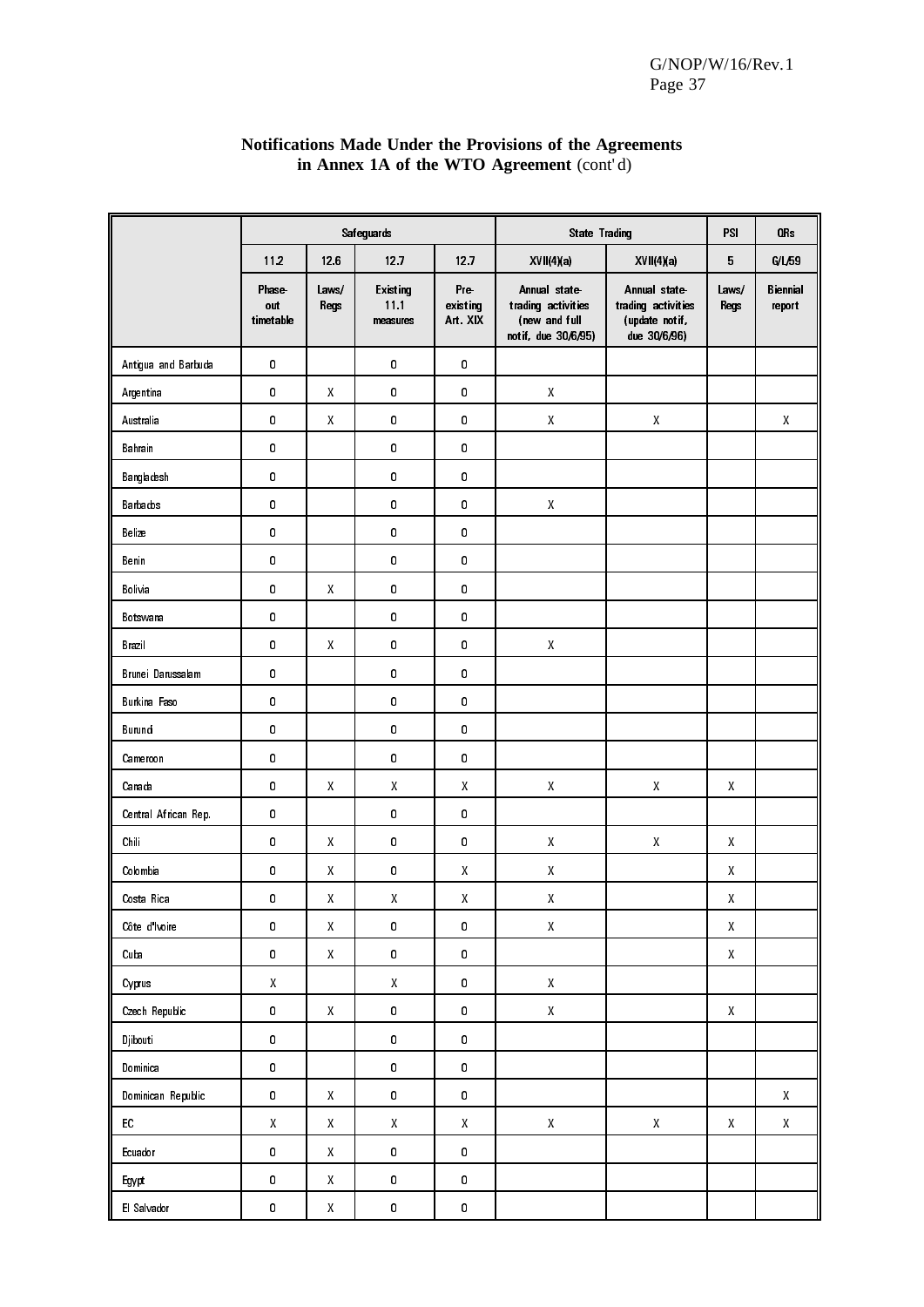|                      |                                  |                       | Safeguards                   |                                                     | <b>State Trading</b>                                                       | PSI                                                                  | OR <sub>s</sub>                                     |                           |
|----------------------|----------------------------------|-----------------------|------------------------------|-----------------------------------------------------|----------------------------------------------------------------------------|----------------------------------------------------------------------|-----------------------------------------------------|---------------------------|
|                      | 11.2                             | 126                   | $12.7$                       | 127                                                 | XVII(4)(a)                                                                 | XVII(4)(a)                                                           | 5                                                   | G/L/59                    |
|                      | <b>Phase</b><br>out<br>timetable | Laws/<br>${\sf Regs}$ | Existing<br>11.1<br>measures | Pre-<br>existing<br>Art XIX                         | Annual state<br>trading activities<br>(new and full<br>notif, due 30/6/95) | Annual state<br>trading activities<br>(update notif,<br>due 30/6/96) | Laws/<br>Regs                                       | <b>Biennial</b><br>report |
| Antigua and Barbuda  | $\pmb{0}$                        |                       | 0                            | 0                                                   |                                                                            |                                                                      |                                                     |                           |
| Argentina            | 0                                | Χ                     | 0                            | 0                                                   | $\mathsf X$                                                                |                                                                      |                                                     |                           |
| Australia            | $\pmb{0}$                        | Χ                     | 0                            | 0                                                   | $\mathsf X$                                                                | Χ                                                                    |                                                     | $\pmb{\mathsf{X}}$        |
| Bahrain              | $\pmb{0}$                        |                       | 0                            | 0                                                   |                                                                            |                                                                      |                                                     |                           |
| Bangladesh           | $\pmb{0}$                        |                       | 0                            | 0                                                   |                                                                            |                                                                      |                                                     |                           |
| Barbados             | $\pmb{0}$                        |                       | 0                            | 0                                                   | $\pmb{\mathsf{X}}$                                                         |                                                                      |                                                     |                           |
| Belize               | $\pmb{0}$                        |                       | 0                            | 0                                                   |                                                                            |                                                                      |                                                     |                           |
| Benin                | $\pmb{0}$                        |                       | 0                            | 0                                                   |                                                                            |                                                                      |                                                     |                           |
| Bolivia              | 0                                | X                     | 0                            | 0                                                   |                                                                            |                                                                      |                                                     |                           |
| Botswana             | 0                                |                       | 0                            | 0                                                   |                                                                            |                                                                      |                                                     |                           |
| Brazil               | 0                                | X                     | 0                            | 0                                                   | $\mathsf X$                                                                |                                                                      |                                                     |                           |
| Brunei Darussalam    | 0                                |                       | 0                            | 0                                                   |                                                                            |                                                                      |                                                     |                           |
| Burkina Faso         | $\pmb{0}$                        |                       | 0                            | 0                                                   |                                                                            |                                                                      |                                                     |                           |
| Burundi              | 0                                |                       | 0                            | 0                                                   |                                                                            |                                                                      |                                                     |                           |
| Cameroon             | $\pmb{0}$                        |                       | 0                            | 0                                                   |                                                                            |                                                                      |                                                     |                           |
| Canada               | 0                                | X                     | $\pmb{\mathsf{X}}$           | $\mathsf{X}% _{0}^{\prime}=\mathsf{X}_{0}^{\prime}$ | Χ                                                                          | $\mathsf{X}% _{0}^{\prime}=\mathsf{X}_{0}^{\prime}$                  | X                                                   |                           |
| Central African Rep. | $\pmb{0}$                        |                       | 0                            | 0                                                   |                                                                            |                                                                      |                                                     |                           |
| Chili                | 0                                | X                     | 0                            | 0                                                   | $\pmb{\mathsf{X}}$                                                         | $\pmb{\mathsf{X}}$                                                   | X                                                   |                           |
| Colombia             | 0                                | $\mathsf X$           | 0                            | $\pmb{\mathsf{X}}$                                  | $\pmb{\mathsf{X}}$                                                         |                                                                      | $\pmb{\mathsf{X}}$                                  |                           |
| Costa Rica           | 0                                | $\pmb{\mathsf{X}}$    | $\mathsf X$                  | $\pmb{\mathsf{X}}$                                  | $\pmb{\mathsf{X}}$                                                         |                                                                      | $\pmb{\mathsf{X}}$                                  |                           |
| Côte d'Ivoire        | $\pmb{0}$                        | Χ                     | 0                            | 0                                                   | $\mathsf{X}% _{0}^{\prime}=\mathsf{X}_{0}^{\prime}$                        |                                                                      | $\mathsf{X}% _{0}$                                  |                           |
| Cuba                 | $\pmb{0}$                        | Χ                     | 0                            | 0                                                   |                                                                            |                                                                      | $\mathsf{X}% _{0}^{\prime}=\mathsf{X}_{0}^{\prime}$ |                           |
| Cyprus               | $\pmb{\mathsf{X}}$               |                       | $\pmb{\mathsf{X}}$           | 0                                                   | $\mathsf{X}% _{0}^{\prime}=\mathsf{X}_{0}^{\prime}$                        |                                                                      |                                                     |                           |
| Czech Republic       | 0                                | Χ                     | 0                            | 0                                                   | $\pmb{\mathsf{X}}$                                                         |                                                                      | $\mathsf{X}% _{0}$                                  |                           |
| <b>Djibouti</b>      | $\pmb{0}$                        |                       | 0                            | 0                                                   |                                                                            |                                                                      |                                                     |                           |
| Dominica             | 0                                |                       | 0                            | 0                                                   |                                                                            |                                                                      |                                                     |                           |
| Dominican Republic   | 0                                | Χ                     | 0                            | 0                                                   |                                                                            |                                                                      |                                                     | $\mathsf{X}% _{0}$        |
| EC                   | $\pmb{\mathsf{X}}$               | X                     | $\mathsf X$                  | $\mathsf{X}% _{0}$                                  | $\mathsf{X}% _{0}^{\prime}=\mathsf{X}_{0}^{\prime}$                        | $\mathsf{X}% _{0}^{\prime}=\mathsf{X}_{0}^{\prime}$                  | X                                                   | $\mathsf{X}% _{0}$        |
| Ecuador              | 0                                | Χ                     | 0                            | 0                                                   |                                                                            |                                                                      |                                                     |                           |
| Egypt                | 0                                | Χ                     | 0                            | 0                                                   |                                                                            |                                                                      |                                                     |                           |
| El Salvador          | $\pmb{0}$                        | $\mathsf X$           | 0                            | 0                                                   |                                                                            |                                                                      |                                                     |                           |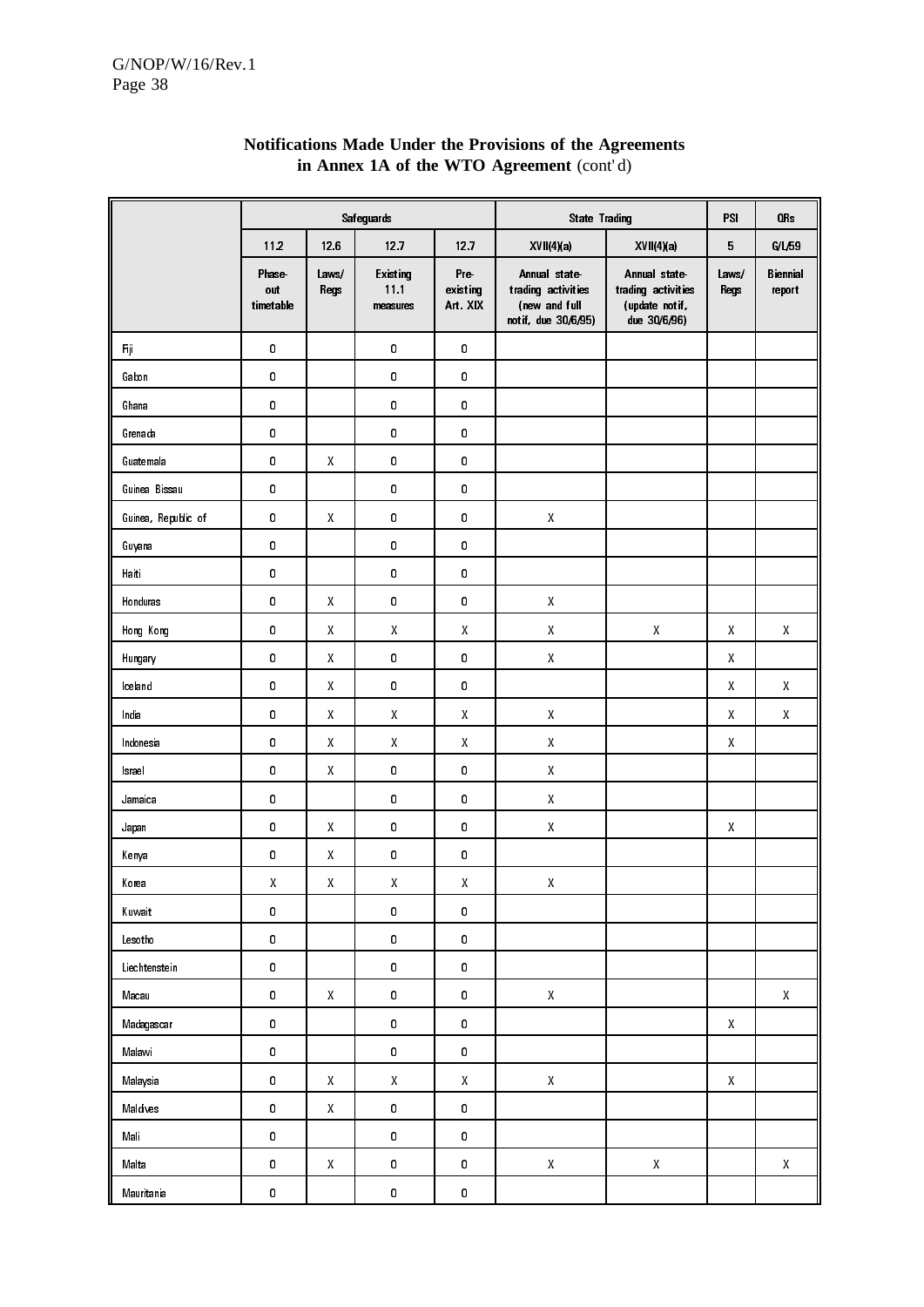|                     | Safeguards                |                                                     |                                                     |                             | <b>State Trading</b>                                                       | PSI                                                                  | OR <sub>s</sub> |                                                     |
|---------------------|---------------------------|-----------------------------------------------------|-----------------------------------------------------|-----------------------------|----------------------------------------------------------------------------|----------------------------------------------------------------------|-----------------|-----------------------------------------------------|
|                     | 112                       | 12.6                                                | 12.7                                                | 12 <sub>7</sub>             | XVII(4)(a)                                                                 | XVII(4)(a)                                                           | 5               | G/L/59                                              |
|                     | Phase<br>out<br>timetable | Laws/<br><b>Regs</b>                                | Existing<br>11.1<br>measures                        | Pre-<br>existing<br>Art XIX | Annual state<br>trading activities<br>(new and full<br>notif, due 30/6/95) | Annual state<br>trading activities<br>(update notif.<br>due 30/6/96) | Laws/<br>Regs   | <b>Biennial</b><br>report                           |
| Fiji                | 0                         |                                                     | 0                                                   | $\mathbf 0$                 |                                                                            |                                                                      |                 |                                                     |
| Gabon               | 0                         |                                                     | 0                                                   | 0                           |                                                                            |                                                                      |                 |                                                     |
| Ghana               | $\pmb{0}$                 |                                                     | 0                                                   | 0                           |                                                                            |                                                                      |                 |                                                     |
| Grenada             | 0                         |                                                     | 0                                                   | 0                           |                                                                            |                                                                      |                 |                                                     |
| Guatemala           | $\mathbf 0$               | $\mathsf{X}% _{0}^{\prime}=\mathsf{X}_{0}^{\prime}$ | 0                                                   | 0                           |                                                                            |                                                                      |                 |                                                     |
| Guinea Bissau       | 0                         |                                                     | 0                                                   | 0                           |                                                                            |                                                                      |                 |                                                     |
| Guinea, Republic of | $\pmb{0}$                 | $\mathsf{X}$                                        | 0                                                   | 0                           | $\pmb{\mathsf{X}}$                                                         |                                                                      |                 |                                                     |
| Guyana              | 0                         |                                                     | 0                                                   | $\pmb{0}$                   |                                                                            |                                                                      |                 |                                                     |
| Haiti               | $\pmb{0}$                 |                                                     | 0                                                   | 0                           |                                                                            |                                                                      |                 |                                                     |
| Honduras            | 0                         | $\pmb{\mathsf{X}}$                                  | 0                                                   | 0                           | $\pmb{\mathsf{X}}$                                                         |                                                                      |                 |                                                     |
| Hong Kong           | $\pmb{0}$                 | $\pmb{\mathsf{X}}$                                  | $\mathsf{X}$                                        | X                           | $\pmb{\mathsf{X}}$                                                         | $\mathsf{X}% _{0}^{\prime}=\mathsf{X}_{0}^{\prime}$                  | X               | $\mathsf{X}% _{0}^{\prime}=\mathsf{X}_{0}^{\prime}$ |
| Hungary             | 0                         | $\pmb{\mathsf{X}}$                                  | 0                                                   | 0                           | $\pmb{\mathsf{X}}$                                                         |                                                                      | X               |                                                     |
| lceland             | $\pmb{0}$                 | $\mathsf{X}% _{0}^{\prime}=\mathsf{X}_{0}^{\prime}$ | 0                                                   | $\pmb{0}$                   |                                                                            |                                                                      | X               | $\mathsf{X}% _{0}^{\prime}=\mathsf{X}_{0}^{\prime}$ |
| India               | 0                         | X                                                   | X                                                   | Χ                           | $\pmb{\mathsf{X}}$                                                         |                                                                      | X               | X                                                   |
| Indonesia           | $\pmb{0}$                 | X                                                   | $\mathsf{X}% _{0}^{\prime}=\mathsf{X}_{0}^{\prime}$ | Χ                           | $\pmb{\mathsf{X}}$                                                         |                                                                      | X               |                                                     |
| Israel              | 0                         | $\mathsf{X}% _{0}^{\prime}=\mathsf{X}_{0}^{\prime}$ | 0                                                   | 0                           | $\pmb{\mathsf{X}}$                                                         |                                                                      |                 |                                                     |
| Jamaica             | $\pmb{0}$                 |                                                     | 0                                                   | $\pmb{0}$                   | $\pmb{\mathsf{X}}$                                                         |                                                                      |                 |                                                     |
| Japan               | 0                         | X                                                   | 0                                                   | 0                           | $\pmb{\mathsf{X}}$                                                         |                                                                      | Χ               |                                                     |
| Kenya               | 0                         | X                                                   | 0                                                   | 0                           |                                                                            |                                                                      |                 |                                                     |
| Korea               | $\pmb{\mathsf{X}}$        | $\mathsf{X}% _{0}^{\prime}=\mathsf{X}_{0}^{\prime}$ | $\mathsf{X}% _{0}^{\prime}=\mathsf{X}_{0}^{\prime}$ | $\mathsf X$                 | $\mathsf X$                                                                |                                                                      |                 |                                                     |
| Kuwait              | $\pmb{0}$                 |                                                     | 0                                                   | 0                           |                                                                            |                                                                      |                 |                                                     |
| Lesotho             | $\pmb{0}$                 |                                                     | 0                                                   | $\pmb{0}$                   |                                                                            |                                                                      |                 |                                                     |
| Liechtenstein       | 0                         |                                                     | 0                                                   | 0                           |                                                                            |                                                                      |                 |                                                     |
| Macau               | $\pmb{0}$                 | X                                                   | 0                                                   | 0                           | Χ                                                                          |                                                                      |                 | $\mathsf{X}% _{0}^{\prime}=\mathsf{X}_{0}^{\prime}$ |
| Madagascar          | $\pmb{0}$                 |                                                     | 0                                                   | 0                           |                                                                            |                                                                      | Χ               |                                                     |
| Malawi              | $\pmb{0}$                 |                                                     | 0                                                   | 0                           |                                                                            |                                                                      |                 |                                                     |
| Malaysia            | 0                         | $\pmb{\mathsf{X}}$                                  | $\pmb{\mathsf{X}}$                                  | $\pmb{\mathsf{X}}$          | $\pmb{\mathsf{X}}$                                                         |                                                                      | X               |                                                     |
| Maldives            | $\pmb{0}$                 | $\pmb{\mathsf{X}}$                                  | 0                                                   | 0                           |                                                                            |                                                                      |                 |                                                     |
| Mali                | $\pmb{0}$                 |                                                     | 0                                                   | $\pmb{0}$                   |                                                                            |                                                                      |                 |                                                     |
| Malta               | $\pmb{0}$                 | $\pmb{\mathsf{X}}$                                  | 0                                                   | $\pmb{0}$                   | $\pmb{\mathsf{X}}$                                                         | $\pmb{\mathsf{X}}$                                                   |                 | $\mathsf{X}% _{0}^{\prime}=\mathsf{X}_{0}^{\prime}$ |
| Mauritania          | $\pmb{0}$                 |                                                     | 0                                                   | $\pmb{0}$                   |                                                                            |                                                                      |                 |                                                     |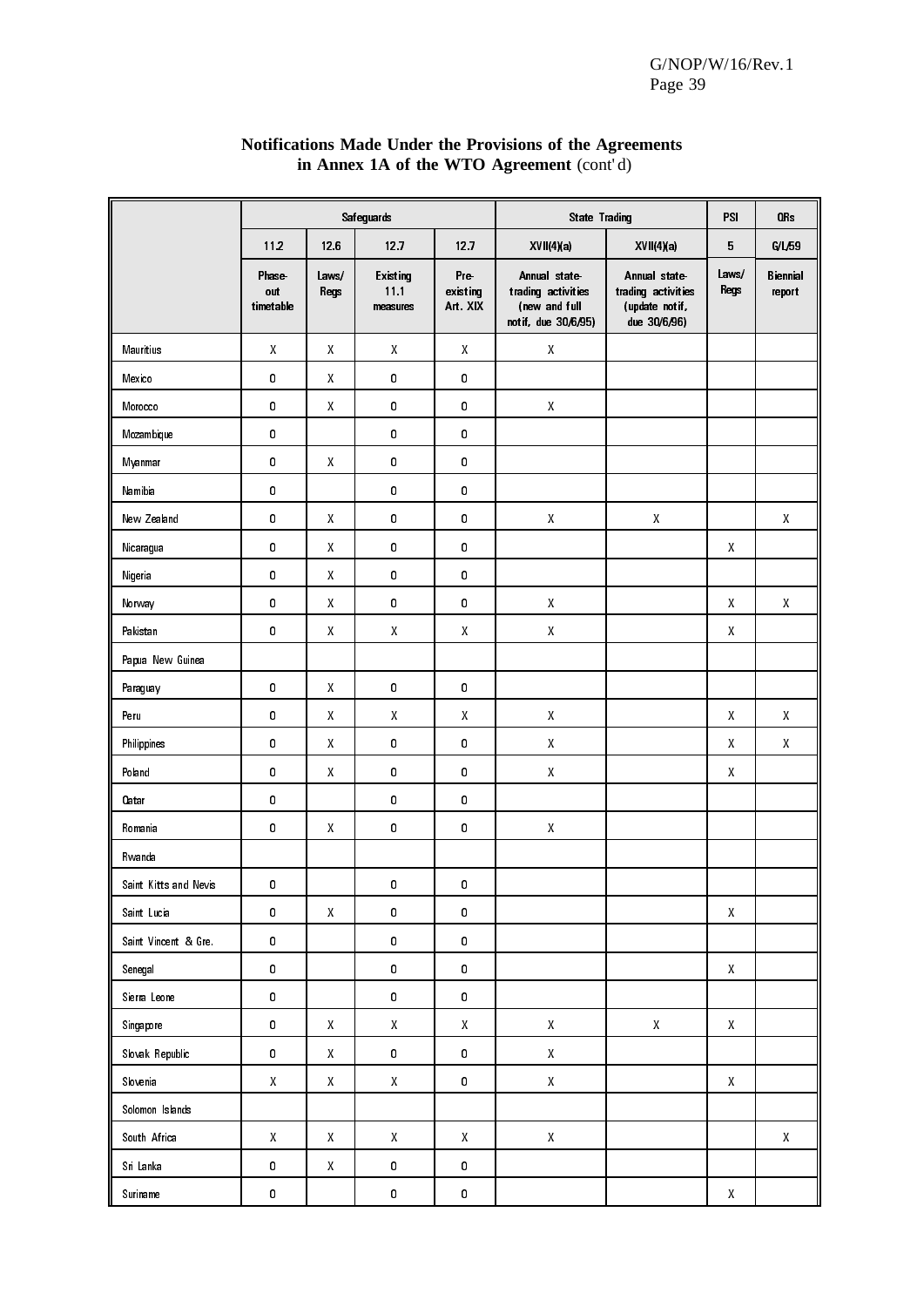|                       | Safeguards                                          |                      |                                                     |                                                     | <b>State Trading</b>                                                       | PSI                                                                  | OR <sub>s</sub>                                     |                    |
|-----------------------|-----------------------------------------------------|----------------------|-----------------------------------------------------|-----------------------------------------------------|----------------------------------------------------------------------------|----------------------------------------------------------------------|-----------------------------------------------------|--------------------|
|                       | 11.2                                                | 12.6                 | 12.7                                                | 127                                                 | XVII(4)(a)                                                                 | XVII(4)(a)                                                           | 5                                                   | G/L/59             |
|                       | Phase<br>out<br>timetable                           | Laws/<br><b>Regs</b> | Existing<br>11.1<br>measures                        | Pre<br>existing<br>Art XIX                          | Annual state<br>trading activities<br>(new and full<br>notif, due 30/6/95) | Annual state<br>trading activities<br>(update notif,<br>due 30/6/96) | Laws/<br>Regs                                       | Biennial<br>report |
| Mauritius             | $\pmb{\mathsf{X}}$                                  | X                    | $\pmb{\mathsf{X}}$                                  | $\pmb{\mathsf{X}}$                                  | $\mathsf{X}% _{0}^{\prime}=\mathsf{X}_{0}^{\prime}$                        |                                                                      |                                                     |                    |
| Mexico                | 0                                                   | X                    | 0                                                   | 0                                                   |                                                                            |                                                                      |                                                     |                    |
| Morocco               | 0                                                   | X                    | 0                                                   | 0                                                   | $\pmb{\mathsf{X}}$                                                         |                                                                      |                                                     |                    |
| Mozambique            | 0                                                   |                      | 0                                                   | 0                                                   |                                                                            |                                                                      |                                                     |                    |
| Myanmar               | $\pmb{0}$                                           | X                    | $\pmb{0}$                                           | 0                                                   |                                                                            |                                                                      |                                                     |                    |
| Namibia               | 0                                                   |                      | 0                                                   | 0                                                   |                                                                            |                                                                      |                                                     |                    |
| New Zealand           | 0                                                   | X                    | 0                                                   | 0                                                   | $\pmb{\mathsf{X}}$                                                         | $\pmb{\mathsf{X}}$                                                   |                                                     | X                  |
| Nicaragua             | 0                                                   | X                    | 0                                                   | 0                                                   |                                                                            |                                                                      | X                                                   |                    |
| Nigeria               | 0                                                   | X                    | 0                                                   | 0                                                   |                                                                            |                                                                      |                                                     |                    |
| <b>Norway</b>         | 0                                                   | Χ                    | 0                                                   | 0                                                   | $\pmb{\mathsf{X}}$                                                         |                                                                      | $\mathsf{X}% _{0}^{\prime}=\mathsf{X}_{0}^{\prime}$ | X                  |
| Pakistan              | 0                                                   | Χ                    | $\mathsf{X}% _{0}^{\prime}=\mathsf{X}_{0}^{\prime}$ | $\pmb{\mathsf{X}}$                                  | $\mathsf X$                                                                |                                                                      | $\pmb{\mathsf{X}}$                                  |                    |
| Papua New Guinea      |                                                     |                      |                                                     |                                                     |                                                                            |                                                                      |                                                     |                    |
| Paraguay              | 0                                                   | Χ                    | 0                                                   | 0                                                   |                                                                            |                                                                      |                                                     |                    |
| Peru                  | 0                                                   | Χ                    | $\mathsf{X}% _{0}^{\prime}=\mathsf{X}_{0}^{\prime}$ | $\pmb{\mathsf{X}}$                                  | $\pmb{\mathsf{X}}$                                                         |                                                                      | $\pmb{\mathsf{X}}$                                  | Χ                  |
| Philippines           | $\pmb{0}$                                           | $\pmb{\mathsf{X}}$   | 0                                                   | 0                                                   | $\pmb{\mathsf{X}}$                                                         |                                                                      | $\pmb{\mathsf{X}}$                                  | Χ                  |
| Poland                | 0                                                   | Χ                    | 0                                                   | 0                                                   | $\pmb{\mathsf{X}}$                                                         |                                                                      | $\mathsf{X}% _{0}^{\prime}=\mathsf{X}_{0}^{\prime}$ |                    |
| Qatar                 | 0                                                   |                      | 0                                                   | 0                                                   |                                                                            |                                                                      |                                                     |                    |
| Romania               | 0                                                   | Χ                    | 0                                                   | 0                                                   | $\pmb{\mathsf{X}}$                                                         |                                                                      |                                                     |                    |
| Rwanda                |                                                     |                      |                                                     |                                                     |                                                                            |                                                                      |                                                     |                    |
| Saint Kitts and Nevis | 0                                                   |                      | 0                                                   | 0                                                   |                                                                            |                                                                      |                                                     |                    |
| Saint Lucia           | 0                                                   | $\pmb{\mathsf{X}}$   | 0                                                   | 0                                                   |                                                                            |                                                                      | $\pmb{\mathsf{X}}$                                  |                    |
| Saint Vincent & Gre.  | $\pmb{0}$                                           |                      | 0                                                   | 0                                                   |                                                                            |                                                                      |                                                     |                    |
| Senegal               | $\pmb{0}$                                           |                      | 0                                                   | 0                                                   |                                                                            |                                                                      | $\mathsf{X}% _{0}^{\prime}=\mathsf{X}_{0}^{\prime}$ |                    |
| Sierra Leone          | $\pmb{0}$                                           |                      | 0                                                   | 0                                                   |                                                                            |                                                                      |                                                     |                    |
| Singapore             | $\pmb{0}$                                           | X                    | $\mathsf{X}% _{0}^{\prime}=\mathsf{X}_{0}^{\prime}$ | $\mathsf{X}% _{0}^{\prime}=\mathsf{X}_{0}^{\prime}$ | $\pmb{\mathsf{X}}$                                                         | $\mathsf{X}% _{0}^{\prime}=\mathsf{X}_{0}^{\prime}$                  | $\mathsf{X}% _{0}^{\prime}=\mathsf{X}_{0}^{\prime}$ |                    |
| Slovak Republic       | $\pmb{0}$                                           | X                    | $\pmb{0}$                                           | 0                                                   | $\mathsf{X}% _{0}^{\prime}=\mathsf{X}_{0}^{\prime}$                        |                                                                      |                                                     |                    |
| Slovenia              | $\mathsf{X}% _{0}^{\prime}=\mathsf{X}_{0}^{\prime}$ | $\mathsf X$          | $\mathsf{X}% _{0}^{\prime}=\mathsf{X}_{0}^{\prime}$ | 0                                                   | $\mathsf{X}% _{0}^{\prime}=\mathsf{X}_{0}^{\prime}$                        |                                                                      | $\mathsf{X}% _{0}^{\prime}=\mathsf{X}_{0}^{\prime}$ |                    |
| Solomon Islands       |                                                     |                      |                                                     |                                                     |                                                                            |                                                                      |                                                     |                    |
| South Africa          | $\mathsf{X}% _{0}^{\prime}=\mathsf{X}_{0}^{\prime}$ | X                    | $\mathsf{X}^-$                                      | $\mathsf{X}% _{0}^{\prime}=\mathsf{X}_{0}^{\prime}$ | $\pmb{\mathsf{X}}$                                                         |                                                                      |                                                     | $\mathsf X$        |
| Sri Lanka             | $\pmb{0}$                                           | X                    | $\pmb{0}$                                           | $\pmb{0}$                                           |                                                                            |                                                                      |                                                     |                    |
| Suriname              | $\pmb{0}$                                           |                      | $\pmb{0}$                                           | $\pmb{0}$                                           |                                                                            |                                                                      | $\mathsf{X}$                                        |                    |